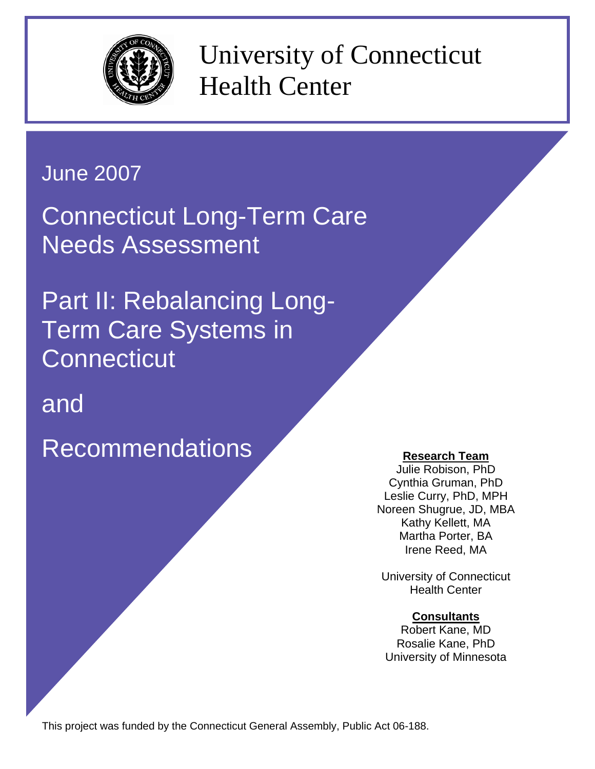

University of Connecticut Health Center

# June 2007

Connecticut Long-Term Care Needs Assessment

Part II: Rebalancing Long-Term Care Systems in **Connecticut** 

and

Recommendations Research Team

Julie Robison, PhD Cynthia Gruman, PhD Leslie Curry, PhD, MPH Noreen Shugrue, JD, MBA Kathy Kellett, MA Martha Porter, BA Irene Reed, MA

University of Connecticut Health Center

# **Consultants**

Robert Kane, MD Rosalie Kane, PhD University of Minnesota

This project was funded by the Connecticut General Assembly, Public Act 06-188.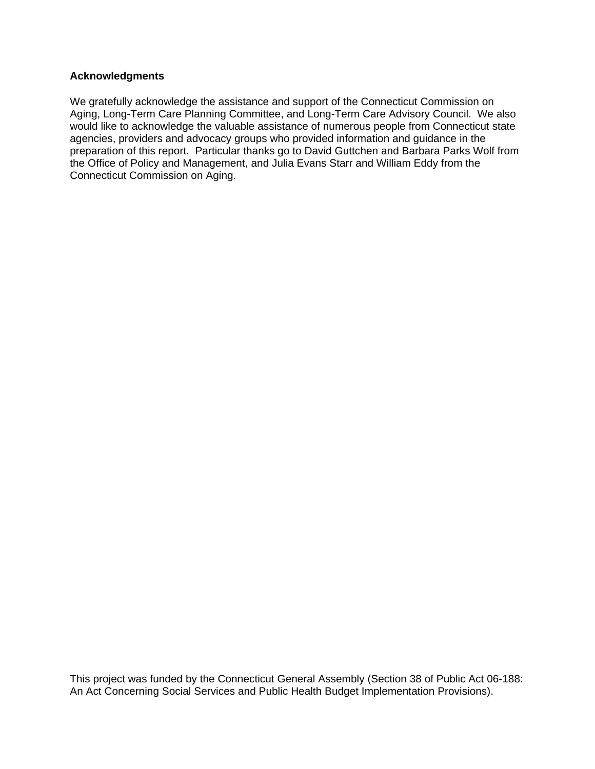#### **Acknowledgments**

We gratefully acknowledge the assistance and support of the Connecticut Commission on Aging, Long-Term Care Planning Committee, and Long-Term Care Advisory Council. We also would like to acknowledge the valuable assistance of numerous people from Connecticut state agencies, providers and advocacy groups who provided information and guidance in the preparation of this report. Particular thanks go to David Guttchen and Barbara Parks Wolf from the Office of Policy and Management, and Julia Evans Starr and William Eddy from the Connecticut Commission on Aging.

This project was funded by the Connecticut General Assembly (Section 38 of Public Act 06-188: An Act Concerning Social Services and Public Health Budget Implementation Provisions).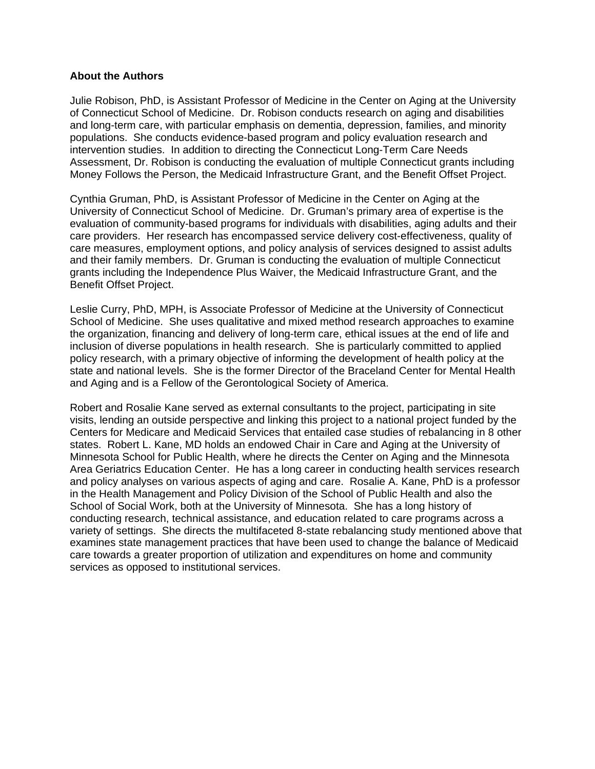#### **About the Authors**

Julie Robison, PhD, is Assistant Professor of Medicine in the Center on Aging at the University of Connecticut School of Medicine. Dr. Robison conducts research on aging and disabilities and long-term care, with particular emphasis on dementia, depression, families, and minority populations. She conducts evidence-based program and policy evaluation research and intervention studies. In addition to directing the Connecticut Long-Term Care Needs Assessment, Dr. Robison is conducting the evaluation of multiple Connecticut grants including Money Follows the Person, the Medicaid Infrastructure Grant, and the Benefit Offset Project.

Cynthia Gruman, PhD, is Assistant Professor of Medicine in the Center on Aging at the University of Connecticut School of Medicine. Dr. Gruman's primary area of expertise is the evaluation of community-based programs for individuals with disabilities, aging adults and their care providers. Her research has encompassed service delivery cost-effectiveness, quality of care measures, employment options, and policy analysis of services designed to assist adults and their family members. Dr. Gruman is conducting the evaluation of multiple Connecticut grants including the Independence Plus Waiver, the Medicaid Infrastructure Grant, and the Benefit Offset Project.

Leslie Curry, PhD, MPH, is Associate Professor of Medicine at the University of Connecticut School of Medicine. She uses qualitative and mixed method research approaches to examine the organization, financing and delivery of long-term care, ethical issues at the end of life and inclusion of diverse populations in health research. She is particularly committed to applied policy research, with a primary objective of informing the development of health policy at the state and national levels. She is the former Director of the Braceland Center for Mental Health and Aging and is a Fellow of the Gerontological Society of America.

Robert and Rosalie Kane served as external consultants to the project, participating in site visits, lending an outside perspective and linking this project to a national project funded by the Centers for Medicare and Medicaid Services that entailed case studies of rebalancing in 8 other states. Robert L. Kane, MD holds an endowed Chair in Care and Aging at the University of Minnesota School for Public Health, where he directs the Center on Aging and the Minnesota Area Geriatrics Education Center. He has a long career in conducting health services research and policy analyses on various aspects of aging and care. Rosalie A. Kane, PhD is a professor in the Health Management and Policy Division of the School of Public Health and also the School of Social Work, both at the University of Minnesota. She has a long history of conducting research, technical assistance, and education related to care programs across a variety of settings. She directs the multifaceted 8-state rebalancing study mentioned above that examines state management practices that have been used to change the balance of Medicaid care towards a greater proportion of utilization and expenditures on home and community services as opposed to institutional services.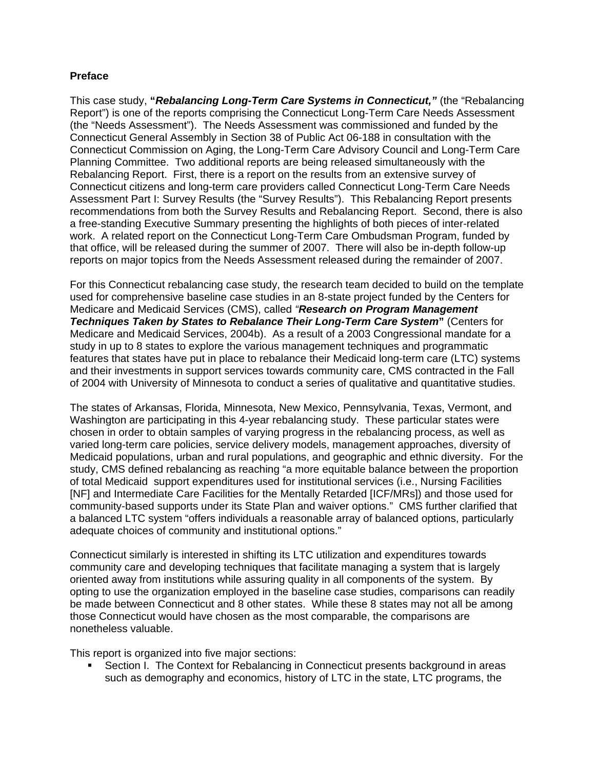#### **Preface**

This case study, **"***Rebalancing Long-Term Care Systems in Connecticut,"* (the "Rebalancing Report") is one of the reports comprising the Connecticut Long-Term Care Needs Assessment (the "Needs Assessment"). The Needs Assessment was commissioned and funded by the Connecticut General Assembly in Section 38 of Public Act 06-188 in consultation with the Connecticut Commission on Aging, the Long-Term Care Advisory Council and Long-Term Care Planning Committee. Two additional reports are being released simultaneously with the Rebalancing Report. First, there is a report on the results from an extensive survey of Connecticut citizens and long-term care providers called Connecticut Long-Term Care Needs Assessment Part I: Survey Results (the "Survey Results"). This Rebalancing Report presents recommendations from both the Survey Results and Rebalancing Report. Second, there is also a free-standing Executive Summary presenting the highlights of both pieces of inter-related work. A related report on the Connecticut Long-Term Care Ombudsman Program, funded by that office, will be released during the summer of 2007. There will also be in-depth follow-up reports on major topics from the Needs Assessment released during the remainder of 2007.

For this Connecticut rebalancing case study, the research team decided to build on the template used for comprehensive baseline case studies in an 8-state project funded by the Centers for Medicare and Medicaid Services (CMS), called *"Research on Program Management Techniques Taken by States to Rebalance Their Long-Term Care System***"** (Centers for Medicare and Medicaid Services, 2004b).As a result of a 2003 Congressional mandate for a study in up to 8 states to explore the various management techniques and programmatic features that states have put in place to rebalance their Medicaid long-term care (LTC) systems and their investments in support services towards community care, CMS contracted in the Fall of 2004 with University of Minnesota to conduct a series of qualitative and quantitative studies.

The states of Arkansas, Florida, Minnesota, New Mexico, Pennsylvania, Texas, Vermont, and Washington are participating in this 4-year rebalancing study. These particular states were chosen in order to obtain samples of varying progress in the rebalancing process, as well as varied long-term care policies, service delivery models, management approaches, diversity of Medicaid populations, urban and rural populations, and geographic and ethnic diversity. For the study, CMS defined rebalancing as reaching "a more equitable balance between the proportion of total Medicaid support expenditures used for institutional services (i.e., Nursing Facilities [NF] and Intermediate Care Facilities for the Mentally Retarded [ICF/MRs]) and those used for community-based supports under its State Plan and waiver options." CMS further clarified that a balanced LTC system "offers individuals a reasonable array of balanced options, particularly adequate choices of community and institutional options."

Connecticut similarly is interested in shifting its LTC utilization and expenditures towards community care and developing techniques that facilitate managing a system that is largely oriented away from institutions while assuring quality in all components of the system. By opting to use the organization employed in the baseline case studies, comparisons can readily be made between Connecticut and 8 other states. While these 8 states may not all be among those Connecticut would have chosen as the most comparable, the comparisons are nonetheless valuable.

This report is organized into five major sections:

 Section I. The Context for Rebalancing in Connecticut presents background in areas such as demography and economics, history of LTC in the state, LTC programs, the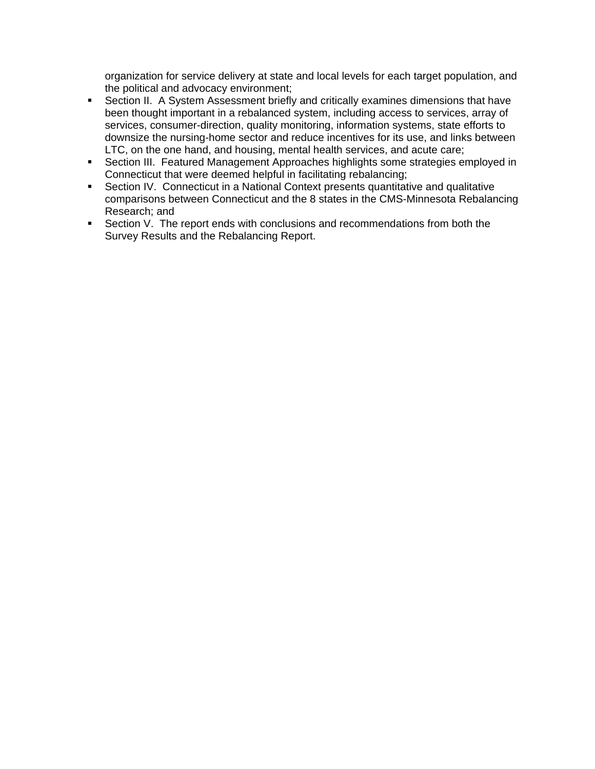organization for service delivery at state and local levels for each target population, and the political and advocacy environment;

- Section II. A System Assessment briefly and critically examines dimensions that have been thought important in a rebalanced system, including access to services, array of services, consumer-direction, quality monitoring, information systems, state efforts to downsize the nursing-home sector and reduce incentives for its use, and links between LTC, on the one hand, and housing, mental health services, and acute care;
- Section III. Featured Management Approaches highlights some strategies employed in Connecticut that were deemed helpful in facilitating rebalancing;
- Section IV. Connecticut in a National Context presents quantitative and qualitative comparisons between Connecticut and the 8 states in the CMS-Minnesota Rebalancing Research; and
- **Section V.** The report ends with conclusions and recommendations from both the Survey Results and the Rebalancing Report.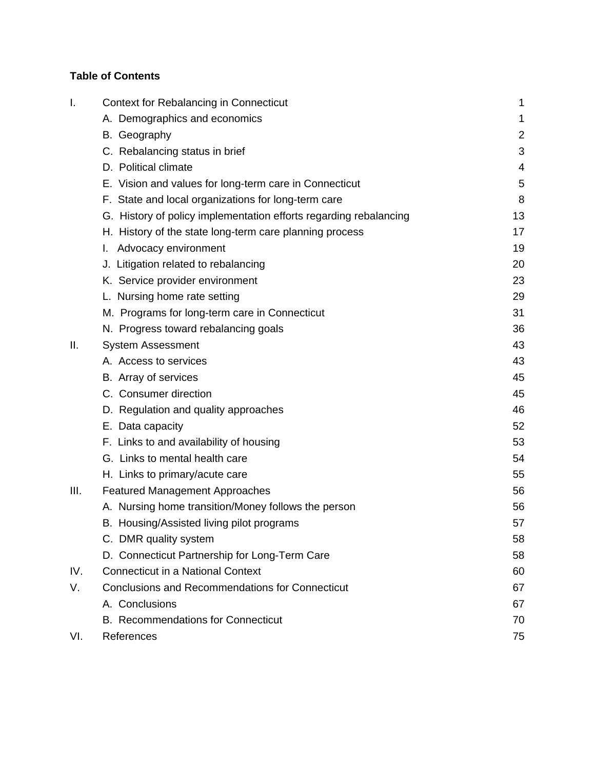# **Table of Contents**

| Ι.   | <b>Context for Rebalancing in Connecticut</b>                     | 1              |
|------|-------------------------------------------------------------------|----------------|
|      | A. Demographics and economics                                     | 1              |
|      | B. Geography                                                      | $\overline{2}$ |
|      | C. Rebalancing status in brief                                    | 3              |
|      | D. Political climate                                              | 4              |
|      | E. Vision and values for long-term care in Connecticut            | 5              |
|      | F. State and local organizations for long-term care               | 8              |
|      | G. History of policy implementation efforts regarding rebalancing | 13             |
|      | H. History of the state long-term care planning process           | 17             |
|      | Advocacy environment<br>I.                                        | 19             |
|      | J. Litigation related to rebalancing                              | 20             |
|      | K. Service provider environment                                   | 23             |
|      | L. Nursing home rate setting                                      | 29             |
|      | M. Programs for long-term care in Connecticut                     | 31             |
|      | N. Progress toward rebalancing goals                              | 36             |
| Ⅱ.   | <b>System Assessment</b>                                          | 43             |
|      | A. Access to services                                             | 43             |
|      | B. Array of services                                              | 45             |
|      | C. Consumer direction                                             | 45             |
|      | D. Regulation and quality approaches                              | 46             |
|      | E. Data capacity                                                  | 52             |
|      | F. Links to and availability of housing                           | 53             |
|      | G. Links to mental health care                                    | 54             |
|      | H. Links to primary/acute care                                    | 55             |
| III. | <b>Featured Management Approaches</b>                             | 56             |
|      | A. Nursing home transition/Money follows the person               | 56             |
|      | B. Housing/Assisted living pilot programs                         | 57             |
|      | C. DMR quality system                                             | 58             |
|      | D. Connecticut Partnership for Long-Term Care                     | 58             |
| IV.  | <b>Connecticut in a National Context</b>                          | 60             |
| V.   | <b>Conclusions and Recommendations for Connecticut</b>            | 67             |
|      | A. Conclusions                                                    | 67             |
|      | <b>B.</b> Recommendations for Connecticut                         | 70             |
| VI.  | References                                                        | 75             |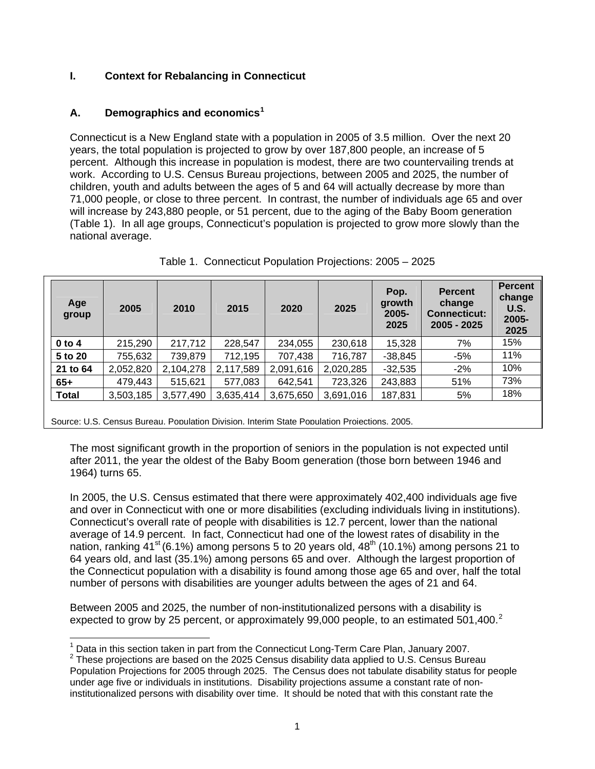# **I. Context for Rebalancing in Connecticut**

# **A. Demographics and economics[1](#page-6-0)**

 $\overline{a}$ 

Connecticut is a New England state with a population in 2005 of 3.5 million. Over the next 20 years, the total population is projected to grow by over 187,800 people, an increase of 5 percent. Although this increase in population is modest, there are two countervailing trends at work. According to U.S. Census Bureau projections, between 2005 and 2025, the number of children, youth and adults between the ages of 5 and 64 will actually decrease by more than 71,000 people, or close to three percent. In contrast, the number of individuals age 65 and over will increase by 243,880 people, or 51 percent, due to the aging of the Baby Boom generation (Table 1). In all age groups, Connecticut's population is projected to grow more slowly than the national average.

| Age<br>group                                                                                 | 2005      | 2010      | 2015      | 2020      | 2025      | Pop.<br>growth<br>$2005 -$<br>2025 | <b>Percent</b><br>change<br><b>Connecticut:</b><br>2005 - 2025 | <b>Percent</b><br>change<br><b>U.S.</b><br>$2005 -$<br>2025 |
|----------------------------------------------------------------------------------------------|-----------|-----------|-----------|-----------|-----------|------------------------------------|----------------------------------------------------------------|-------------------------------------------------------------|
| $0$ to 4                                                                                     | 215,290   | 217,712   | 228,547   | 234,055   | 230,618   | 15,328                             | 7%                                                             | 15%                                                         |
| 5 to 20                                                                                      | 755,632   | 739,879   | 712,195   | 707,438   | 716,787   | $-38,845$                          | $-5%$                                                          | 11%                                                         |
| 21 to 64                                                                                     | 2,052,820 | 2,104,278 | 2,117,589 | 2,091,616 | 2,020,285 | $-32,535$                          | $-2\%$                                                         | 10%                                                         |
| $65+$                                                                                        | 479,443   | 515.621   | 577,083   | 642.541   | 723,326   | 243,883                            | 51%                                                            | 73%                                                         |
| <b>Total</b>                                                                                 | 3,503,185 | 3,577,490 | 3,635,414 | 3,675,650 | 3,691,016 | 187,831                            | 5%                                                             | 18%                                                         |
| Source: U.S. Census Bureau. Population Division. Interim State Population Projections. 2005. |           |           |           |           |           |                                    |                                                                |                                                             |

Table 1. Connecticut Population Projections: 2005 – 2025

The most significant growth in the proportion of seniors in the population is not expected until after 2011, the year the oldest of the Baby Boom generation (those born between 1946 and 1964) turns 65.

In 2005, the U.S. Census estimated that there were approximately 402,400 individuals age five and over in Connecticut with one or more disabilities (excluding individuals living in institutions). Connecticut's overall rate of people with disabilities is 12.7 percent, lower than the national average of 14.9 percent. In fact, Connecticut had one of the lowest rates of disability in the nation, ranking  $41<sup>st</sup>$  (6.1%) among persons 5 to 20 years old,  $48<sup>th</sup>$  (10.1%) among persons 21 to 64 years old, and last (35.1%) among persons 65 and over. Although the largest proportion of the Connecticut population with a disability is found among those age 65 and over, half the total number of persons with disabilities are younger adults between the ages of 21 and 64.

Between 2005 and 2025, the number of non-institutionalized persons with a disability is expected to grow by [2](#page-6-1)5 percent, or approximately 99,000 people, to an estimated 501,400. $^2$ 

<sup>&</sup>lt;sup>1</sup> Data in this section taken in part from the Connecticut Long-Term Care Plan, January 2007.<br><sup>2</sup> These prejections are based an the 2005 Canaus disphility data applied to U.S. Canaus Burs

<span id="page-6-1"></span><span id="page-6-0"></span><sup>2</sup> These projections are based on the 2025 Census disability data applied to U.S. Census Bureau Population Projections for 2005 through 2025. The Census does not tabulate disability status for people under age five or individuals in institutions. Disability projections assume a constant rate of noninstitutionalized persons with disability over time. It should be noted that with this constant rate the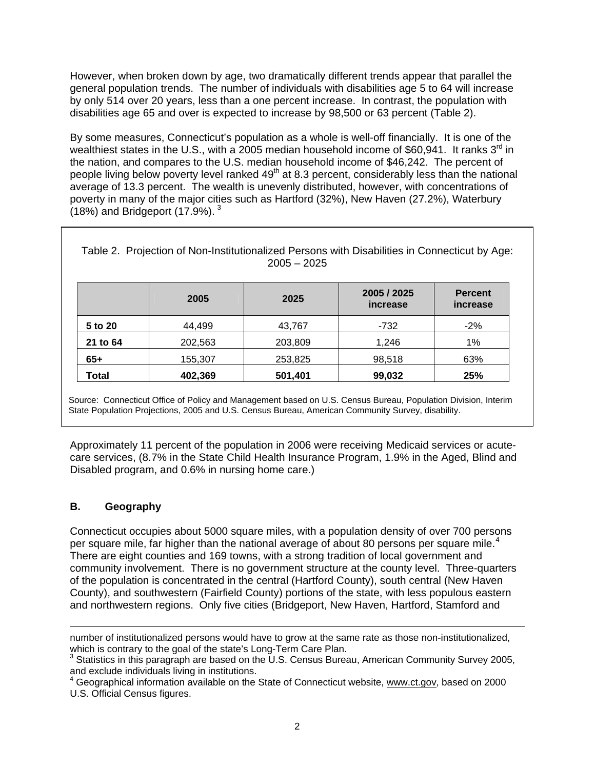However, when broken down by age, two dramatically different trends appear that parallel the general population trends. The number of individuals with disabilities age 5 to 64 will increase by only 514 over 20 years, less than a one percent increase. In contrast, the population with disabilities age 65 and over is expected to increase by 98,500 or 63 percent (Table 2).

By some measures, Connecticut's population as a whole is well-off financially. It is one of the wealthiest states in the U.S., with a 2005 median household income of \$60,941. It ranks  $3<sup>rd</sup>$  in the nation, and compares to the U.S. median household income of \$46,242. The percent of people living below poverty level ranked 49<sup>th</sup> at 8.3 percent, considerably less than the national average of 13.3 percent. The wealth is unevenly distributed, however, with concentrations of poverty in many of the major cities such as Hartford (32%), New Haven (27.2%), Waterbury (18%) and Bridgeport  $(17.9\%)$ .  $^{3}$  $^{3}$  $^{3}$ 

| $2005 - 2025$ |         |         |                         |                            |
|---------------|---------|---------|-------------------------|----------------------------|
|               | 2005    | 2025    | 2005 / 2025<br>increase | <b>Percent</b><br>increase |
| 5 to 20       | 44,499  | 43,767  | -732                    | $-2%$                      |
| 21 to 64      | 202,563 | 203,809 | 1,246                   | 1%                         |
| $65+$         | 155,307 | 253,825 | 98,518                  | 63%                        |
| <b>Total</b>  | 402,369 | 501,401 | 99,032                  | 25%                        |

Table 2. Projection of Non-Institutionalized Persons with Disabilities in Connecticut by Age:

Source: Connecticut Office of Policy and Management based on U.S. Census Bureau, Population Division, Interim State Population Projections, 2005 and U.S. Census Bureau, American Community Survey, disability.

Approximately 11 percent of the population in 2006 were receiving Medicaid services or acutecare services, (8.7% in the State Child Health Insurance Program, 1.9% in the Aged, Blind and Disabled program, and 0.6% in nursing home care.)

# **B. Geography**

 $\overline{a}$ 

Connecticut occupies about 5000 square miles, with a population density of over 700 persons per square mile, far higher than the national average of about 80 persons per square mile.<sup>[4](#page-7-1)</sup> There are eight counties and 169 towns, with a strong tradition of local government and community involvement. There is no government structure at the county level. Three-quarters of the population is concentrated in the central (Hartford County), south central (New Haven County), and southwestern (Fairfield County) portions of the state, with less populous eastern and northwestern regions. Only five cities (Bridgeport, New Haven, Hartford, Stamford and

number of institutionalized persons would have to grow at the same rate as those non-institutionalized,

<span id="page-7-0"></span>which is contrary to the goal of the state's Long-Term Care Plan.<br><sup>3</sup> Statistics in this paragraph are based on the U.S. Census Bureau, American Community Survey 2005, and exclude individuals living in institutions.

<span id="page-7-1"></span><sup>&</sup>lt;sup>4</sup> Geographical information available on the State of Connecticut website, [www.ct.gov](http://www.ct.gov/), based on 2000 U.S. Official Census figures.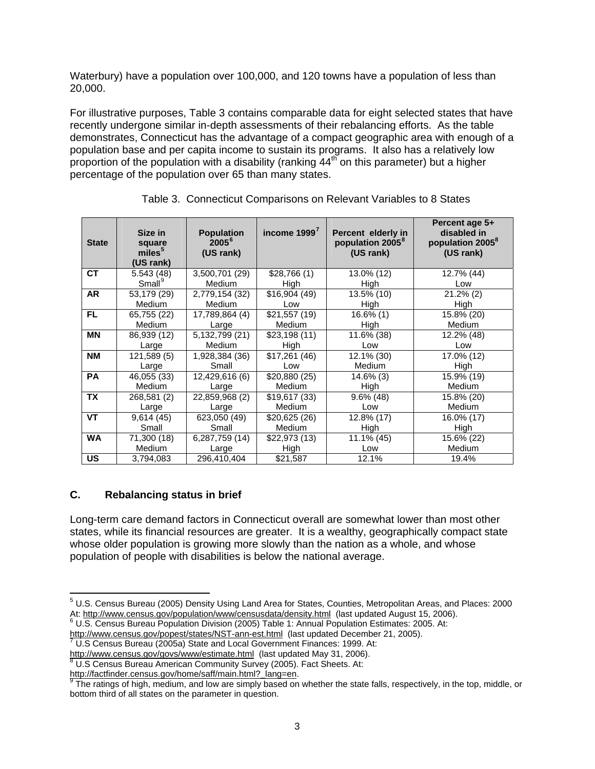Waterbury) have a population over 100,000, and 120 towns have a population of less than 20,000.

For illustrative purposes, Table 3 contains comparable data for eight selected states that have recently undergone similar in-depth assessments of their rebalancing efforts. As the table demonstrates, Connecticut has the advantage of a compact geographic area with enough of a population base and per capita income to sustain its programs. It also has a relatively low proportion of the population with a disability (ranking  $44<sup>th</sup>$  on this parameter) but a higher percentage of the population over 65 than many states.

| <b>State</b> | Size in<br>square<br>miles <sup>5</sup><br>(US rank) | <b>Population</b><br>$2005^6$<br>(US rank) | income 1999'  | Percent elderly in<br>population 2005 <sup>8</sup><br>(US rank) | Percent age 5+<br>disabled in<br>population 2005 <sup>8</sup><br>(US rank) |
|--------------|------------------------------------------------------|--------------------------------------------|---------------|-----------------------------------------------------------------|----------------------------------------------------------------------------|
| <b>CT</b>    | 5.543(48)                                            | 3,500,701 (29)                             | \$28,766(1)   | 13.0% (12)                                                      | 12.7% (44)                                                                 |
|              | $Small^9$                                            | Medium                                     | High          | High                                                            | Low                                                                        |
| <b>AR</b>    | 53,179 (29)                                          | 2,779,154 (32)                             | \$16,904(49)  | 13.5% (10)                                                      | $21.2\%$ (2)                                                               |
|              | Medium                                               | Medium                                     | Low           | High                                                            | High                                                                       |
| <b>FL</b>    | 65,755 (22)                                          | 17,789,864 (4)                             | \$21,557(19)  | $16.6\%$ (1)                                                    | 15.8% (20)                                                                 |
|              | <b>Medium</b>                                        | Large                                      | Medium        | High                                                            | <b>Medium</b>                                                              |
| ΜN           | 86,939 (12)                                          | 5,132,799 (21)                             | \$23,198(11)  | 11.6% (38)                                                      | 12.2% (48)                                                                 |
|              | Large                                                | Medium                                     | High          | Low                                                             | Low                                                                        |
| <b>NM</b>    | 121,589(5)                                           | 1,928,384 (36)                             | \$17,261(46)  | 12.1% (30)                                                      | 17.0% (12)                                                                 |
|              | Large                                                | Small                                      | Low           | <b>Medium</b>                                                   | High                                                                       |
| <b>PA</b>    | 46,055 (33)                                          | 12,429,616 (6)                             | \$20,880(25)  | 14.6% (3)                                                       | 15.9% (19)                                                                 |
|              | <b>Medium</b>                                        | Large                                      | <b>Medium</b> | High                                                            | Medium                                                                     |
| <b>TX</b>    | 268,581 (2)                                          | 22,859,968 (2)                             | \$19,617(33)  | $9.6\%$ (48)                                                    | 15.8% (20)                                                                 |
|              | Large                                                | Large                                      | <b>Medium</b> | Low                                                             | Medium                                                                     |
| <b>VT</b>    | 9,614(45)                                            | 623,050 (49)                               | \$20,625 (26) | 12.8% (17)                                                      | 16.0% (17)                                                                 |
|              | Small                                                | Small                                      | <b>Medium</b> | High                                                            | High                                                                       |
| <b>WA</b>    | 71,300 (18)                                          | 6,287,759 (14)                             | \$22,973(13)  | 11.1% (45)                                                      | 15.6% (22)                                                                 |
|              | <b>Medium</b>                                        | Large                                      | High          | Low                                                             | Medium                                                                     |
| US           | 3,794,083                                            | 296,410,404                                | \$21,587      | 12.1%                                                           | 19.4%                                                                      |

Table 3. Connecticut Comparisons on Relevant Variables to 8 States

# **C. Rebalancing status in brief**

 $\overline{a}$ 

Long-term care demand factors in Connecticut overall are somewhat lower than most other states, while its financial resources are greater. It is a wealthy, geographically compact state whose older population is growing more slowly than the nation as a whole, and whose population of people with disabilities is below the national average.

<span id="page-8-0"></span><sup>&</sup>lt;sup>5</sup> U.S. Census Bureau (2005) Density Using Land Area for States, Counties, Metropolitan Areas, and Places: 2000 At: <u>http://www.census.gov/population/www/censusdata/density.html</u> (last updated August 15, 2006).<br><sup>6</sup> U.S. Census Bureau Population Division (2005) Table 1: Annual Population Estimates: 2005. At:

<span id="page-8-2"></span><span id="page-8-1"></span><sup>&</sup>lt;u><http://www.census.gov/popest/states/NST-ann-est.html></u> (last updated December 21, 2005).<br><sup>[7](http://www.census.gov/popest/states/NST-ann-est.html)</sup> U.S Census Bureau (2005a) State and Local Government Finances: 1999. At:

<sup>&</sup>lt;u>http://www.census.gov/govs/www/estimate.html</u> (last updated May 31, 2006).<br><sup>[8](http://www.census.gov/govs/www/estimate.html)</sup> U.S Census Bureau American Community Survey (2005). Fact Sheets. At:

<span id="page-8-3"></span>[http://factfinder.census.gov/home/saff/main.html?\\_lang=en](http://factfinder.census.gov/home/saff/main.html?_lang=en). 9<br>The refines of Links was

<span id="page-8-4"></span>The ratings of high, medium, and low are simply based on whether the state falls, respectively, in the top, middle, or bottom third of all states on the parameter in question.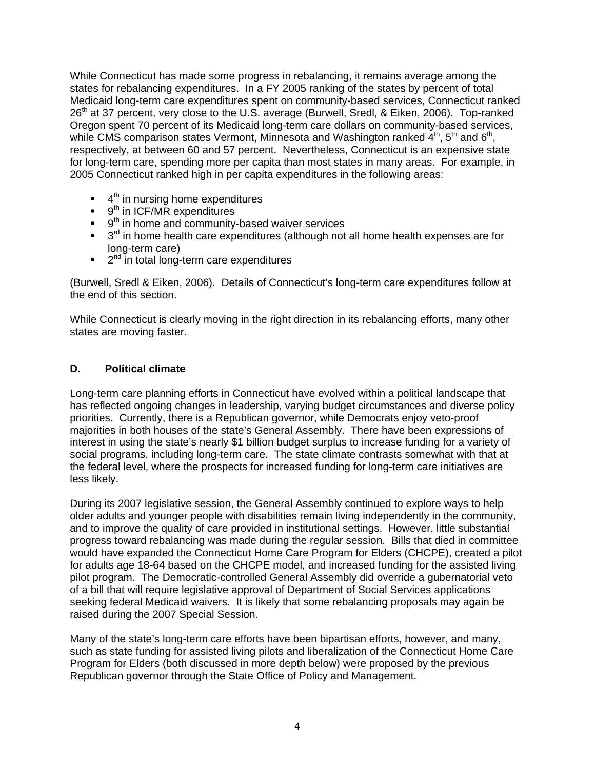While Connecticut has made some progress in rebalancing, it remains average among the states for rebalancing expenditures. In a FY 2005 ranking of the states by percent of total Medicaid long-term care expenditures spent on community-based services, Connecticut ranked 26<sup>th</sup> at 37 percent, very close to the U.S. average (Burwell, Sredl, & Eiken, 2006). Top-ranked Oregon spent 70 percent of its Medicaid long-term care dollars on community-based services, while CMS comparison states Vermont, Minnesota and Washington ranked  $4^{th}$ ,  $5^{th}$  and  $6^{th}$ , respectively, at between 60 and 57 percent. Nevertheless, Connecticut is an expensive state for long-term care, spending more per capita than most states in many areas. For example, in 2005 Connecticut ranked high in per capita expenditures in the following areas:

- $\blacksquare$  4<sup>th</sup> in nursing home expenditures
- $\bullet$  9<sup>th</sup> in ICF/MR expenditures
- $\bullet$  9<sup>th</sup> in home and community-based waiver services
- $\bullet$  3<sup>rd</sup> in home health care expenditures (although not all home health expenses are for long-term care)
- $\blacksquare$  2<sup>nd</sup> in total long-term care expenditures

(Burwell, Sredl & Eiken, 2006). Details of Connecticut's long-term care expenditures follow at the end of this section.

While Connecticut is clearly moving in the right direction in its rebalancing efforts, many other states are moving faster.

# **D. Political climate**

Long-term care planning efforts in Connecticut have evolved within a political landscape that has reflected ongoing changes in leadership, varying budget circumstances and diverse policy priorities. Currently, there is a Republican governor, while Democrats enjoy veto-proof majorities in both houses of the state's General Assembly. There have been expressions of interest in using the state's nearly \$1 billion budget surplus to increase funding for a variety of social programs, including long-term care. The state climate contrasts somewhat with that at the federal level, where the prospects for increased funding for long-term care initiatives are less likely.

During its 2007 legislative session, the General Assembly continued to explore ways to help older adults and younger people with disabilities remain living independently in the community, and to improve the quality of care provided in institutional settings. However, little substantial progress toward rebalancing was made during the regular session. Bills that died in committee would have expanded the Connecticut Home Care Program for Elders (CHCPE), created a pilot for adults age 18-64 based on the CHCPE model, and increased funding for the assisted living pilot program. The Democratic-controlled General Assembly did override a gubernatorial veto of a bill that will require legislative approval of Department of Social Services applications seeking federal Medicaid waivers. It is likely that some rebalancing proposals may again be raised during the 2007 Special Session.

Many of the state's long-term care efforts have been bipartisan efforts, however, and many, such as state funding for assisted living pilots and liberalization of the Connecticut Home Care Program for Elders (both discussed in more depth below) were proposed by the previous Republican governor through the State Office of Policy and Management.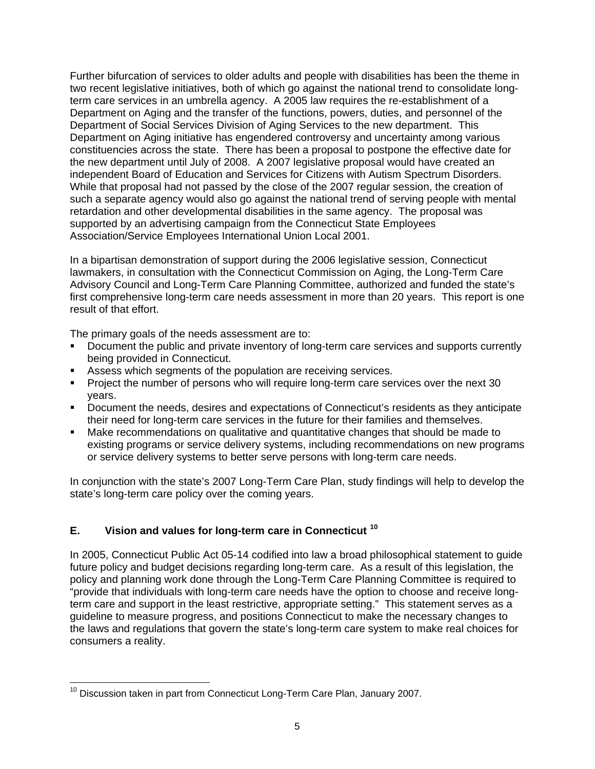Further bifurcation of services to older adults and people with disabilities has been the theme in two recent legislative initiatives, both of which go against the national trend to consolidate longterm care services in an umbrella agency. A 2005 law requires the re-establishment of a Department on Aging and the transfer of the functions, powers, duties, and personnel of the Department of Social Services Division of Aging Services to the new department. This Department on Aging initiative has engendered controversy and uncertainty among various constituencies across the state. There has been a proposal to postpone the effective date for the new department until July of 2008. A 2007 legislative proposal would have created an independent Board of Education and Services for Citizens with Autism Spectrum Disorders. While that proposal had not passed by the close of the 2007 regular session, the creation of such a separate agency would also go against the national trend of serving people with mental retardation and other developmental disabilities in the same agency. The proposal was supported by an advertising campaign from the Connecticut State Employees Association/Service Employees International Union Local 2001.

In a bipartisan demonstration of support during the 2006 legislative session, Connecticut lawmakers, in consultation with the Connecticut Commission on Aging, the Long-Term Care Advisory Council and Long-Term Care Planning Committee, authorized and funded the state's first comprehensive long-term care needs assessment in more than 20 years. This report is one result of that effort.

The primary goals of the needs assessment are to:

- **Document the public and private inventory of long-term care services and supports currently** being provided in Connecticut.
- Assess which segments of the population are receiving services.
- Project the number of persons who will require long-term care services over the next 30 years.
- Document the needs, desires and expectations of Connecticut's residents as they anticipate their need for long-term care services in the future for their families and themselves.
- Make recommendations on qualitative and quantitative changes that should be made to existing programs or service delivery systems, including recommendations on new programs or service delivery systems to better serve persons with long-term care needs.

In conjunction with the state's 2007 Long-Term Care Plan, study findings will help to develop the state's long-term care policy over the coming years.

# **E. Vision and values for long-term care in Connecticut [10](#page-10-0)**

In 2005, Connecticut Public Act 05-14 codified into law a broad philosophical statement to guide future policy and budget decisions regarding long-term care. As a result of this legislation, the policy and planning work done through the Long-Term Care Planning Committee is required to "provide that individuals with long-term care needs have the option to choose and receive longterm care and support in the least restrictive, appropriate setting." This statement serves as a guideline to measure progress, and positions Connecticut to make the necessary changes to the laws and regulations that govern the state's long-term care system to make real choices for consumers a reality.

<span id="page-10-0"></span> $\overline{a}$  $10$  Discussion taken in part from Connecticut Long-Term Care Plan, January 2007.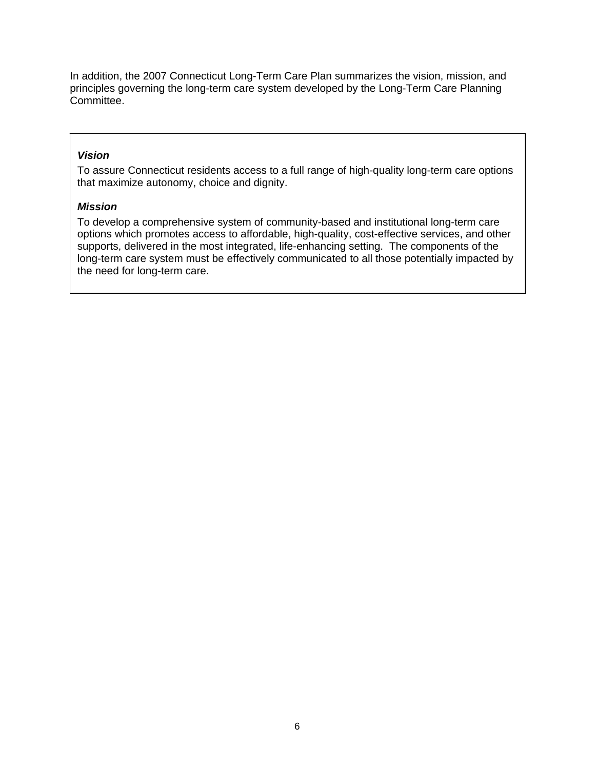In addition, the 2007 Connecticut Long-Term Care Plan summarizes the vision, mission, and principles governing the long-term care system developed by the Long-Term Care Planning Committee.

# *Vision*

To assure Connecticut residents access to a full range of high-quality long-term care options that maximize autonomy, choice and dignity.

# *Mission*

To develop a comprehensive system of community-based and institutional long-term care options which promotes access to affordable, high-quality, cost-effective services, and other supports, delivered in the most integrated, life-enhancing setting. The components of the long-term care system must be effectively communicated to all those potentially impacted by the need for long-term care.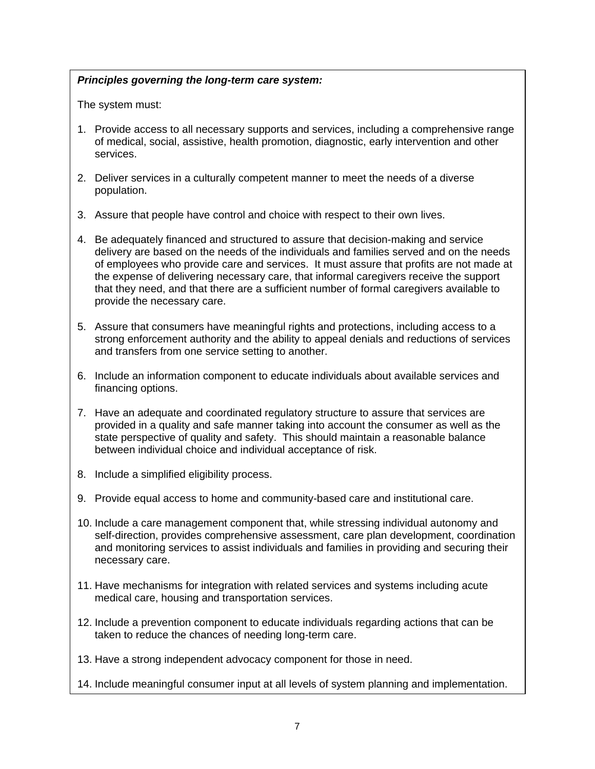# *Principles governing the long-term care system:*

The system must:

- 1. Provide access to all necessary supports and services, including a comprehensive range of medical, social, assistive, health promotion, diagnostic, early intervention and other services.
- 2. Deliver services in a culturally competent manner to meet the needs of a diverse population.
- 3. Assure that people have control and choice with respect to their own lives.
- 4. Be adequately financed and structured to assure that decision-making and service delivery are based on the needs of the individuals and families served and on the needs of employees who provide care and services. It must assure that profits are not made at the expense of delivering necessary care, that informal caregivers receive the support that they need, and that there are a sufficient number of formal caregivers available to provide the necessary care.
- 5. Assure that consumers have meaningful rights and protections, including access to a strong enforcement authority and the ability to appeal denials and reductions of services and transfers from one service setting to another.
- 6. Include an information component to educate individuals about available services and financing options.
- 7. Have an adequate and coordinated regulatory structure to assure that services are provided in a quality and safe manner taking into account the consumer as well as the state perspective of quality and safety. This should maintain a reasonable balance between individual choice and individual acceptance of risk.
- 8. Include a simplified eligibility process.
- 9. Provide equal access to home and community-based care and institutional care.
- 10. Include a care management component that, while stressing individual autonomy and self-direction, provides comprehensive assessment, care plan development, coordination and monitoring services to assist individuals and families in providing and securing their necessary care.
- 11. Have mechanisms for integration with related services and systems including acute medical care, housing and transportation services.
- 12. Include a prevention component to educate individuals regarding actions that can be taken to reduce the chances of needing long-term care.
- 13. Have a strong independent advocacy component for those in need.
- 14. Include meaningful consumer input at all levels of system planning and implementation.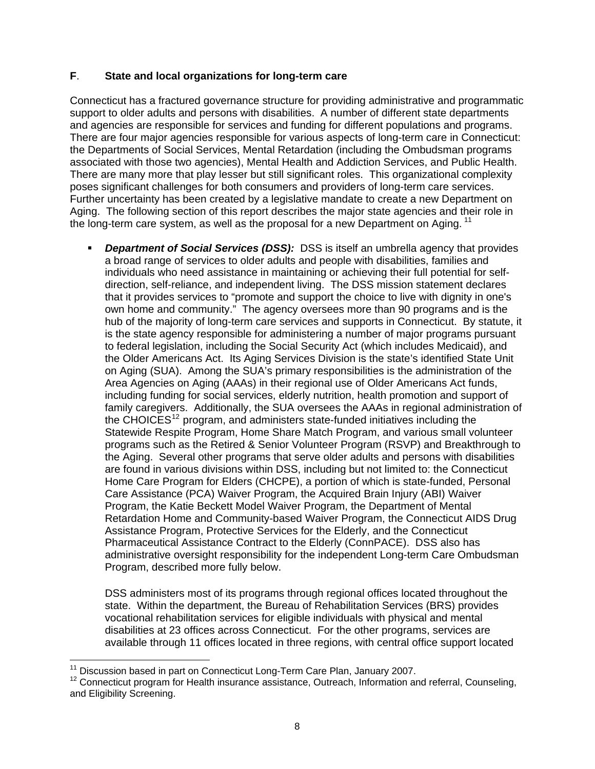# **F**. **State and local organizations for long-term care**

Connecticut has a fractured governance structure for providing administrative and programmatic support to older adults and persons with disabilities. A number of different state departments and agencies are responsible for services and funding for different populations and programs. There are four major agencies responsible for various aspects of long-term care in Connecticut: the Departments of Social Services, Mental Retardation (including the Ombudsman programs associated with those two agencies), Mental Health and Addiction Services, and Public Health. There are many more that play lesser but still significant roles. This organizational complexity poses significant challenges for both consumers and providers of long-term care services. Further uncertainty has been created by a legislative mandate to create a new Department on Aging. The following section of this report describes the major state agencies and their role in the long-term care system, as well as the proposal for a new Department on Aging.  $11$ 

 *Department of Social Services (DSS):* DSS is itself an umbrella agency that provides a broad range of services to older adults and people with disabilities, families and individuals who need assistance in maintaining or achieving their full potential for selfdirection, self-reliance, and independent living. The DSS mission statement declares that it provides services to "promote and support the choice to live with dignity in one's own home and community." The agency oversees more than 90 programs and is the hub of the majority of long-term care services and supports in Connecticut. By statute, it is the state agency responsible for administering a number of major programs pursuant to federal legislation, including the Social Security Act (which includes Medicaid), and the Older Americans Act. Its Aging Services Division is the state's identified State Unit on Aging (SUA). Among the SUA's primary responsibilities is the administration of the Area Agencies on Aging (AAAs) in their regional use of Older Americans Act funds, including funding for social services, elderly nutrition, health promotion and support of family caregivers. Additionally, the SUA oversees the AAAs in regional administration of the CHOICES<sup>[12](#page-13-1)</sup> program, and administers state-funded initiatives including the Statewide Respite Program, Home Share Match Program, and various small volunteer programs such as the Retired & Senior Volunteer Program (RSVP) and Breakthrough to the Aging. Several other programs that serve older adults and persons with disabilities are found in various divisions within DSS, including but not limited to: the Connecticut Home Care Program for Elders (CHCPE), a portion of which is state-funded, Personal Care Assistance (PCA) Waiver Program, the Acquired Brain Injury (ABI) Waiver Program, the Katie Beckett Model Waiver Program, the Department of Mental Retardation Home and Community-based Waiver Program, the Connecticut AIDS Drug Assistance Program, Protective Services for the Elderly, and the Connecticut Pharmaceutical Assistance Contract to the Elderly (ConnPACE). DSS also has administrative oversight responsibility for the independent Long-term Care Ombudsman Program, described more fully below.

DSS administers most of its programs through regional offices located throughout the state. Within the department, the Bureau of Rehabilitation Services (BRS) provides vocational rehabilitation services for eligible individuals with physical and mental disabilities at 23 offices across Connecticut. For the other programs, services are available through 11 offices located in three regions, with central office support located

 $\overline{a}$ 

<span id="page-13-1"></span><span id="page-13-0"></span><sup>&</sup>lt;sup>11</sup> Discussion based in part on Connecticut Long-Term Care Plan, January 2007.<br><sup>12</sup> Connecticut program for Health insurance assistance, Outreach, Information and referral, Counseling, and Eligibility Screening.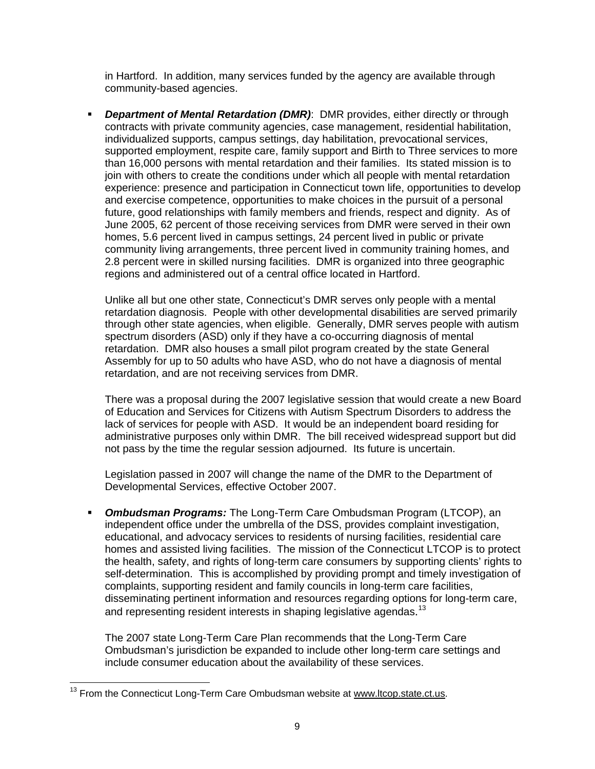in Hartford. In addition, many services funded by the agency are available through community-based agencies.

 *Department of Mental Retardation (DMR)*: DMR provides, either directly or through contracts with private community agencies, case management, residential habilitation, individualized supports, campus settings, day habilitation, prevocational services, supported employment, respite care, family support and Birth to Three services to more than 16,000 persons with mental retardation and their families. Its stated mission is to join with others to create the conditions under which all people with mental retardation experience: presence and participation in Connecticut town life, opportunities to develop and exercise competence, opportunities to make choices in the pursuit of a personal future, good relationships with family members and friends, respect and dignity. As of June 2005, 62 percent of those receiving services from DMR were served in their own homes, 5.6 percent lived in campus settings, 24 percent lived in public or private community living arrangements, three percent lived in community training homes, and 2.8 percent were in skilled nursing facilities. DMR is organized into three geographic regions and administered out of a central office located in Hartford.

Unlike all but one other state, Connecticut's DMR serves only people with a mental retardation diagnosis. People with other developmental disabilities are served primarily through other state agencies, when eligible. Generally, DMR serves people with autism spectrum disorders (ASD) only if they have a co-occurring diagnosis of mental retardation. DMR also houses a small pilot program created by the state General Assembly for up to 50 adults who have ASD, who do not have a diagnosis of mental retardation, and are not receiving services from DMR.

There was a proposal during the 2007 legislative session that would create a new Board of Education and Services for Citizens with Autism Spectrum Disorders to address the lack of services for people with ASD. It would be an independent board residing for administrative purposes only within DMR. The bill received widespread support but did not pass by the time the regular session adjourned. Its future is uncertain.

Legislation passed in 2007 will change the name of the DMR to the Department of Developmental Services, effective October 2007.

 *Ombudsman Programs:* The Long-Term Care Ombudsman Program (LTCOP), an independent office under the umbrella of the DSS, provides complaint investigation, educational, and advocacy services to residents of nursing facilities, residential care homes and assisted living facilities. The mission of the Connecticut LTCOP is to protect the health, safety, and rights of long-term care consumers by supporting clients' rights to self-determination. This is accomplished by providing prompt and timely investigation of complaints, supporting resident and family councils in long-term care facilities, disseminating pertinent information and resources regarding options for long-term care, and representing resident interests in shaping legislative agendas.<sup>[13](#page-14-0)</sup>

The 2007 state Long-Term Care Plan recommends that the Long-Term Care Ombudsman's jurisdiction be expanded to include other long-term care settings and include consumer education about the availability of these services.

 $\overline{a}$ 

<span id="page-14-0"></span> $13$  From the Connecticut Long-Term Care Ombudsman website at [www.ltcop.state.ct.us](http://www.ltcop.state.ct.us/).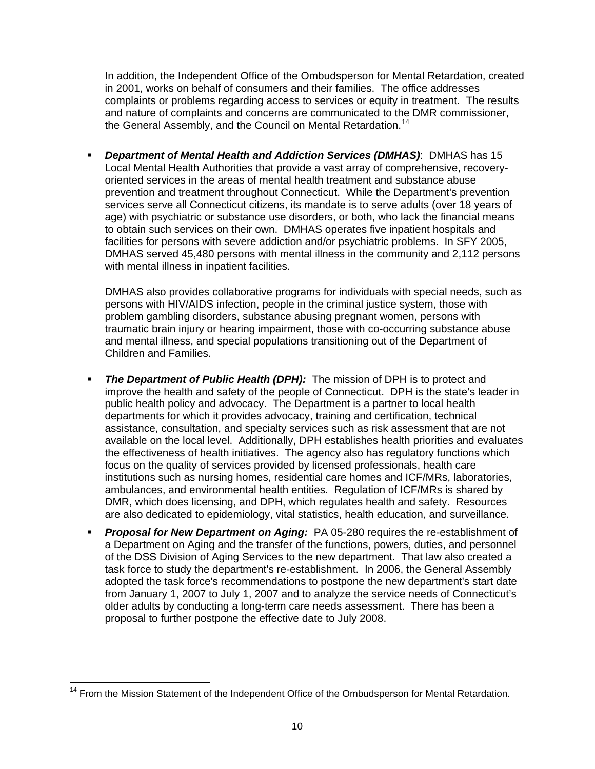In addition, the Independent Office of the Ombudsperson for Mental Retardation, created in 2001, works on behalf of consumers and their families. The office addresses complaints or problems regarding access to services or equity in treatment. The results and nature of complaints and concerns are communicated to the DMR commissioner, the General Assembly, and the Council on Mental Retardation.<sup>[14](#page-15-0)</sup>

 *Department of Mental Health and Addiction Services (DMHAS)*: DMHAS has 15 Local Mental Health Authorities that provide a vast array of comprehensive, recoveryoriented services in the areas of mental health treatment and substance abuse prevention and treatment throughout Connecticut. While the Department's prevention services serve all Connecticut citizens, its mandate is to serve adults (over 18 years of age) with psychiatric or substance use disorders, or both, who lack the financial means to obtain such services on their own. DMHAS operates five inpatient hospitals and facilities for persons with severe addiction and/or psychiatric problems. In SFY 2005, DMHAS served 45,480 persons with mental illness in the community and 2,112 persons with mental illness in inpatient facilities.

DMHAS also provides collaborative programs for individuals with special needs, such as persons with HIV/AIDS infection, people in the criminal justice system, those with problem gambling disorders, substance abusing pregnant women, persons with traumatic brain injury or hearing impairment, those with co-occurring substance abuse and mental illness, and special populations transitioning out of the Department of Children and Families.

- **The Department of Public Health (DPH):** The mission of DPH is to protect and improve the health and safety of the people of Connecticut. DPH is the state's leader in public health policy and advocacy. The Department is a partner to local health departments for which it provides advocacy, training and certification, technical assistance, consultation, and specialty services such as risk assessment that are not available on the local level. Additionally, DPH establishes health priorities and evaluates the effectiveness of health initiatives. The agency also has regulatory functions which focus on the quality of services provided by licensed professionals, health care institutions such as nursing homes, residential care homes and ICF/MRs, laboratories, ambulances, and environmental health entities. Regulation of ICF/MRs is shared by DMR, which does licensing, and DPH, which regulates health and safety. Resources are also dedicated to epidemiology, vital statistics, health education, and surveillance.
- **Proposal for New Department on Aging:** PA 05-280 requires the re-establishment of a Department on Aging and the transfer of the functions, powers, duties, and personnel of the DSS Division of Aging Services to the new department. That law also created a task force to study the department's re-establishment. In 2006, the General Assembly adopted the task force's recommendations to postpone the new department's start date from January 1, 2007 to July 1, 2007 and to analyze the service needs of Connecticut's older adults by conducting a long-term care needs assessment. There has been a proposal to further postpone the effective date to July 2008.

<span id="page-15-0"></span> $\overline{a}$ <sup>14</sup> From the Mission Statement of the Independent Office of the Ombudsperson for Mental Retardation.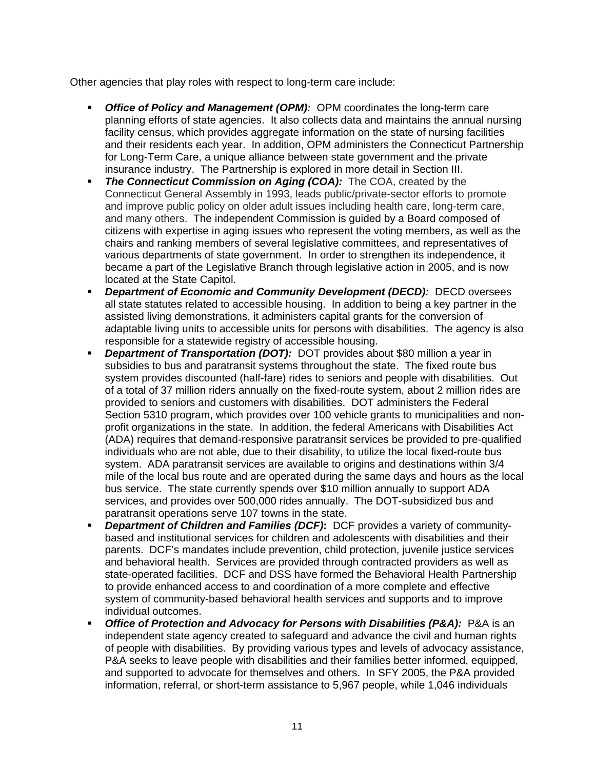Other agencies that play roles with respect to long-term care include:

- *Office of Policy and Management (OPM):*OPM coordinates the long-term care planning efforts of state agencies. It also collects data and maintains the annual nursing facility census, which provides aggregate information on the state of nursing facilities and their residents each year. In addition, OPM administers the Connecticut Partnership for Long-Term Care, a unique alliance between state government and the private insurance industry. The Partnership is explored in more detail in Section III.
- **The Connecticut Commission on Aging (COA):** The COA, created by the Connecticut General Assembly in 1993, leads public/private-sector efforts to promote and improve public policy on older adult issues including health care, long-term care, and many others. The independent Commission is guided by a Board composed of citizens with expertise in aging issues who represent the voting members, as well as the chairs and ranking members of several legislative committees, and representatives of various departments of state government. In order to strengthen its independence, it became a part of the Legislative Branch through legislative action in 2005, and is now located at the State Capitol.
- *Department of Economic and Community Development (DECD):* DECD oversees all state statutes related to accessible housing. In addition to being a key partner in the assisted living demonstrations, it administers capital grants for the conversion of adaptable living units to accessible units for persons with disabilities. The agency is also responsible for a statewide registry of accessible housing.
- *Department of Transportation (DOT):* DOT provides about \$80 million a year in subsidies to bus and paratransit systems throughout the state. The fixed route bus system provides discounted (half-fare) rides to seniors and people with disabilities. Out of a total of 37 million riders annually on the fixed-route system, about 2 million rides are provided to seniors and customers with disabilities. DOT administers the Federal Section 5310 program, which provides over 100 vehicle grants to municipalities and nonprofit organizations in the state. In addition, the federal Americans with Disabilities Act (ADA) requires that demand-responsive paratransit services be provided to pre-qualified individuals who are not able, due to their disability, to utilize the local fixed-route bus system. ADA paratransit services are available to origins and destinations within 3/4 mile of the local bus route and are operated during the same days and hours as the local bus service. The state currently spends over \$10 million annually to support ADA services, and provides over 500,000 rides annually. The DOT-subsidized bus and paratransit operations serve 107 towns in the state.
- *Department of Children and Families (DCF)***:** DCF provides a variety of communitybased and institutional services for children and adolescents with disabilities and their parents. DCF's mandates include prevention, child protection, juvenile justice services and behavioral health. Services are provided through contracted providers as well as state-operated facilities. DCF and DSS have formed the Behavioral Health Partnership to provide enhanced access to and coordination of a more complete and effective system of community-based behavioral health services and supports and to improve individual outcomes.
- *Office of Protection and Advocacy for Persons with Disabilities (P&A):* P&A is an independent state agency created to safeguard and advance the civil and human rights of people with disabilities. By providing various types and levels of advocacy assistance, P&A seeks to leave people with disabilities and their families better informed, equipped, and supported to advocate for themselves and others. In SFY 2005, the P&A provided information, referral, or short-term assistance to 5,967 people, while 1,046 individuals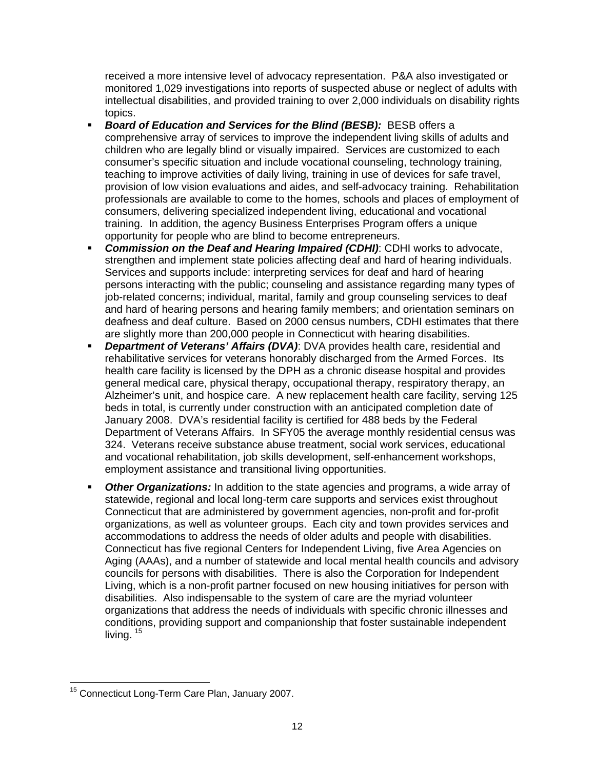received a more intensive level of advocacy representation. P&A also investigated or monitored 1,029 investigations into reports of suspected abuse or neglect of adults with intellectual disabilities, and provided training to over 2,000 individuals on disability rights topics.

- *Board of Education and Services for the Blind (BESB):* BESB offers a comprehensive array of services to improve the independent living skills of adults and children who are legally blind or visually impaired. Services are customized to each consumer's specific situation and include vocational counseling, technology training, teaching to improve activities of daily living, training in use of devices for safe travel, provision of low vision evaluations and aides, and self-advocacy training. Rehabilitation professionals are available to come to the homes, schools and places of employment of consumers, delivering specialized independent living, educational and vocational training. In addition, the agency Business Enterprises Program offers a unique opportunity for people who are blind to become entrepreneurs.
- *Commission on the Deaf and Hearing Impaired (CDHI)*: CDHI works to advocate, strengthen and implement state policies affecting deaf and hard of hearing individuals. Services and supports include: interpreting services for deaf and hard of hearing persons interacting with the public; counseling and assistance regarding many types of job-related concerns; individual, marital, family and group counseling services to deaf and hard of hearing persons and hearing family members; and orientation seminars on deafness and deaf culture. Based on 2000 census numbers, CDHI estimates that there are slightly more than 200,000 people in Connecticut with hearing disabilities.
- *Department of Veterans' Affairs (DVA)*: DVA provides health care, residential and rehabilitative services for veterans honorably discharged from the Armed Forces. Its health care facility is licensed by the DPH as a chronic disease hospital and provides general medical care, physical therapy, occupational therapy, respiratory therapy, an Alzheimer's unit, and hospice care. A new replacement health care facility, serving 125 beds in total, is currently under construction with an anticipated completion date of January 2008. DVA's residential facility is certified for 488 beds by the Federal Department of Veterans Affairs. In SFY05 the average monthly residential census was 324. Veterans receive substance abuse treatment, social work services, educational and vocational rehabilitation, job skills development, self-enhancement workshops, employment assistance and transitional living opportunities.
- *Other Organizations:* In addition to the state agencies and programs, a wide array of statewide, regional and local long-term care supports and services exist throughout Connecticut that are administered by government agencies, non-profit and for-profit organizations, as well as volunteer groups. Each city and town provides services and accommodations to address the needs of older adults and people with disabilities. Connecticut has five regional Centers for Independent Living, five Area Agencies on Aging (AAAs), and a number of statewide and local mental health councils and advisory councils for persons with disabilities. There is also the Corporation for Independent Living, which is a non-profit partner focused on new housing initiatives for person with disabilities. Also indispensable to the system of care are the myriad volunteer organizations that address the needs of individuals with specific chronic illnesses and conditions, providing support and companionship that foster sustainable independent living.  $15$

<span id="page-17-0"></span> $\overline{a}$ <sup>15</sup> Connecticut Long-Term Care Plan, January 2007.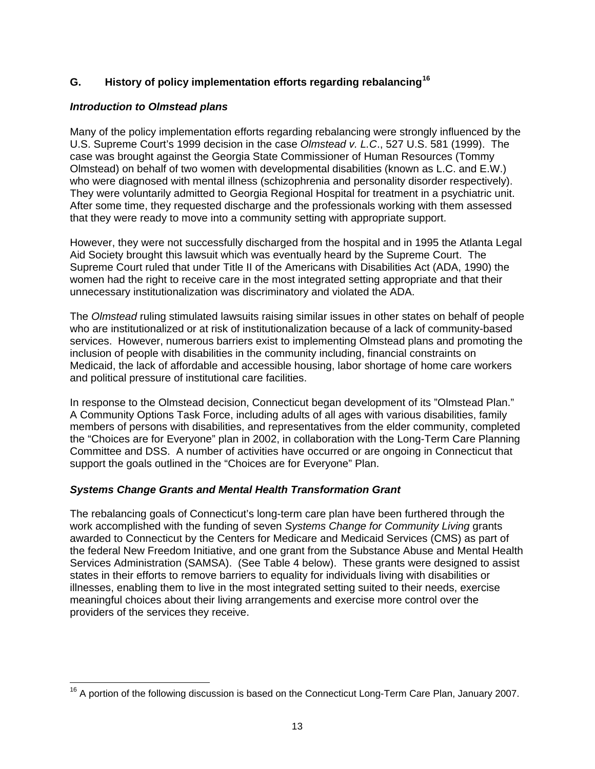# **G. History of policy implementation efforts regarding rebalancing[16](#page-18-0)**

# *Introduction to Olmstead plans*

Many of the policy implementation efforts regarding rebalancing were strongly influenced by the U.S. Supreme Court's 1999 decision in the case *Olmstead v. L.C*., 527 U.S. 581 (1999). The case was brought against the Georgia State Commissioner of Human Resources (Tommy Olmstead) on behalf of two women with developmental disabilities (known as L.C. and E.W.) who were diagnosed with mental illness (schizophrenia and personality disorder respectively). They were voluntarily admitted to Georgia Regional Hospital for treatment in a psychiatric unit. After some time, they requested discharge and the professionals working with them assessed that they were ready to move into a community setting with appropriate support.

However, they were not successfully discharged from the hospital and in 1995 the Atlanta Legal Aid Society brought this lawsuit which was eventually heard by the Supreme Court. The Supreme Court ruled that under Title II of the Americans with Disabilities Act (ADA, 1990) the women had the right to receive care in the most integrated setting appropriate and that their unnecessary institutionalization was discriminatory and violated the ADA.

The *Olmstead* ruling stimulated lawsuits raising similar issues in other states on behalf of people who are institutionalized or at risk of institutionalization because of a lack of community-based services. However, numerous barriers exist to implementing Olmstead plans and promoting the inclusion of people with disabilities in the community including, financial constraints on Medicaid, the lack of affordable and accessible housing, labor shortage of home care workers and political pressure of institutional care facilities.

In response to the Olmstead decision, Connecticut began development of its "Olmstead Plan." A Community Options Task Force, including adults of all ages with various disabilities, family members of persons with disabilities, and representatives from the elder community, completed the "Choices are for Everyone" plan in 2002, in collaboration with the Long-Term Care Planning Committee and DSS. A number of activities have occurred or are ongoing in Connecticut that support the goals outlined in the "Choices are for Everyone" Plan.

# *Systems Change Grants and Mental Health Transformation Grant*

The rebalancing goals of Connecticut's long-term care plan have been furthered through the work accomplished with the funding of seven *Systems Change for Community Living* grants awarded to Connecticut by the Centers for Medicare and Medicaid Services (CMS) as part of the federal New Freedom Initiative, and one grant from the Substance Abuse and Mental Health Services Administration (SAMSA). (See Table 4 below). These grants were designed to assist states in their efforts to remove barriers to equality for individuals living with disabilities or illnesses, enabling them to live in the most integrated setting suited to their needs, exercise meaningful choices about their living arrangements and exercise more control over the providers of the services they receive.

<span id="page-18-0"></span> $\overline{a}$  $16$  A portion of the following discussion is based on the Connecticut Long-Term Care Plan, January 2007.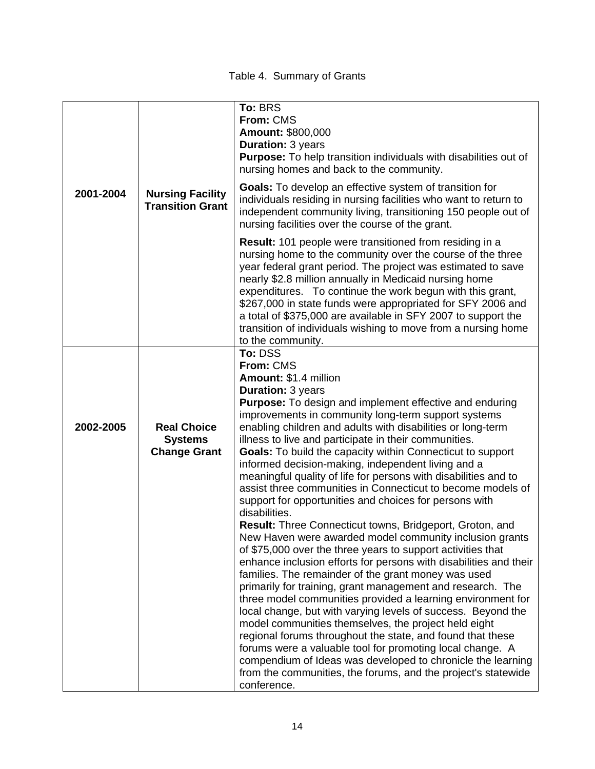Table 4. Summary of Grants

|           |                                                    | To: BRS<br>From: CMS<br><b>Amount: \$800,000</b><br>Duration: 3 years<br><b>Purpose:</b> To help transition individuals with disabilities out of<br>nursing homes and back to the community.                                                                                                                                                                                                                                                                                                                                              |
|-----------|----------------------------------------------------|-------------------------------------------------------------------------------------------------------------------------------------------------------------------------------------------------------------------------------------------------------------------------------------------------------------------------------------------------------------------------------------------------------------------------------------------------------------------------------------------------------------------------------------------|
| 2001-2004 | <b>Nursing Facility</b><br><b>Transition Grant</b> | <b>Goals:</b> To develop an effective system of transition for<br>individuals residing in nursing facilities who want to return to<br>independent community living, transitioning 150 people out of<br>nursing facilities over the course of the grant.                                                                                                                                                                                                                                                                                   |
|           |                                                    | <b>Result:</b> 101 people were transitioned from residing in a<br>nursing home to the community over the course of the three<br>year federal grant period. The project was estimated to save<br>nearly \$2.8 million annually in Medicaid nursing home<br>expenditures. To continue the work begun with this grant,<br>\$267,000 in state funds were appropriated for SFY 2006 and<br>a total of \$375,000 are available in SFY 2007 to support the<br>transition of individuals wishing to move from a nursing home<br>to the community. |
|           |                                                    | To: DSS<br>From: CMS                                                                                                                                                                                                                                                                                                                                                                                                                                                                                                                      |
|           |                                                    | Amount: \$1.4 million                                                                                                                                                                                                                                                                                                                                                                                                                                                                                                                     |
|           |                                                    | <b>Duration: 3 years</b><br><b>Purpose:</b> To design and implement effective and enduring                                                                                                                                                                                                                                                                                                                                                                                                                                                |
|           |                                                    | improvements in community long-term support systems                                                                                                                                                                                                                                                                                                                                                                                                                                                                                       |
| 2002-2005 | <b>Real Choice</b>                                 | enabling children and adults with disabilities or long-term                                                                                                                                                                                                                                                                                                                                                                                                                                                                               |
|           | <b>Systems</b>                                     | illness to live and participate in their communities.                                                                                                                                                                                                                                                                                                                                                                                                                                                                                     |
|           | <b>Change Grant</b>                                | <b>Goals:</b> To build the capacity within Connecticut to support<br>informed decision-making, independent living and a                                                                                                                                                                                                                                                                                                                                                                                                                   |
|           |                                                    | meaningful quality of life for persons with disabilities and to                                                                                                                                                                                                                                                                                                                                                                                                                                                                           |
|           |                                                    | assist three communities in Connecticut to become models of                                                                                                                                                                                                                                                                                                                                                                                                                                                                               |
|           |                                                    | support for opportunities and choices for persons with<br>disabilities.                                                                                                                                                                                                                                                                                                                                                                                                                                                                   |
|           |                                                    | <b>Result:</b> Three Connecticut towns, Bridgeport, Groton, and                                                                                                                                                                                                                                                                                                                                                                                                                                                                           |
|           |                                                    | New Haven were awarded model community inclusion grants                                                                                                                                                                                                                                                                                                                                                                                                                                                                                   |
|           |                                                    | of \$75,000 over the three years to support activities that<br>enhance inclusion efforts for persons with disabilities and their                                                                                                                                                                                                                                                                                                                                                                                                          |
|           |                                                    | families. The remainder of the grant money was used                                                                                                                                                                                                                                                                                                                                                                                                                                                                                       |
|           |                                                    | primarily for training, grant management and research. The                                                                                                                                                                                                                                                                                                                                                                                                                                                                                |
|           |                                                    | three model communities provided a learning environment for                                                                                                                                                                                                                                                                                                                                                                                                                                                                               |
|           |                                                    | local change, but with varying levels of success. Beyond the<br>model communities themselves, the project held eight                                                                                                                                                                                                                                                                                                                                                                                                                      |
|           |                                                    | regional forums throughout the state, and found that these                                                                                                                                                                                                                                                                                                                                                                                                                                                                                |
|           |                                                    | forums were a valuable tool for promoting local change. A                                                                                                                                                                                                                                                                                                                                                                                                                                                                                 |
|           |                                                    | compendium of Ideas was developed to chronicle the learning<br>from the communities, the forums, and the project's statewide                                                                                                                                                                                                                                                                                                                                                                                                              |
|           |                                                    | conference.                                                                                                                                                                                                                                                                                                                                                                                                                                                                                                                               |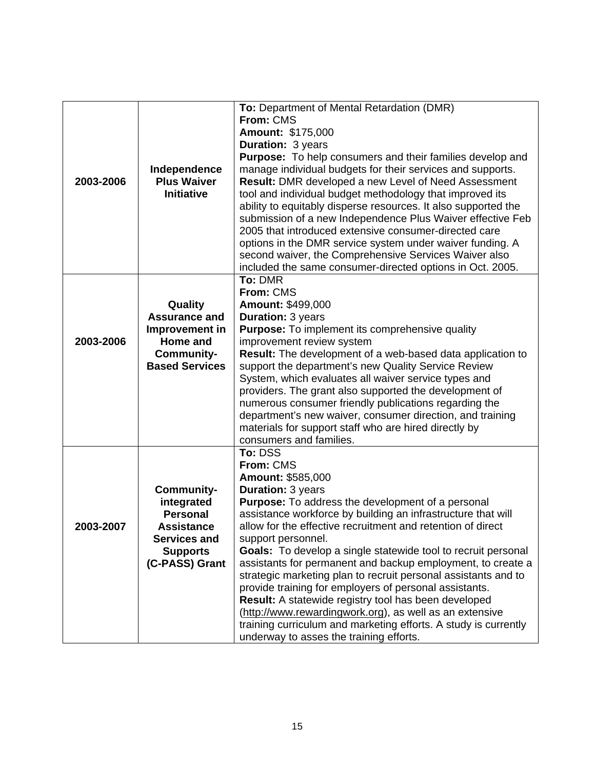|           |                       | To: Department of Mental Retardation (DMR)                           |  |  |  |
|-----------|-----------------------|----------------------------------------------------------------------|--|--|--|
|           |                       | From: CMS                                                            |  |  |  |
|           |                       | Amount: \$175,000                                                    |  |  |  |
|           |                       |                                                                      |  |  |  |
|           |                       | <b>Duration: 3 years</b>                                             |  |  |  |
|           |                       | <b>Purpose:</b> To help consumers and their families develop and     |  |  |  |
|           | Independence          | manage individual budgets for their services and supports.           |  |  |  |
| 2003-2006 | <b>Plus Waiver</b>    | Result: DMR developed a new Level of Need Assessment                 |  |  |  |
|           | <b>Initiative</b>     | tool and individual budget methodology that improved its             |  |  |  |
|           |                       | ability to equitably disperse resources. It also supported the       |  |  |  |
|           |                       | submission of a new Independence Plus Waiver effective Feb           |  |  |  |
|           |                       | 2005 that introduced extensive consumer-directed care                |  |  |  |
|           |                       | options in the DMR service system under waiver funding. A            |  |  |  |
|           |                       | second waiver, the Comprehensive Services Waiver also                |  |  |  |
|           |                       |                                                                      |  |  |  |
|           |                       | included the same consumer-directed options in Oct. 2005.            |  |  |  |
|           |                       | To: DMR                                                              |  |  |  |
|           |                       | From: CMS                                                            |  |  |  |
|           | Quality               | <b>Amount: \$499,000</b>                                             |  |  |  |
|           | <b>Assurance and</b>  | <b>Duration: 3 years</b>                                             |  |  |  |
|           | Improvement in        | <b>Purpose:</b> To implement its comprehensive quality               |  |  |  |
| 2003-2006 | Home and              | improvement review system                                            |  |  |  |
|           | Community-            | Result: The development of a web-based data application to           |  |  |  |
|           | <b>Based Services</b> | support the department's new Quality Service Review                  |  |  |  |
|           |                       | System, which evaluates all waiver service types and                 |  |  |  |
|           |                       | providers. The grant also supported the development of               |  |  |  |
|           |                       | numerous consumer friendly publications regarding the                |  |  |  |
|           |                       | department's new waiver, consumer direction, and training            |  |  |  |
|           |                       | materials for support staff who are hired directly by                |  |  |  |
|           |                       | consumers and families.                                              |  |  |  |
|           |                       | To: DSS                                                              |  |  |  |
|           |                       | From: CMS                                                            |  |  |  |
|           |                       | Amount: \$585,000                                                    |  |  |  |
|           | <b>Community-</b>     | Duration: 3 years                                                    |  |  |  |
|           | integrated            | Purpose: To address the development of a personal                    |  |  |  |
|           | <b>Personal</b>       | assistance workforce by building an infrastructure that will         |  |  |  |
|           |                       | allow for the effective recruitment and retention of direct          |  |  |  |
| 2003-2007 | <b>Assistance</b>     |                                                                      |  |  |  |
|           | <b>Services and</b>   | support personnel.                                                   |  |  |  |
|           | <b>Supports</b>       | <b>Goals:</b> To develop a single statewide tool to recruit personal |  |  |  |
|           | (C-PASS) Grant        | assistants for permanent and backup employment, to create a          |  |  |  |
|           |                       | strategic marketing plan to recruit personal assistants and to       |  |  |  |
|           |                       | provide training for employers of personal assistants.               |  |  |  |
|           |                       | Result: A statewide registry tool has been developed                 |  |  |  |
|           |                       | (http://www.rewardingwork.org), as well as an extensive              |  |  |  |
|           |                       | training curriculum and marketing efforts. A study is currently      |  |  |  |
|           |                       | underway to asses the training efforts.                              |  |  |  |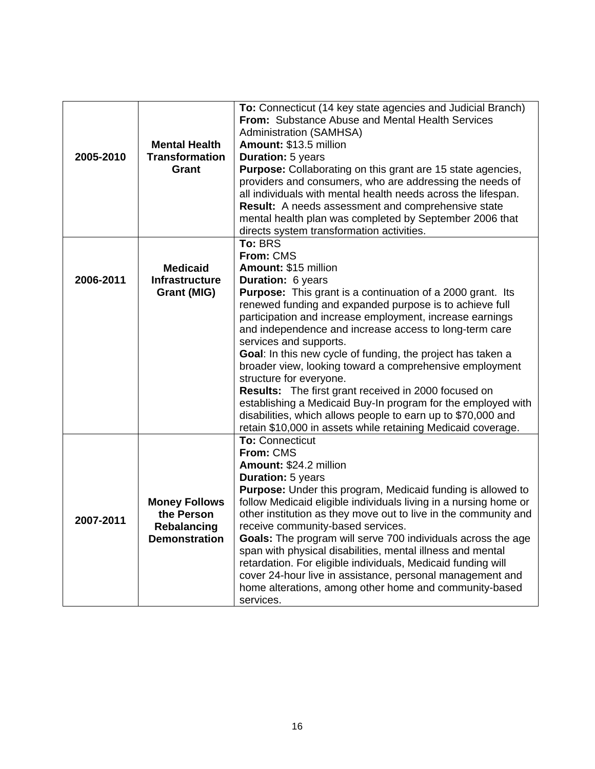| 2005-2010 | <b>Mental Health</b><br><b>Transformation</b><br>Grant                           | To: Connecticut (14 key state agencies and Judicial Branch)<br>From: Substance Abuse and Mental Health Services<br><b>Administration (SAMHSA)</b><br>Amount: \$13.5 million<br><b>Duration: 5 years</b><br>Purpose: Collaborating on this grant are 15 state agencies,<br>providers and consumers, who are addressing the needs of<br>all individuals with mental health needs across the lifespan.                                                                                                                                                                                                                                                                           |
|-----------|----------------------------------------------------------------------------------|-------------------------------------------------------------------------------------------------------------------------------------------------------------------------------------------------------------------------------------------------------------------------------------------------------------------------------------------------------------------------------------------------------------------------------------------------------------------------------------------------------------------------------------------------------------------------------------------------------------------------------------------------------------------------------|
|           |                                                                                  | <b>Result:</b> A needs assessment and comprehensive state<br>mental health plan was completed by September 2006 that                                                                                                                                                                                                                                                                                                                                                                                                                                                                                                                                                          |
|           |                                                                                  | directs system transformation activities.<br>To: BRS                                                                                                                                                                                                                                                                                                                                                                                                                                                                                                                                                                                                                          |
| 2006-2011 | <b>Medicaid</b><br><b>Infrastructure</b>                                         | From: CMS<br>Amount: \$15 million<br>Duration: 6 years                                                                                                                                                                                                                                                                                                                                                                                                                                                                                                                                                                                                                        |
|           | Grant (MIG)                                                                      | <b>Purpose:</b> This grant is a continuation of a 2000 grant. Its<br>renewed funding and expanded purpose is to achieve full<br>participation and increase employment, increase earnings<br>and independence and increase access to long-term care<br>services and supports.<br>Goal: In this new cycle of funding, the project has taken a<br>broader view, looking toward a comprehensive employment<br>structure for everyone.<br><b>Results:</b> The first grant received in 2000 focused on<br>establishing a Medicaid Buy-In program for the employed with<br>disabilities, which allows people to earn up to \$70,000 and                                              |
|           |                                                                                  | retain \$10,000 in assets while retaining Medicaid coverage.                                                                                                                                                                                                                                                                                                                                                                                                                                                                                                                                                                                                                  |
| 2007-2011 | <b>Money Follows</b><br>the Person<br><b>Rebalancing</b><br><b>Demonstration</b> | <b>To: Connecticut</b><br>From: CMS<br>Amount: \$24.2 million<br><b>Duration: 5 years</b><br><b>Purpose:</b> Under this program, Medicaid funding is allowed to<br>follow Medicaid eligible individuals living in a nursing home or<br>other institution as they move out to live in the community and<br>receive community-based services.<br>Goals: The program will serve 700 individuals across the age<br>span with physical disabilities, mental illness and mental<br>retardation. For eligible individuals, Medicaid funding will<br>cover 24-hour live in assistance, personal management and<br>home alterations, among other home and community-based<br>services. |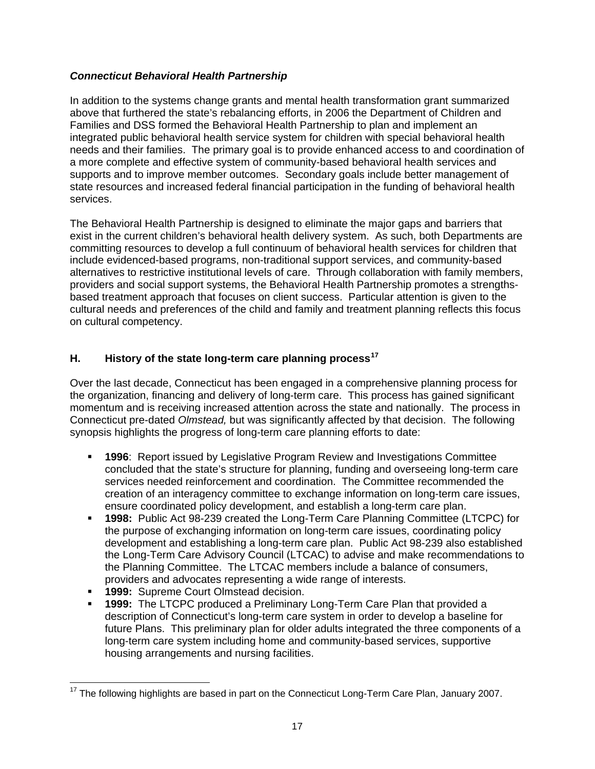# *Connecticut Behavioral Health Partnership*

In addition to the systems change grants and mental health transformation grant summarized above that furthered the state's rebalancing efforts, in 2006 the Department of Children and Families and DSS formed the Behavioral Health Partnership to plan and implement an integrated public behavioral health service system for children with special behavioral health needs and their families. The primary goal is to provide enhanced access to and coordination of a more complete and effective system of community-based behavioral health services and supports and to improve member outcomes. Secondary goals include better management of state resources and increased federal financial participation in the funding of behavioral health services.

The Behavioral Health Partnership is designed to eliminate the major gaps and barriers that exist in the current children's behavioral health delivery system. As such, both Departments are committing resources to develop a full continuum of behavioral health services for children that include evidenced-based programs, non-traditional support services, and community-based alternatives to restrictive institutional levels of care. Through collaboration with family members, providers and social support systems, the Behavioral Health Partnership promotes a strengthsbased treatment approach that focuses on client success. Particular attention is given to the cultural needs and preferences of the child and family and treatment planning reflects this focus on cultural competency.

# **H. History of the state long-term care planning process[17](#page-22-0)**

Over the last decade, Connecticut has been engaged in a comprehensive planning process for the organization, financing and delivery of long-term care. This process has gained significant momentum and is receiving increased attention across the state and nationally. The process in Connecticut pre-dated *Olmstead,* but was significantly affected by that decision. The following synopsis highlights the progress of long-term care planning efforts to date:

- **1996**: Report issued by Legislative Program Review and Investigations Committee concluded that the state's structure for planning, funding and overseeing long-term care services needed reinforcement and coordination. The Committee recommended the creation of an interagency committee to exchange information on long-term care issues, ensure coordinated policy development, and establish a long-term care plan.
- **1998:** Public Act 98-239 created the Long-Term Care Planning Committee (LTCPC) for the purpose of exchanging information on long-term care issues, coordinating policy development and establishing a long-term care plan. Public Act 98-239 also established the Long-Term Care Advisory Council (LTCAC) to advise and make recommendations to the Planning Committee. The LTCAC members include a balance of consumers, providers and advocates representing a wide range of interests.
- **1999:** Supreme Court Olmstead decision.
- **1999:** The LTCPC produced a Preliminary Long-Term Care Plan that provided a description of Connecticut's long-term care system in order to develop a baseline for future Plans. This preliminary plan for older adults integrated the three components of a long-term care system including home and community-based services, supportive housing arrangements and nursing facilities.

<span id="page-22-0"></span> $\overline{a}$  $17$  The following highlights are based in part on the Connecticut Long-Term Care Plan, January 2007.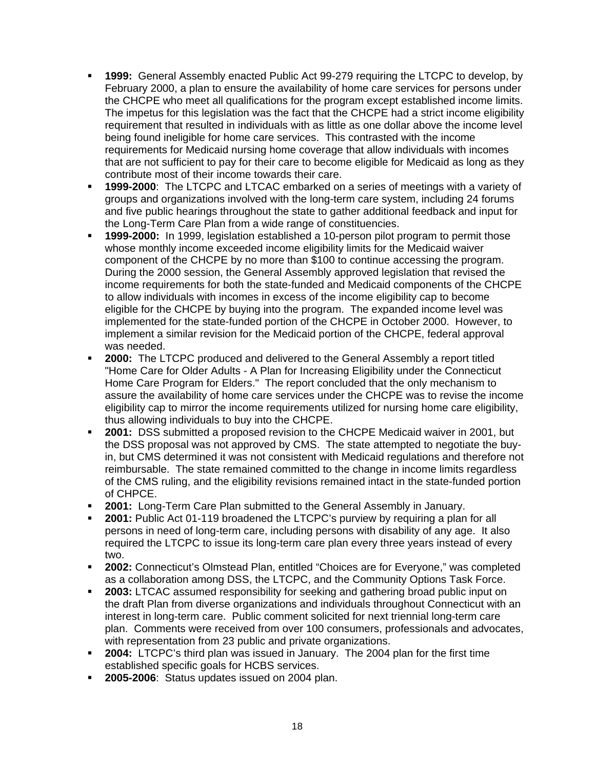- **1999:** General Assembly enacted Public Act 99-279 requiring the LTCPC to develop, by February 2000, a plan to ensure the availability of home care services for persons under the CHCPE who meet all qualifications for the program except established income limits. The impetus for this legislation was the fact that the CHCPE had a strict income eligibility requirement that resulted in individuals with as little as one dollar above the income level being found ineligible for home care services. This contrasted with the income requirements for Medicaid nursing home coverage that allow individuals with incomes that are not sufficient to pay for their care to become eligible for Medicaid as long as they contribute most of their income towards their care.
- **1999-2000**: The LTCPC and LTCAC embarked on a series of meetings with a variety of groups and organizations involved with the long-term care system, including 24 forums and five public hearings throughout the state to gather additional feedback and input for the Long-Term Care Plan from a wide range of constituencies.
- **1999-2000:** In 1999, legislation established a 10-person pilot program to permit those whose monthly income exceeded income eligibility limits for the Medicaid waiver component of the CHCPE by no more than \$100 to continue accessing the program. During the 2000 session, the General Assembly approved legislation that revised the income requirements for both the state-funded and Medicaid components of the CHCPE to allow individuals with incomes in excess of the income eligibility cap to become eligible for the CHCPE by buying into the program. The expanded income level was implemented for the state-funded portion of the CHCPE in October 2000. However, to implement a similar revision for the Medicaid portion of the CHCPE, federal approval was needed.
- **2000:** The LTCPC produced and delivered to the General Assembly a report titled "Home Care for Older Adults - A Plan for Increasing Eligibility under the Connecticut Home Care Program for Elders." The report concluded that the only mechanism to assure the availability of home care services under the CHCPE was to revise the income eligibility cap to mirror the income requirements utilized for nursing home care eligibility, thus allowing individuals to buy into the CHCPE.
- **2001:** DSS submitted a proposed revision to the CHCPE Medicaid waiver in 2001, but the DSS proposal was not approved by CMS. The state attempted to negotiate the buyin, but CMS determined it was not consistent with Medicaid regulations and therefore not reimbursable. The state remained committed to the change in income limits regardless of the CMS ruling, and the eligibility revisions remained intact in the state-funded portion of CHPCE.
- **2001:** Long-Term Care Plan submitted to the General Assembly in January.
- **2001:** Public Act 01-119 broadened the LTCPC's purview by requiring a plan for all persons in need of long-term care, including persons with disability of any age. It also required the LTCPC to issue its long-term care plan every three years instead of every two.
- **2002:** Connecticut's Olmstead Plan, entitled "Choices are for Everyone," was completed as a collaboration among DSS, the LTCPC, and the Community Options Task Force.
- **2003:** LTCAC assumed responsibility for seeking and gathering broad public input on the draft Plan from diverse organizations and individuals throughout Connecticut with an interest in long-term care. Public comment solicited for next triennial long-term care plan. Comments were received from over 100 consumers, professionals and advocates, with representation from 23 public and private organizations.
- **2004:** LTCPC's third plan was issued in January. The 2004 plan for the first time established specific goals for HCBS services.
- **2005-2006:** Status updates issued on 2004 plan.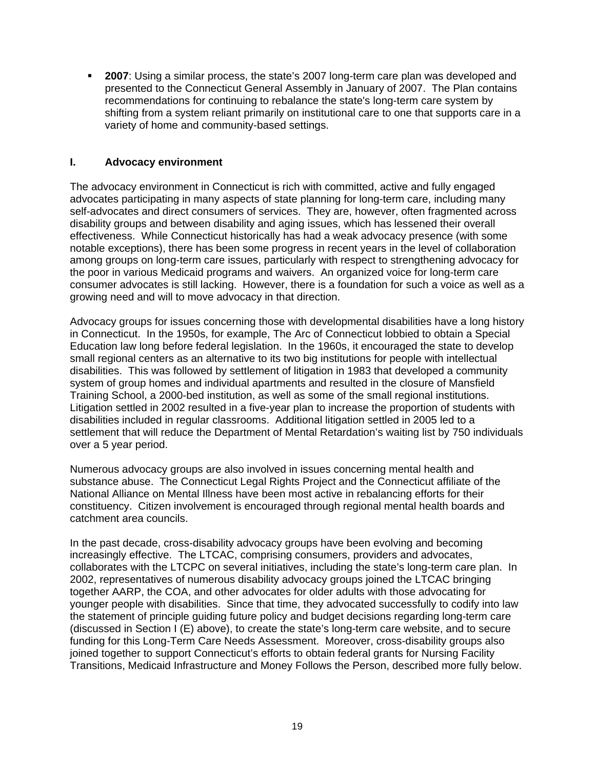**2007**: Using a similar process, the state's 2007 long-term care plan was developed and presented to the Connecticut General Assembly in January of 2007. The Plan contains recommendations for continuing to rebalance the state's long-term care system by shifting from a system reliant primarily on institutional care to one that supports care in a variety of home and community-based settings.

# **I. Advocacy environment**

The advocacy environment in Connecticut is rich with committed, active and fully engaged advocates participating in many aspects of state planning for long-term care, including many self-advocates and direct consumers of services. They are, however, often fragmented across disability groups and between disability and aging issues, which has lessened their overall effectiveness. While Connecticut historically has had a weak advocacy presence (with some notable exceptions), there has been some progress in recent years in the level of collaboration among groups on long-term care issues, particularly with respect to strengthening advocacy for the poor in various Medicaid programs and waivers. An organized voice for long-term care consumer advocates is still lacking. However, there is a foundation for such a voice as well as a growing need and will to move advocacy in that direction.

Advocacy groups for issues concerning those with developmental disabilities have a long history in Connecticut. In the 1950s, for example, The Arc of Connecticut lobbied to obtain a Special Education law long before federal legislation. In the 1960s, it encouraged the state to develop small regional centers as an alternative to its two big institutions for people with intellectual disabilities. This was followed by settlement of litigation in 1983 that developed a community system of group homes and individual apartments and resulted in the closure of Mansfield Training School, a 2000-bed institution, as well as some of the small regional institutions. Litigation settled in 2002 resulted in a five-year plan to increase the proportion of students with disabilities included in regular classrooms. Additional litigation settled in 2005 led to a settlement that will reduce the Department of Mental Retardation's waiting list by 750 individuals over a 5 year period.

Numerous advocacy groups are also involved in issues concerning mental health and substance abuse. The Connecticut Legal Rights Project and the Connecticut affiliate of the National Alliance on Mental Illness have been most active in rebalancing efforts for their constituency. Citizen involvement is encouraged through regional mental health boards and catchment area councils.

In the past decade, cross-disability advocacy groups have been evolving and becoming increasingly effective. The LTCAC, comprising consumers, providers and advocates, collaborates with the LTCPC on several initiatives, including the state's long-term care plan. In 2002, representatives of numerous disability advocacy groups joined the LTCAC bringing together AARP, the COA, and other advocates for older adults with those advocating for younger people with disabilities. Since that time, they advocated successfully to codify into law the statement of principle guiding future policy and budget decisions regarding long-term care (discussed in Section I (E) above), to create the state's long-term care website, and to secure funding for this Long-Term Care Needs Assessment. Moreover, cross-disability groups also joined together to support Connecticut's efforts to obtain federal grants for Nursing Facility Transitions, Medicaid Infrastructure and Money Follows the Person, described more fully below.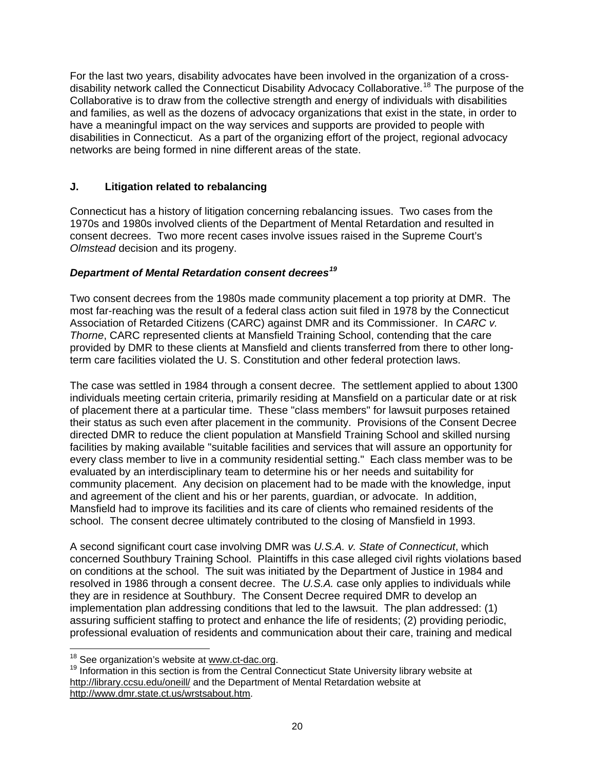For the last two years, disability advocates have been involved in the organization of a cross-disability network called the Connecticut Disability Advocacy Collaborative.<sup>[18](#page-25-0)</sup> The purpose of the Collaborative is to draw from the collective strength and energy of individuals with disabilities and families, as well as the dozens of advocacy organizations that exist in the state, in order to have a meaningful impact on the way services and supports are provided to people with disabilities in Connecticut. As a part of the organizing effort of the project, regional advocacy networks are being formed in nine different areas of the state.

# **J. Litigation related to rebalancing**

Connecticut has a history of litigation concerning rebalancing issues. Two cases from the 1970s and 1980s involved clients of the Department of Mental Retardation and resulted in consent decrees. Two more recent cases involve issues raised in the Supreme Court's *Olmstead* decision and its progeny.

# *Department of Mental Retardation consent decrees[19](#page-25-1)*

Two consent decrees from the 1980s made community placement a top priority at DMR. The most far-reaching was the result of a federal class action suit filed in 1978 by the Connecticut Association of Retarded Citizens (CARC) against DMR and its Commissioner. In *CARC v. Thorne*, CARC represented clients at Mansfield Training School, contending that the care provided by DMR to these clients at Mansfield and clients transferred from there to other longterm care facilities violated the U. S. Constitution and other federal protection laws.

The case was settled in 1984 through a consent decree. The settlement applied to about 1300 individuals meeting certain criteria, primarily residing at Mansfield on a particular date or at risk of placement there at a particular time. These "class members" for lawsuit purposes retained their status as such even after placement in the community. Provisions of the Consent Decree directed DMR to reduce the client population at Mansfield Training School and skilled nursing facilities by making available "suitable facilities and services that will assure an opportunity for every class member to live in a community residential setting." Each class member was to be evaluated by an interdisciplinary team to determine his or her needs and suitability for community placement. Any decision on placement had to be made with the knowledge, input and agreement of the client and his or her parents, guardian, or advocate. In addition, Mansfield had to improve its facilities and its care of clients who remained residents of the school. The consent decree ultimately contributed to the closing of Mansfield in 1993.

A second significant court case involving DMR was *U.S.A. v. State of Connecticut*, which concerned Southbury Training School. Plaintiffs in this case alleged civil rights violations based on conditions at the school. The suit was initiated by the Department of Justice in 1984 and resolved in 1986 through a consent decree. The *U.S.A.* case only applies to individuals while they are in residence at Southbury. The Consent Decree required DMR to develop an implementation plan addressing conditions that led to the lawsuit. The plan addressed: (1) assuring sufficient staffing to protect and enhance the life of residents; (2) providing periodic, professional evaluation of residents and communication about their care, training and medical

<sup>&</sup>lt;sup>18</sup> See organization's website at www.ct-dac.org.

<span id="page-25-1"></span><span id="page-25-0"></span> $19$  Information in this section is from the Central Connecticut State University library website at <http://library.ccsu.edu/oneill/>and the Department of Mental Retardation website at [http://www.dmr.state.ct.us/wrstsabout.htm.](http://www.dmr.state.ct.us/wrstsabout.htm)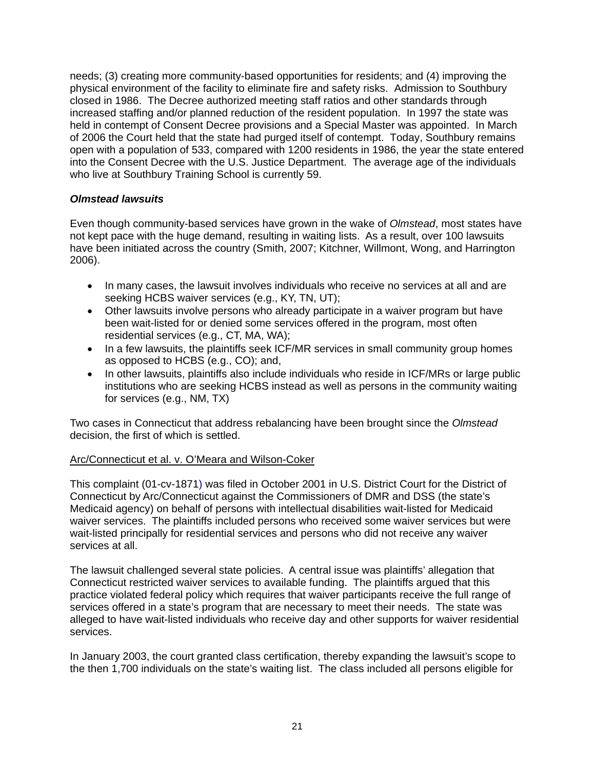needs; (3) creating more community-based opportunities for residents; and (4) improving the physical environment of the facility to eliminate fire and safety risks. Admission to Southbury closed in 1986. The Decree authorized meeting staff ratios and other standards through increased staffing and/or planned reduction of the resident population. In 1997 the state was held in contempt of Consent Decree provisions and a Special Master was appointed. In March of 2006 the Court held that the state had purged itself of contempt. Today, Southbury remains open with a population of 533, compared with 1200 residents in 1986, the year the state entered into the Consent Decree with the U.S. Justice Department. The average age of the individuals who live at Southbury Training School is currently 59.

# *Olmstead lawsuits*

Even though community-based services have grown in the wake of *Olmstead*, most states have not kept pace with the huge demand, resulting in waiting lists. As a result, over 100 lawsuits have been initiated across the country (Smith, 2007; Kitchner, Willmont, Wong, and Harrington 2006).

- In many cases, the lawsuit involves individuals who receive no services at all and are seeking HCBS waiver services (e.g., KY, TN, UT);
- Other lawsuits involve persons who already participate in a waiver program but have been wait-listed for or denied some services offered in the program, most often residential services (e.g., CT, MA, WA);
- In a few lawsuits, the plaintiffs seek ICF/MR services in small community group homes as opposed to HCBS (e.g., CO); and,
- In other lawsuits, plaintiffs also include individuals who reside in ICF/MRs or large public institutions who are seeking HCBS instead as well as persons in the community waiting for services (e.g., NM, TX)

Two cases in Connecticut that address rebalancing have been brought since the *Olmstead*  decision, the first of which is settled.

# Arc/Connecticut et al. v. O'Meara and Wilson-Coker

This complaint (01-cv-1871) was filed in October 2001 in U.S. District Court for the District of Connecticut by Arc/Connecticut against the Commissioners of DMR and DSS (the state's Medicaid agency) on behalf of persons with intellectual disabilities wait-listed for Medicaid waiver services. The plaintiffs included persons who received some waiver services but were wait-listed principally for residential services and persons who did not receive any waiver services at all.

The lawsuit challenged several state policies. A central issue was plaintiffs' allegation that Connecticut restricted waiver services to available funding. The plaintiffs argued that this practice violated federal policy which requires that waiver participants receive the full range of services offered in a state's program that are necessary to meet their needs. The state was alleged to have wait-listed individuals who receive day and other supports for waiver residential services.

In January 2003, the court granted class certification, thereby expanding the lawsuit's scope to the then 1,700 individuals on the state's waiting list. The class included all persons eligible for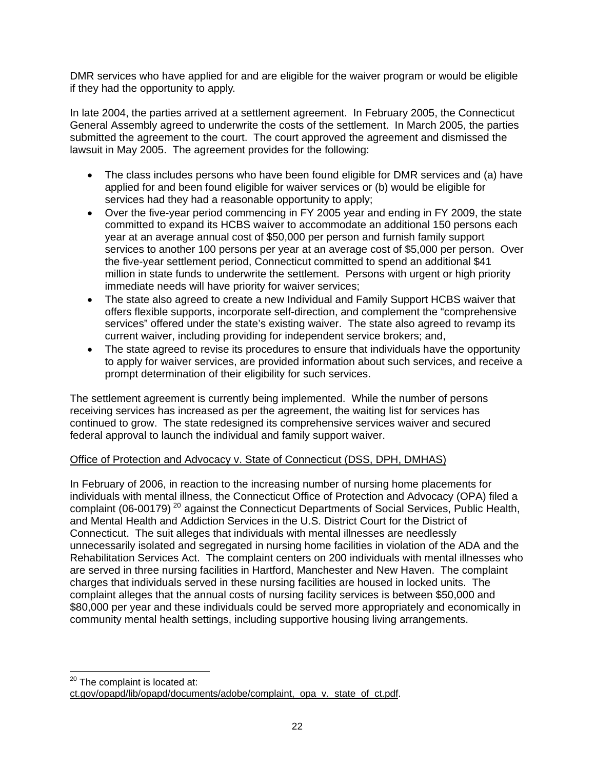DMR services who have applied for and are eligible for the waiver program or would be eligible if they had the opportunity to apply.

In late 2004, the parties arrived at a settlement agreement. In February 2005, the Connecticut General Assembly agreed to underwrite the costs of the settlement. In March 2005, the parties submitted the agreement to the court. The court approved the agreement and dismissed the lawsuit in May 2005. The agreement provides for the following:

- The class includes persons who have been found eligible for DMR services and (a) have applied for and been found eligible for waiver services or (b) would be eligible for services had they had a reasonable opportunity to apply;
- Over the five-year period commencing in FY 2005 year and ending in FY 2009, the state committed to expand its HCBS waiver to accommodate an additional 150 persons each year at an average annual cost of \$50,000 per person and furnish family support services to another 100 persons per year at an average cost of \$5,000 per person. Over the five-year settlement period, Connecticut committed to spend an additional \$41 million in state funds to underwrite the settlement. Persons with urgent or high priority immediate needs will have priority for waiver services;
- The state also agreed to create a new Individual and Family Support HCBS waiver that offers flexible supports, incorporate self-direction, and complement the "comprehensive services" offered under the state's existing waiver. The state also agreed to revamp its current waiver, including providing for independent service brokers; and,
- The state agreed to revise its procedures to ensure that individuals have the opportunity to apply for waiver services, are provided information about such services, and receive a prompt determination of their eligibility for such services.

The settlement agreement is currently being implemented. While the number of persons receiving services has increased as per the agreement, the waiting list for services has continued to grow. The state redesigned its comprehensive services waiver and secured federal approval to launch the individual and family support waiver.

# Office of Protection and Advocacy v. State of Connecticut (DSS, DPH, DMHAS)

In February of 2006, in reaction to the increasing number of nursing home placements for individuals with mental illness, the Connecticut Office of Protection and Advocacy (OPA) filed a complaint (06-00179)<sup>[20](#page-27-0)</sup> against the Connecticut Departments of Social Services, Public Health, and Mental Health and Addiction Services in the U.S. District Court for the District of Connecticut. The suit alleges that individuals with mental illnesses are needlessly unnecessarily isolated and segregated in nursing home facilities in violation of the ADA and the Rehabilitation Services Act. The complaint centers on 200 individuals with mental illnesses who are served in three nursing facilities in Hartford, Manchester and New Haven. The complaint charges that individuals served in these nursing facilities are housed in locked units. The complaint alleges that the annual costs of nursing facility services is between \$50,000 and \$80,000 per year and these individuals could be served more appropriately and economically in community mental health settings, including supportive housing living arrangements.

 $\overline{a}$ 

<sup>&</sup>lt;sup>20</sup> The complaint is located at:

<span id="page-27-0"></span>[ct.gov/opapd/lib/opapd/documents/adobe/complaint,\\_opa\\_v.\\_state\\_of\\_ct.pdf.](http://www.ct.gov/opapd/lib/opapd/documents/adobe/complaint,_opa_v._state_of_ct.pdf)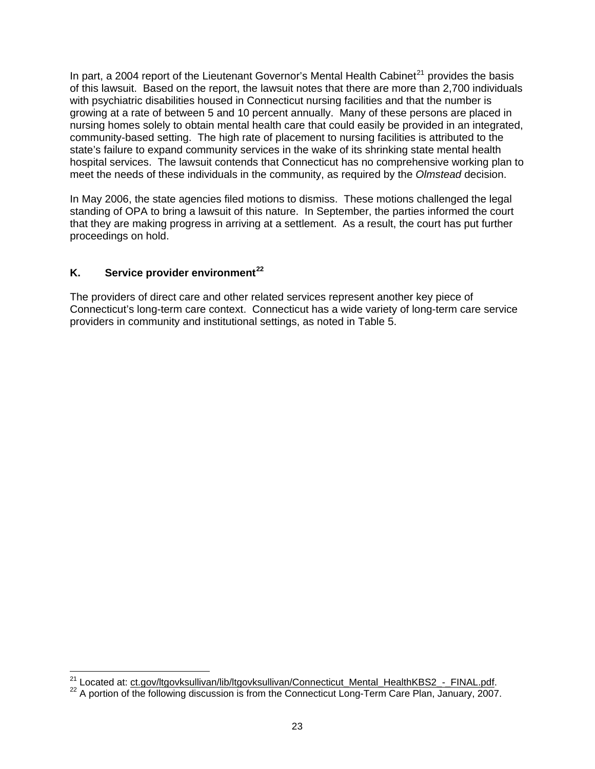In part, a 2004 report of the Lieutenant Governor's Mental Health Cabinet<sup>[21](#page-28-0)</sup> provides the basis of this lawsuit. Based on the report, the lawsuit notes that there are more than 2,700 individuals with psychiatric disabilities housed in Connecticut nursing facilities and that the number is growing at a rate of between 5 and 10 percent annually. Many of these persons are placed in nursing homes solely to obtain mental health care that could easily be provided in an integrated, community-based setting. The high rate of placement to nursing facilities is attributed to the state's failure to expand community services in the wake of its shrinking state mental health hospital services. The lawsuit contends that Connecticut has no comprehensive working plan to meet the needs of these individuals in the community, as required by the *Olmstead* decision.

In May 2006, the state agencies filed motions to dismiss. These motions challenged the legal standing of OPA to bring a lawsuit of this nature. In September, the parties informed the court that they are making progress in arriving at a settlement. As a result, the court has put further proceedings on hold.

# **K. Service provider environment[22](#page-28-1)**

The providers of direct care and other related services represent another key piece of Connecticut's long-term care context. Connecticut has a wide variety of long-term care service providers in community and institutional settings, as noted in Table 5.

<span id="page-28-0"></span><sup>&</sup>lt;sup>21</sup> Located at: ct.gov/ltgovksullivan/lib/ltgovksullivan/Connecticut\_Mental\_HealthKBS2\_-\_FINAL.pdf.

<span id="page-28-1"></span><sup>22</sup> A portion of [the following discussion is from the Connecticut Long-Term Care Plan, January, 2007](http://www.ct.gov/ltgovksullivan/lib/ltgovksullivan/Connecticut_Mental_HealthKBS2_-_FINAL.pdf).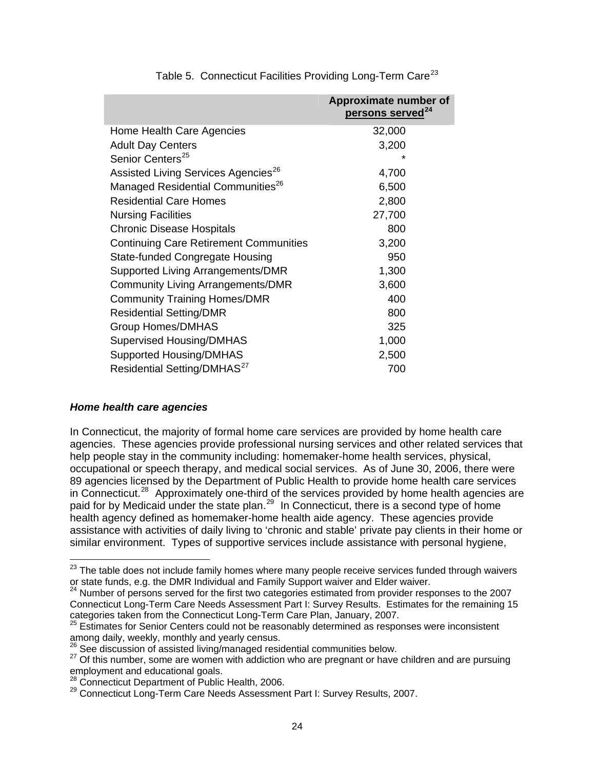|                                                 | Approximate number of<br>persons served <sup>24</sup> |
|-------------------------------------------------|-------------------------------------------------------|
| Home Health Care Agencies                       | 32,000                                                |
| <b>Adult Day Centers</b>                        | 3,200                                                 |
| Senior Centers <sup>25</sup>                    | ÷                                                     |
| Assisted Living Services Agencies <sup>26</sup> | 4,700                                                 |
| Managed Residential Communities <sup>26</sup>   | 6,500                                                 |
| <b>Residential Care Homes</b>                   | 2,800                                                 |
| <b>Nursing Facilities</b>                       | 27,700                                                |
| <b>Chronic Disease Hospitals</b>                | 800                                                   |
| <b>Continuing Care Retirement Communities</b>   | 3,200                                                 |
| <b>State-funded Congregate Housing</b>          | 950                                                   |
| Supported Living Arrangements/DMR               | 1,300                                                 |
| <b>Community Living Arrangements/DMR</b>        | 3,600                                                 |
| <b>Community Training Homes/DMR</b>             | 400                                                   |
| <b>Residential Setting/DMR</b>                  | 800                                                   |
| <b>Group Homes/DMHAS</b>                        | 325                                                   |
| <b>Supervised Housing/DMHAS</b>                 | 1,000                                                 |
| <b>Supported Housing/DMHAS</b>                  | 2,500                                                 |
| Residential Setting/DMHAS <sup>27</sup>         | 700                                                   |

Table 5. Connecticut Facilities Providing Long-Term Care<sup>[23](#page-29-0)</sup>

# *Home health care agencies*

 $\overline{a}$ 

In Connecticut, the majority of formal home care services are provided by home health care agencies. These agencies provide professional nursing services and other related services that help people stay in the community including: homemaker-home health services, physical, occupational or speech therapy, and medical social services. As of June 30, 2006, there were 89 agencies licensed by the Department of Public Health to provide home health care services in Connecticut.<sup>[28](#page-29-5)</sup> Approximately one-third of the services provided by home health agencies are paid for by Medicaid under the state plan.<sup>[29](#page-29-6)</sup> In Connecticut, there is a second type of home health agency defined as homemaker-home health aide agency. These agencies provide assistance with activities of daily living to 'chronic and stable' private pay clients in their home or similar environment. Types of supportive services include assistance with personal hygiene,

<span id="page-29-0"></span> $23$  The table does not include family homes where many people receive services funded through waivers or state funds, e.g. the DMR Individual and Family Support waiver and Elder waiver.<br><sup>24</sup> Number of persons served for the first two categories estimated from provider responses to the 2007

<span id="page-29-1"></span>Connecticut Long-Term Care Needs Assessment Part I: Survey Results. Estimates for the remaining 15 categories taken from the Connecticut Long-Term Care Plan, January, 2007.

<span id="page-29-2"></span><sup>25</sup> Estimates for Senior Centers could not be reasonably determined as responses were inconsistent among daily, weekly, monthly and yearly census.<br><sup>26</sup> See discussion of assisted living/managed residential communities below.

<span id="page-29-4"></span><span id="page-29-3"></span><sup>&</sup>lt;sup>27</sup> Of this number, some are women with addiction who are pregnant or have children and are pursuing employment and educational goals.<br><sup>28</sup> Connecticut Department of Public Health, 2006.

<span id="page-29-6"></span><span id="page-29-5"></span><sup>29</sup> Connecticut Long-Term Care Needs Assessment Part I: Survey Results, 2007.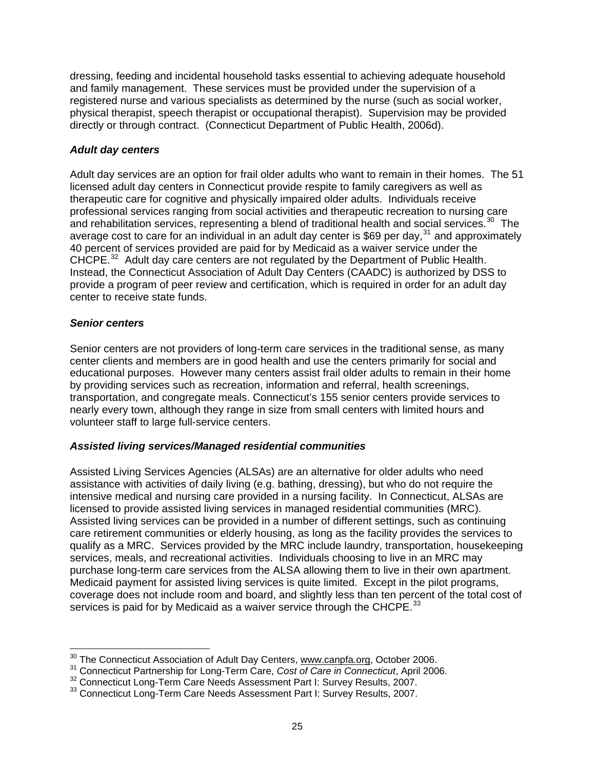dressing, feeding and incidental household tasks essential to achieving adequate household and family management. These services must be provided under the supervision of a registered nurse and various specialists as determined by the nurse (such as social worker, physical therapist, speech therapist or occupational therapist). Supervision may be provided directly or through contract. (Connecticut Department of Public Health, 2006d).

# *Adult day centers*

Adult day services are an option for frail older adults who want to remain in their homes. The 51 licensed adult day centers in Connecticut provide respite to family caregivers as well as therapeutic care for cognitive and physically impaired older adults. Individuals receive professional services ranging from social activities and therapeutic recreation to nursing care and rehabilitation services, representing a blend of traditional health and social services.<sup>[30](#page-30-0)</sup> The average cost to care for an individual in an adult day center is \$69 per day,  $31$  and approximately 40 percent of services provided are paid for by Medicaid as a waiver service under the CHCPE.<sup>[32](#page-30-2)</sup> Adult day care centers are not regulated by the Department of Public Health. Instead, the Connecticut Association of Adult Day Centers (CAADC) is authorized by DSS to provide a program of peer review and certification, which is required in order for an adult day center to receive state funds.

#### *Senior centers*

 $\overline{a}$ 

Senior centers are not providers of long-term care services in the traditional sense, as many center clients and members are in good health and use the centers primarily for social and educational purposes. However many centers assist frail older adults to remain in their home by providing services such as recreation, information and referral, health screenings, transportation, and congregate meals. Connecticut's 155 senior centers provide services to nearly every town, although they range in size from small centers with limited hours and volunteer staff to large full-service centers.

# *Assisted living services/Managed residential communities*

Assisted Living Services Agencies (ALSAs) are an alternative for older adults who need assistance with activities of daily living (e.g. bathing, dressing), but who do not require the intensive medical and nursing care provided in a nursing facility. In Connecticut, ALSAs are licensed to provide assisted living services in managed residential communities (MRC). Assisted living services can be provided in a number of different settings, such as continuing care retirement communities or elderly housing, as long as the facility provides the services to qualify as a MRC. Services provided by the MRC include laundry, transportation, housekeeping services, meals, and recreational activities. Individuals choosing to live in an MRC may purchase long-term care services from the ALSA allowing them to live in their own apartment. Medicaid payment for assisted living services is quite limited. Except in the pilot programs, coverage does not include room and board, and slightly less than ten percent of the total cost of services is paid for by Medicaid as a waiver service through the CHCPE.<sup>[33](#page-30-3)</sup>

<sup>&</sup>lt;sup>30</sup> The Connecticut Association of Adult Day Centers, [www.canpfa.org](http://www.canpfa.org/), October 2006.

<span id="page-30-2"></span><span id="page-30-1"></span><span id="page-30-0"></span><sup>&</sup>lt;sup>31</sup> Connecticut Partnership for Long-Term Care, Cost of Care in Connecticut, April 2006.<br><sup>32</sup> Connecticut Long-Term Care Needs Assessment Part I: Survey Results, 2007.<br><sup>33</sup> Connecticut Long-Term Care Needs Assessment Par

<span id="page-30-3"></span>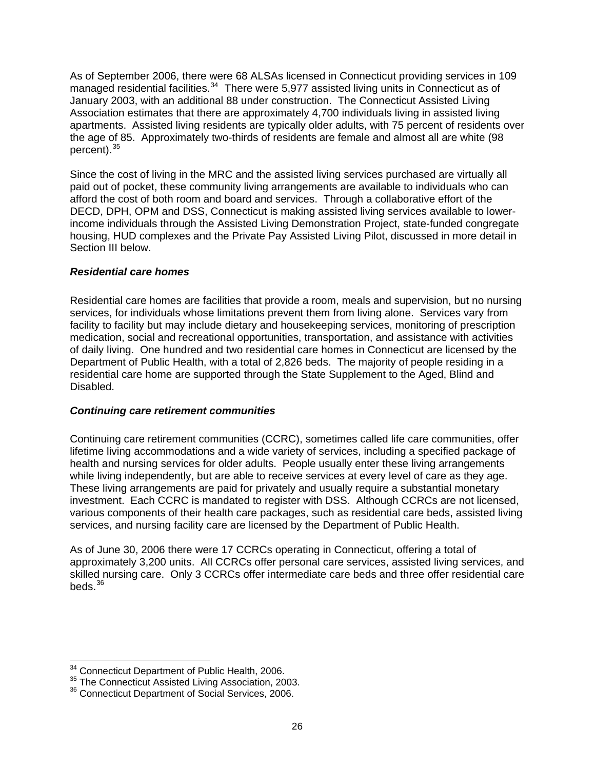As of September 2006, there were 68 ALSAs licensed in Connecticut providing services in 109 managed residential facilities.<sup>[34](#page-31-0)</sup> There were 5,977 assisted living units in Connecticut as of January 2003, with an additional 88 under construction. The Connecticut Assisted Living Association estimates that there are approximately 4,700 individuals living in assisted living apartments. Assisted living residents are typically older adults, with 75 percent of residents over the age of 85. Approximately two-thirds of residents are female and almost all are white (98 percent).<sup>[35](#page-31-1)</sup>

Since the cost of living in the MRC and the assisted living services purchased are virtually all paid out of pocket, these community living arrangements are available to individuals who can afford the cost of both room and board and services. Through a collaborative effort of the DECD, DPH, OPM and DSS, Connecticut is making assisted living services available to lowerincome individuals through the Assisted Living Demonstration Project, state-funded congregate housing, HUD complexes and the Private Pay Assisted Living Pilot, discussed in more detail in Section III below.

# *Residential care homes*

Residential care homes are facilities that provide a room, meals and supervision, but no nursing services, for individuals whose limitations prevent them from living alone. Services vary from facility to facility but may include dietary and housekeeping services, monitoring of prescription medication, social and recreational opportunities, transportation, and assistance with activities of daily living. One hundred and two residential care homes in Connecticut are licensed by the Department of Public Health, with a total of 2,826 beds. The majority of people residing in a residential care home are supported through the State Supplement to the Aged, Blind and Disabled.

#### *Continuing care retirement communities*

Continuing care retirement communities (CCRC), sometimes called life care communities, offer lifetime living accommodations and a wide variety of services, including a specified package of health and nursing services for older adults. People usually enter these living arrangements while living independently, but are able to receive services at every level of care as they age. These living arrangements are paid for privately and usually require a substantial monetary investment. Each CCRC is mandated to register with DSS. Although CCRCs are not licensed, various components of their health care packages, such as residential care beds, assisted living services, and nursing facility care are licensed by the Department of Public Health.

As of June 30, 2006 there were 17 CCRCs operating in Connecticut, offering a total of approximately 3,200 units. All CCRCs offer personal care services, assisted living services, and skilled nursing care. Only 3 CCRCs offer intermediate care beds and three offer residential care beds. $36$ 

 $\overline{a}$ 

<span id="page-31-1"></span><span id="page-31-0"></span><sup>&</sup>lt;sup>34</sup> Connecticut Department of Public Health, 2006.<br><sup>35</sup> The Connecticut Assisted Living Association, 2003.<br><sup>36</sup> Connecticut Department of Social Services, 2006.

<span id="page-31-2"></span>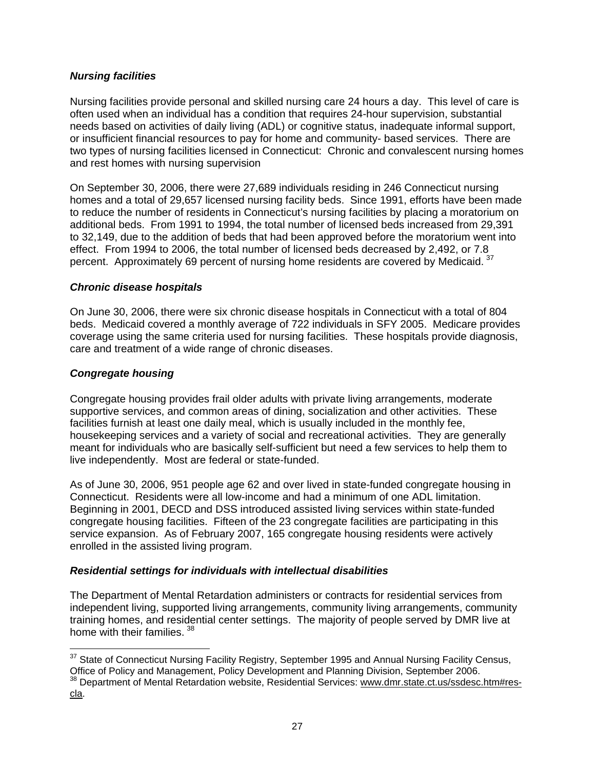# *Nursing facilities*

Nursing facilities provide personal and skilled nursing care 24 hours a day. This level of care is often used when an individual has a condition that requires 24-hour supervision, substantial needs based on activities of daily living (ADL) or cognitive status, inadequate informal support, or insufficient financial resources to pay for home and community- based services. There are two types of nursing facilities licensed in Connecticut: Chronic and convalescent nursing homes and rest homes with nursing supervision

On September 30, 2006, there were 27,689 individuals residing in 246 Connecticut nursing homes and a total of 29,657 licensed nursing facility beds. Since 1991, efforts have been made to reduce the number of residents in Connecticut's nursing facilities by placing a moratorium on additional beds. From 1991 to 1994, the total number of licensed beds increased from 29,391 to 32,149, due to the addition of beds that had been approved before the moratorium went into effect. From 1994 to 2006, the total number of licensed beds decreased by 2,492, or 7.8 percent. Approximately 69 percent of nursing home residents are covered by Medicaid. <sup>[37](#page-32-0)</sup>

# *Chronic disease hospitals*

On June 30, 2006, there were six chronic disease hospitals in Connecticut with a total of 804 beds. Medicaid covered a monthly average of 722 individuals in SFY 2005. Medicare provides coverage using the same criteria used for nursing facilities. These hospitals provide diagnosis, care and treatment of a wide range of chronic diseases.

# *Congregate housing*

Congregate housing provides frail older adults with private living arrangements, moderate supportive services, and common areas of dining, socialization and other activities. These facilities furnish at least one daily meal, which is usually included in the monthly fee, housekeeping services and a variety of social and recreational activities. They are generally meant for individuals who are basically self-sufficient but need a few services to help them to live independently. Most are federal or state-funded.

As of June 30, 2006, 951 people age 62 and over lived in state-funded congregate housing in Connecticut. Residents were all low-income and had a minimum of one ADL limitation. Beginning in 2001, DECD and DSS introduced assisted living services within state-funded congregate housing facilities. Fifteen of the 23 congregate facilities are participating in this service expansion. As of February 2007, 165 congregate housing residents were actively enrolled in the assisted living program.

# *Residential settings for individuals with intellectual disabilities*

The Department of Mental Retardation administers or contracts for residential services from independent living, supported living arrangements, community living arrangements, community training homes, and residential center settings. The majority of people served by DMR live at home with their families. [38](#page-32-1)

<span id="page-32-0"></span> $\overline{a}$  $37$  State of Connecticut Nursing Facility Registry, September 1995 and Annual Nursing Facility Census, Office of Policy and Management, Policy Development and Planning Division, September 2006.

<span id="page-32-1"></span><sup>&</sup>lt;sup>38</sup> Department of Mental Retardation website, Residential Services: [www.dmr.state.ct.us/ssdesc.htm#res-](http://www.dmr.state.ct.us/ssdesc.htm#res-cla)<u>cla</u>.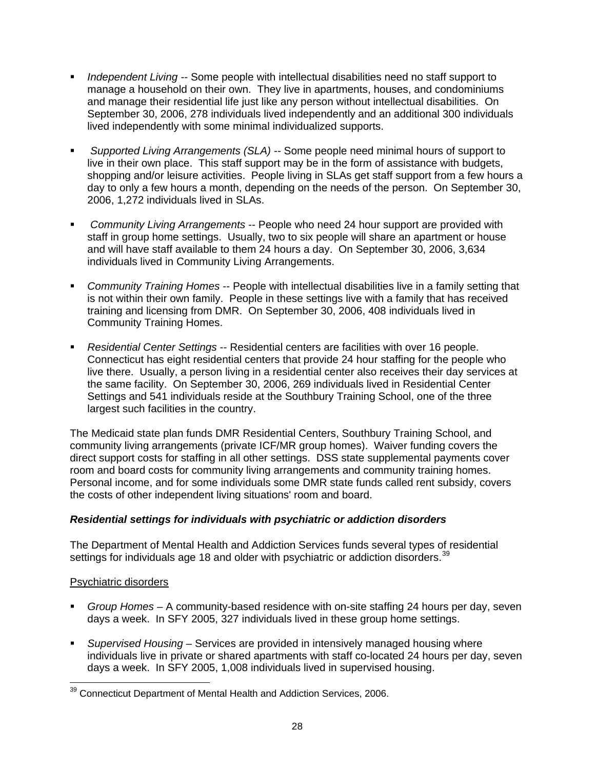- *Independent Living --* Some people with intellectual disabilities need no staff support to manage a household on their own. They live in apartments, houses, and condominiums and manage their residential life just like any person without intellectual disabilities. On September 30, 2006, 278 individuals lived independently and an additional 300 individuals lived independently with some minimal individualized supports.
- *Supported Living Arrangements (SLA) --* Some people need minimal hours of support to live in their own place. This staff support may be in the form of assistance with budgets, shopping and/or leisure activities. People living in SLAs get staff support from a few hours a day to only a few hours a month, depending on the needs of the person. On September 30, 2006, 1,272 individuals lived in SLAs.
- *Community Living Arrangements* -- People who need 24 hour support are provided with staff in group home settings. Usually, two to six people will share an apartment or house and will have staff available to them 24 hours a day. On September 30, 2006, 3,634 individuals lived in Community Living Arrangements.
- *Community Training Homes* -- People with intellectual disabilities live in a family setting that is not within their own family. People in these settings live with a family that has received training and licensing from DMR. On September 30, 2006, 408 individuals lived in Community Training Homes.
- *Residential Center Settings* -- Residential centers are facilities with over 16 people. Connecticut has eight residential centers that provide 24 hour staffing for the people who live there. Usually, a person living in a residential center also receives their day services at the same facility. On September 30, 2006, 269 individuals lived in Residential Center Settings and 541 individuals reside at the Southbury Training School, one of the three largest such facilities in the country.

The Medicaid state plan funds DMR Residential Centers, Southbury Training School, and community living arrangements (private ICF/MR group homes). Waiver funding covers the direct support costs for staffing in all other settings. DSS state supplemental payments cover room and board costs for community living arrangements and community training homes. Personal income, and for some individuals some DMR state funds called rent subsidy, covers the costs of other independent living situations' room and board.

# *Residential settings for individuals with psychiatric or addiction disorders*

The Department of Mental Health and Addiction Services funds several types of residential settings for individuals age 18 and older with psychiatric or addiction disorders.<sup>[39](#page-33-0)</sup>

# Psychiatric disorders

- *Group Homes* A community-based residence with on-site staffing 24 hours per day, seven days a week. In SFY 2005, 327 individuals lived in these group home settings.
- *Supervised Housing* Services are provided in intensively managed housing where individuals live in private or shared apartments with staff co-located 24 hours per day, seven days a week. In SFY 2005, 1,008 individuals lived in supervised housing.

<span id="page-33-0"></span> $\overline{a}$  $39$  Connecticut Department of Mental Health and Addiction Services, 2006.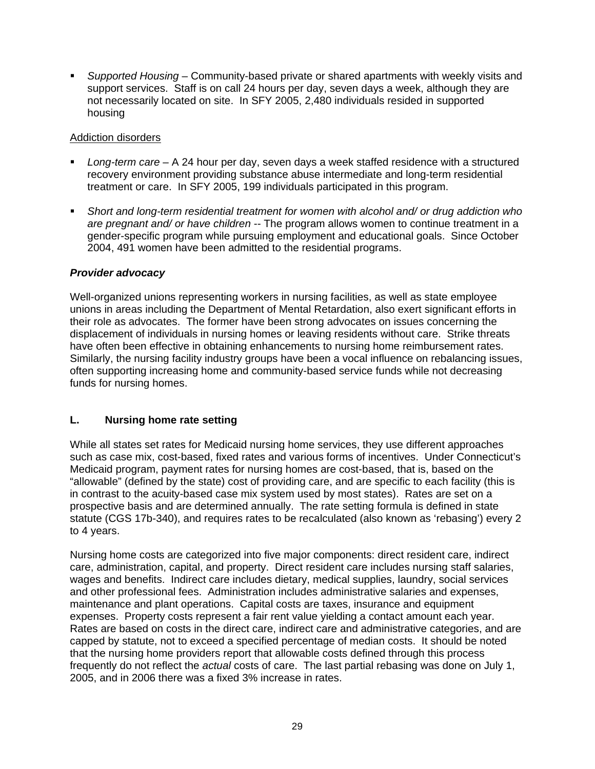*Supported Housing* – Community-based private or shared apartments with weekly visits and support services. Staff is on call 24 hours per day, seven days a week, although they are not necessarily located on site. In SFY 2005, 2,480 individuals resided in supported housing

# Addiction disorders

- *Long-term care* A 24 hour per day, seven days a week staffed residence with a structured recovery environment providing substance abuse intermediate and long-term residential treatment or care. In SFY 2005, 199 individuals participated in this program.
- *Short and long-term residential treatment for women with alcohol and/ or drug addiction who are pregnant and/ or have children* -- The program allows women to continue treatment in a gender-specific program while pursuing employment and educational goals. Since October 2004, 491 women have been admitted to the residential programs.

# *Provider advocacy*

Well-organized unions representing workers in nursing facilities, as well as state employee unions in areas including the Department of Mental Retardation, also exert significant efforts in their role as advocates. The former have been strong advocates on issues concerning the displacement of individuals in nursing homes or leaving residents without care. Strike threats have often been effective in obtaining enhancements to nursing home reimbursement rates. Similarly, the nursing facility industry groups have been a vocal influence on rebalancing issues, often supporting increasing home and community-based service funds while not decreasing funds for nursing homes.

# **L. Nursing home rate setting**

While all states set rates for Medicaid nursing home services, they use different approaches such as case mix, cost-based, fixed rates and various forms of incentives. Under Connecticut's Medicaid program, payment rates for nursing homes are cost-based, that is, based on the "allowable" (defined by the state) cost of providing care, and are specific to each facility (this is in contrast to the acuity-based case mix system used by most states). Rates are set on a prospective basis and are determined annually. The rate setting formula is defined in state statute (CGS 17b-340), and requires rates to be recalculated (also known as 'rebasing') every 2 to 4 years.

Nursing home costs are categorized into five major components: direct resident care, indirect care, administration, capital, and property. Direct resident care includes nursing staff salaries, wages and benefits. Indirect care includes dietary, medical supplies, laundry, social services and other professional fees. Administration includes administrative salaries and expenses, maintenance and plant operations. Capital costs are taxes, insurance and equipment expenses. Property costs represent a fair rent value yielding a contact amount each year. Rates are based on costs in the direct care, indirect care and administrative categories, and are capped by statute, not to exceed a specified percentage of median costs. It should be noted that the nursing home providers report that allowable costs defined through this process frequently do not reflect the *actual* costs of care. The last partial rebasing was done on July 1, 2005, and in 2006 there was a fixed 3% increase in rates.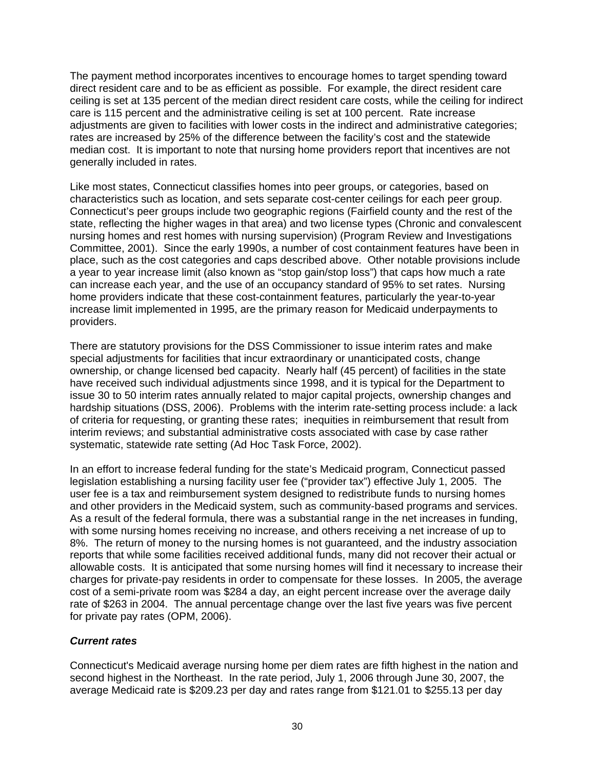The payment method incorporates incentives to encourage homes to target spending toward direct resident care and to be as efficient as possible. For example, the direct resident care ceiling is set at 135 percent of the median direct resident care costs, while the ceiling for indirect care is 115 percent and the administrative ceiling is set at 100 percent. Rate increase adjustments are given to facilities with lower costs in the indirect and administrative categories; rates are increased by 25% of the difference between the facility's cost and the statewide median cost. It is important to note that nursing home providers report that incentives are not generally included in rates.

Like most states, Connecticut classifies homes into peer groups, or categories, based on characteristics such as location, and sets separate cost-center ceilings for each peer group. Connecticut's peer groups include two geographic regions (Fairfield county and the rest of the state, reflecting the higher wages in that area) and two license types (Chronic and convalescent nursing homes and rest homes with nursing supervision) (Program Review and Investigations Committee, 2001). Since the early 1990s, a number of cost containment features have been in place, such as the cost categories and caps described above. Other notable provisions include a year to year increase limit (also known as "stop gain/stop loss") that caps how much a rate can increase each year, and the use of an occupancy standard of 95% to set rates. Nursing home providers indicate that these cost-containment features, particularly the year-to-year increase limit implemented in 1995, are the primary reason for Medicaid underpayments to providers.

There are statutory provisions for the DSS Commissioner to issue interim rates and make special adjustments for facilities that incur extraordinary or unanticipated costs, change ownership, or change licensed bed capacity. Nearly half (45 percent) of facilities in the state have received such individual adjustments since 1998, and it is typical for the Department to issue 30 to 50 interim rates annually related to major capital projects, ownership changes and hardship situations (DSS, 2006). Problems with the interim rate-setting process include: a lack of criteria for requesting, or granting these rates; inequities in reimbursement that result from interim reviews; and substantial administrative costs associated with case by case rather systematic, statewide rate setting (Ad Hoc Task Force, 2002).

In an effort to increase federal funding for the state's Medicaid program, Connecticut passed legislation establishing a nursing facility user fee ("provider tax") effective July 1, 2005. The user fee is a tax and reimbursement system designed to redistribute funds to nursing homes and other providers in the Medicaid system, such as community-based programs and services. As a result of the federal formula, there was a substantial range in the net increases in funding, with some nursing homes receiving no increase, and others receiving a net increase of up to 8%. The return of money to the nursing homes is not guaranteed, and the industry association reports that while some facilities received additional funds, many did not recover their actual or allowable costs. It is anticipated that some nursing homes will find it necessary to increase their charges for private-pay residents in order to compensate for these losses. In 2005, the average cost of a semi-private room was \$284 a day, an eight percent increase over the average daily rate of \$263 in 2004. The annual percentage change over the last five years was five percent for private pay rates (OPM, 2006).

# *Current rates*

Connecticut's Medicaid average nursing home per diem rates are fifth highest in the nation and second highest in the Northeast. In the rate period, July 1, 2006 through June 30, 2007, the average Medicaid rate is \$209.23 per day and rates range from \$121.01 to \$255.13 per day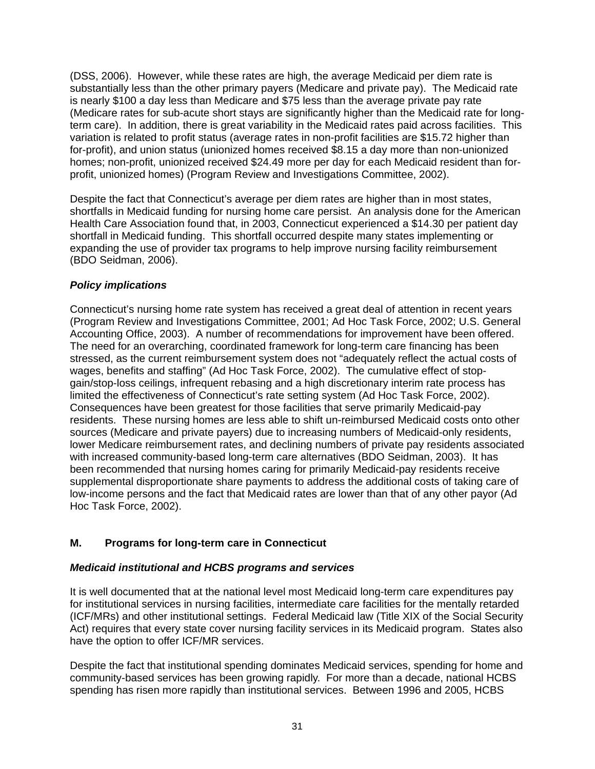(DSS, 2006). However, while these rates are high, the average Medicaid per diem rate is substantially less than the other primary payers (Medicare and private pay). The Medicaid rate is nearly \$100 a day less than Medicare and \$75 less than the average private pay rate (Medicare rates for sub-acute short stays are significantly higher than the Medicaid rate for longterm care). In addition, there is great variability in the Medicaid rates paid across facilities. This variation is related to profit status (average rates in non-profit facilities are \$15.72 higher than for-profit), and union status (unionized homes received \$8.15 a day more than non-unionized homes; non-profit, unionized received \$24.49 more per day for each Medicaid resident than forprofit, unionized homes) (Program Review and Investigations Committee, 2002).

Despite the fact that Connecticut's average per diem rates are higher than in most states, shortfalls in Medicaid funding for nursing home care persist. An analysis done for the American Health Care Association found that, in 2003, Connecticut experienced a \$14.30 per patient day shortfall in Medicaid funding. This shortfall occurred despite many states implementing or expanding the use of provider tax programs to help improve nursing facility reimbursement (BDO Seidman, 2006).

# *Policy implications*

Connecticut's nursing home rate system has received a great deal of attention in recent years (Program Review and Investigations Committee, 2001; Ad Hoc Task Force, 2002; U.S. General Accounting Office, 2003). A number of recommendations for improvement have been offered. The need for an overarching, coordinated framework for long-term care financing has been stressed, as the current reimbursement system does not "adequately reflect the actual costs of wages, benefits and staffing" (Ad Hoc Task Force, 2002). The cumulative effect of stopgain/stop-loss ceilings, infrequent rebasing and a high discretionary interim rate process has limited the effectiveness of Connecticut's rate setting system (Ad Hoc Task Force, 2002). Consequences have been greatest for those facilities that serve primarily Medicaid-pay residents. These nursing homes are less able to shift un-reimbursed Medicaid costs onto other sources (Medicare and private payers) due to increasing numbers of Medicaid-only residents, lower Medicare reimbursement rates, and declining numbers of private pay residents associated with increased community-based long-term care alternatives (BDO Seidman, 2003). It has been recommended that nursing homes caring for primarily Medicaid-pay residents receive supplemental disproportionate share payments to address the additional costs of taking care of low-income persons and the fact that Medicaid rates are lower than that of any other payor (Ad Hoc Task Force, 2002).

# **M. Programs for long-term care in Connecticut**

### *Medicaid institutional and HCBS programs and services*

It is well documented that at the national level most Medicaid long-term care expenditures pay for institutional services in nursing facilities, intermediate care facilities for the mentally retarded (ICF/MRs) and other institutional settings. Federal Medicaid law (Title XIX of the Social Security Act) requires that every state cover nursing facility services in its Medicaid program. States also have the option to offer ICF/MR services.

Despite the fact that institutional spending dominates Medicaid services, spending for home and community-based services has been growing rapidly. For more than a decade, national HCBS spending has risen more rapidly than institutional services. Between 1996 and 2005, HCBS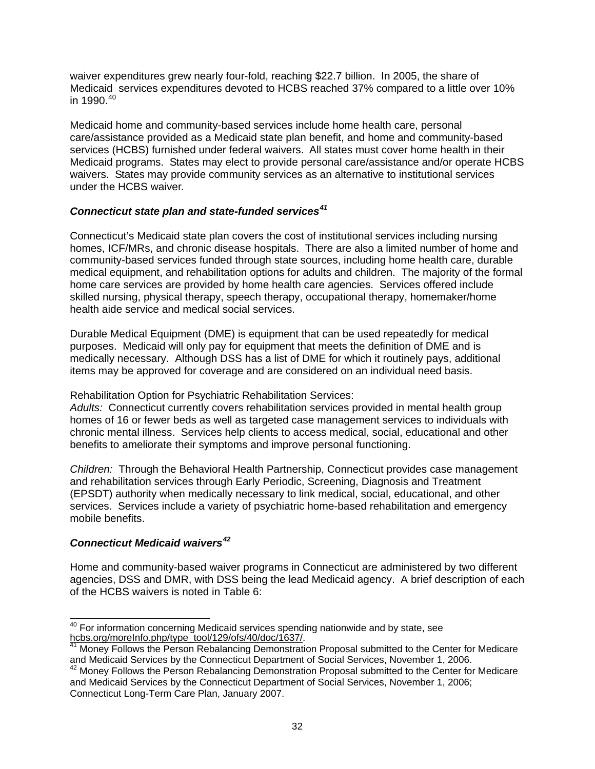waiver expenditures grew nearly four-fold, reaching \$22.7 billion. In 2005, the share of Medicaid services expenditures devoted to HCBS reached 37% compared to a little over 10% in 1990. $40$ 

Medicaid home and community-based services include home health care, personal care/assistance provided as a Medicaid state plan benefit, and home and community-based services (HCBS) furnished under federal waivers. All states must cover home health in their Medicaid programs. States may elect to provide personal care/assistance and/or operate HCBS waivers. States may provide community services as an alternative to institutional services under the HCBS waiver.

### *Connecticut state plan and state-funded services[41](#page-37-1)*

Connecticut's Medicaid state plan covers the cost of institutional services including nursing homes, ICF/MRs, and chronic disease hospitals. There are also a limited number of home and community-based services funded through state sources, including home health care, durable medical equipment, and rehabilitation options for adults and children. The majority of the formal home care services are provided by home health care agencies. Services offered include skilled nursing, physical therapy, speech therapy, occupational therapy, homemaker/home health aide service and medical social services.

Durable Medical Equipment (DME) is equipment that can be used repeatedly for medical purposes. Medicaid will only pay for equipment that meets the definition of DME and is medically necessary. Although DSS has a list of DME for which it routinely pays, additional items may be approved for coverage and are considered on an individual need basis.

Rehabilitation Option for Psychiatric Rehabilitation Services:

*Adults:* Connecticut currently covers rehabilitation services provided in mental health group homes of 16 or fewer beds as well as targeted case management services to individuals with chronic mental illness. Services help clients to access medical, social, educational and other benefits to ameliorate their symptoms and improve personal functioning.

*Children:* Through the Behavioral Health Partnership, Connecticut provides case management and rehabilitation services through Early Periodic, Screening, Diagnosis and Treatment (EPSDT) authority when medically necessary to link medical, social, educational, and other services. Services include a variety of psychiatric home-based rehabilitation and emergency mobile benefits.

### *Connecticut Medicaid waivers[42](#page-37-2)*

Home and community-based waiver programs in Connecticut are administered by two different agencies, DSS and DMR, with DSS being the lead Medicaid agency. A brief description of each of the HCBS waivers is noted in Table 6:

<span id="page-37-0"></span> $\overline{\phantom{a}}$  $40$  For information concerning Medicaid services spending nationwide and by state, see [hcbs.org/moreInfo.php/type\\_tool/129/ofs/40/doc/1637/.](http://hcbs.org/moreInfo.php/type_tool/129/ofs/40/doc/1637/)<br><sup>41</sup> Money Follows the Person Rebalancing Demonstration Proposal submitted to the Center for Medicare

<span id="page-37-1"></span>and Medicaid Services by the Connecticut Department of Social Services, November 1, 2006.

<span id="page-37-2"></span><sup>&</sup>lt;sup>42</sup> Monev Follows the Person Rebalancing Demonstration Proposal submitted to the Center for Medicare and Medicaid Services by the Connecticut Department of Social Services, November 1, 2006; Connecticut Long-Term Care Plan, January 2007.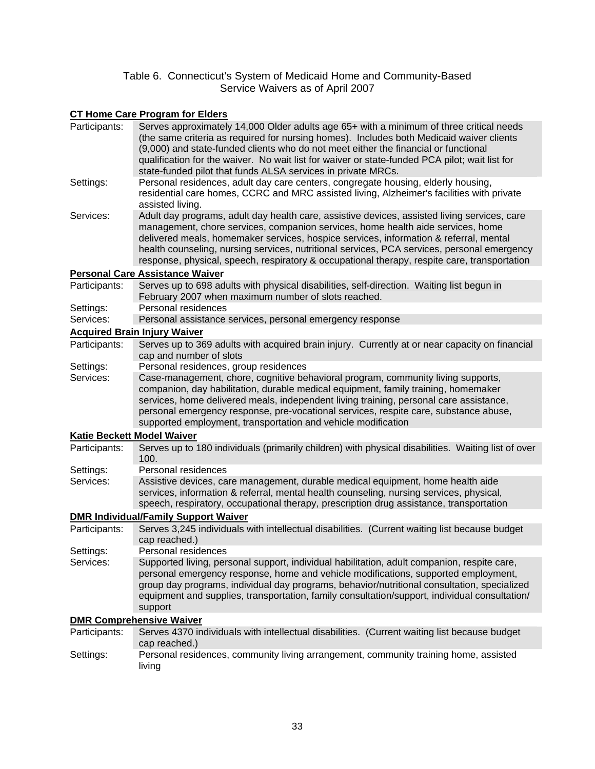#### Table 6. Connecticut's System of Medicaid Home and Community-Based Service Waivers as of April 2007

# **CT Home Care Program for Elders**

| Participants:              | Serves approximately 14,000 Older adults age 65+ with a minimum of three critical needs<br>(the same criteria as required for nursing homes). Includes both Medicaid waiver clients<br>(9,000) and state-funded clients who do not meet either the financial or functional<br>qualification for the waiver. No wait list for waiver or state-funded PCA pilot; wait list for<br>state-funded pilot that funds ALSA services in private MRCs.                            |
|----------------------------|-------------------------------------------------------------------------------------------------------------------------------------------------------------------------------------------------------------------------------------------------------------------------------------------------------------------------------------------------------------------------------------------------------------------------------------------------------------------------|
| Settings:                  | Personal residences, adult day care centers, congregate housing, elderly housing,<br>residential care homes, CCRC and MRC assisted living, Alzheimer's facilities with private<br>assisted living.                                                                                                                                                                                                                                                                      |
| Services:                  | Adult day programs, adult day health care, assistive devices, assisted living services, care<br>management, chore services, companion services, home health aide services, home<br>delivered meals, homemaker services, hospice services, information & referral, mental<br>health counseling, nursing services, nutritional services, PCA services, personal emergency<br>response, physical, speech, respiratory & occupational therapy, respite care, transportation |
|                            | <b>Personal Care Assistance Waiver</b>                                                                                                                                                                                                                                                                                                                                                                                                                                  |
| Participants:              | Serves up to 698 adults with physical disabilities, self-direction. Waiting list begun in<br>February 2007 when maximum number of slots reached.                                                                                                                                                                                                                                                                                                                        |
| Settings:                  | Personal residences                                                                                                                                                                                                                                                                                                                                                                                                                                                     |
| Services:                  | Personal assistance services, personal emergency response                                                                                                                                                                                                                                                                                                                                                                                                               |
|                            | <b>Acquired Brain Injury Waiver</b>                                                                                                                                                                                                                                                                                                                                                                                                                                     |
| Participants:              | Serves up to 369 adults with acquired brain injury. Currently at or near capacity on financial<br>cap and number of slots                                                                                                                                                                                                                                                                                                                                               |
| Settings:                  | Personal residences, group residences                                                                                                                                                                                                                                                                                                                                                                                                                                   |
| Services:                  | Case-management, chore, cognitive behavioral program, community living supports,<br>companion, day habilitation, durable medical equipment, family training, homemaker<br>services, home delivered meals, independent living training, personal care assistance,<br>personal emergency response, pre-vocational services, respite care, substance abuse,<br>supported employment, transportation and vehicle modification                                               |
| Katie Beckett Model Waiver |                                                                                                                                                                                                                                                                                                                                                                                                                                                                         |
| Participants:              | Serves up to 180 individuals (primarily children) with physical disabilities. Waiting list of over<br>100.                                                                                                                                                                                                                                                                                                                                                              |
| Settings:                  | Personal residences                                                                                                                                                                                                                                                                                                                                                                                                                                                     |
| Services:                  | Assistive devices, care management, durable medical equipment, home health aide<br>services, information & referral, mental health counseling, nursing services, physical,<br>speech, respiratory, occupational therapy, prescription drug assistance, transportation                                                                                                                                                                                                   |
|                            | <b>DMR Individual/Family Support Waiver</b>                                                                                                                                                                                                                                                                                                                                                                                                                             |
| Participants:              | Serves 3,245 individuals with intellectual disabilities. (Current waiting list because budget<br>cap reached.)                                                                                                                                                                                                                                                                                                                                                          |
| Settings:                  | Personal residences                                                                                                                                                                                                                                                                                                                                                                                                                                                     |
| Services:                  | Supported living, personal support, individual habilitation, adult companion, respite care,<br>personal emergency response, home and vehicle modifications, supported employment,<br>group day programs, individual day programs, behavior/nutritional consultation, specialized<br>equipment and supplies, transportation, family consultation/support, individual consultation/<br>support                                                                            |
|                            | <b>DMR Comprehensive Waiver</b>                                                                                                                                                                                                                                                                                                                                                                                                                                         |
| Participants:              | Serves 4370 individuals with intellectual disabilities. (Current waiting list because budget<br>cap reached.)                                                                                                                                                                                                                                                                                                                                                           |
| Settings:                  | Personal residences, community living arrangement, community training home, assisted<br>living                                                                                                                                                                                                                                                                                                                                                                          |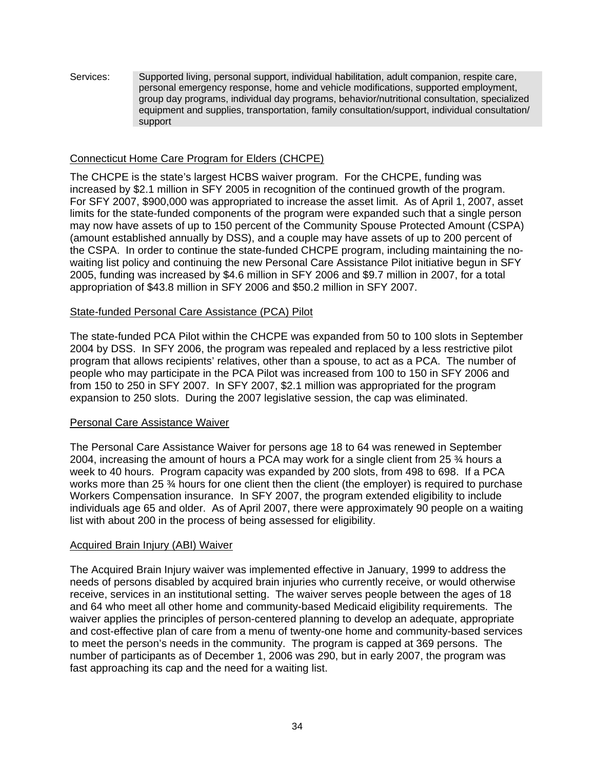Services: Supported living, personal support, individual habilitation, adult companion, respite care, personal emergency response, home and vehicle modifications, supported employment, group day programs, individual day programs, behavior/nutritional consultation, specialized equipment and supplies, transportation, family consultation/support, individual consultation/ support

### Connecticut Home Care Program for Elders (CHCPE)

The CHCPE is the state's largest HCBS waiver program. For the CHCPE, funding was increased by \$2.1 million in SFY 2005 in recognition of the continued growth of the program. For SFY 2007, \$900,000 was appropriated to increase the asset limit. As of April 1, 2007, asset limits for the state-funded components of the program were expanded such that a single person may now have assets of up to 150 percent of the Community Spouse Protected Amount (CSPA) (amount established annually by DSS), and a couple may have assets of up to 200 percent of the CSPA. In order to continue the state-funded CHCPE program, including maintaining the nowaiting list policy and continuing the new Personal Care Assistance Pilot initiative begun in SFY 2005, funding was increased by \$4.6 million in SFY 2006 and \$9.7 million in 2007, for a total appropriation of \$43.8 million in SFY 2006 and \$50.2 million in SFY 2007.

#### State-funded Personal Care Assistance (PCA) Pilot

The state-funded PCA Pilot within the CHCPE was expanded from 50 to 100 slots in September 2004 by DSS. In SFY 2006, the program was repealed and replaced by a less restrictive pilot program that allows recipients' relatives, other than a spouse, to act as a PCA. The number of people who may participate in the PCA Pilot was increased from 100 to 150 in SFY 2006 and from 150 to 250 in SFY 2007. In SFY 2007, \$2.1 million was appropriated for the program expansion to 250 slots. During the 2007 legislative session, the cap was eliminated.

#### Personal Care Assistance Waiver

The Personal Care Assistance Waiver for persons age 18 to 64 was renewed in September 2004, increasing the amount of hours a PCA may work for a single client from 25 ¾ hours a week to 40 hours. Program capacity was expanded by 200 slots, from 498 to 698. If a PCA works more than 25 ¾ hours for one client then the client (the employer) is required to purchase Workers Compensation insurance. In SFY 2007, the program extended eligibility to include individuals age 65 and older. As of April 2007, there were approximately 90 people on a waiting list with about 200 in the process of being assessed for eligibility.

#### Acquired Brain Injury (ABI) Waiver

The Acquired Brain Injury waiver was implemented effective in January, 1999 to address the needs of persons disabled by acquired brain injuries who currently receive, or would otherwise receive, services in an institutional setting. The waiver serves people between the ages of 18 and 64 who meet all other home and community-based Medicaid eligibility requirements. The waiver applies the principles of person-centered planning to develop an adequate, appropriate and cost-effective plan of care from a menu of twenty-one home and community-based services to meet the person's needs in the community. The program is capped at 369 persons. The number of participants as of December 1, 2006 was 290, but in early 2007, the program was fast approaching its cap and the need for a waiting list.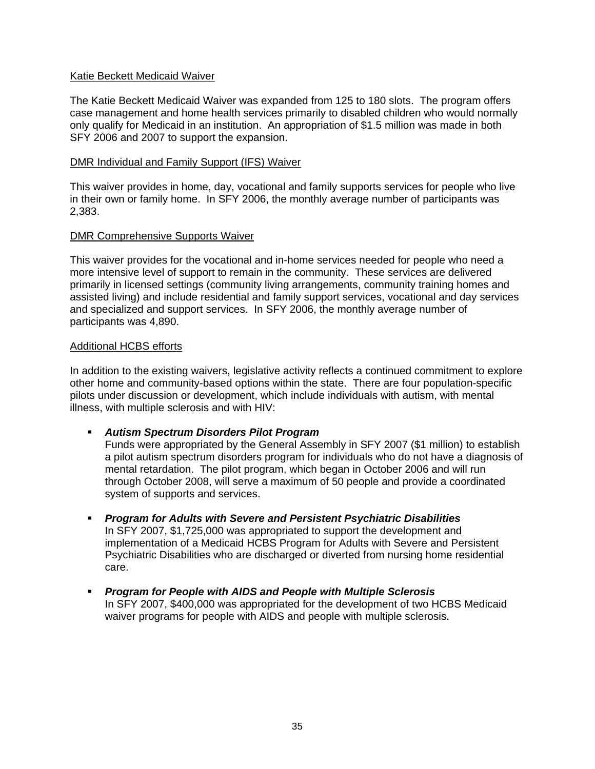### Katie Beckett Medicaid Waiver

The Katie Beckett Medicaid Waiver was expanded from 125 to 180 slots. The program offers case management and home health services primarily to disabled children who would normally only qualify for Medicaid in an institution. An appropriation of \$1.5 million was made in both SFY 2006 and 2007 to support the expansion.

#### DMR Individual and Family Support (IFS) Waiver

This waiver provides in home, day, vocational and family supports services for people who live in their own or family home. In SFY 2006, the monthly average number of participants was 2,383.

#### DMR Comprehensive Supports Waiver

This waiver provides for the vocational and in-home services needed for people who need a more intensive level of support to remain in the community. These services are delivered primarily in licensed settings (community living arrangements, community training homes and assisted living) and include residential and family support services, vocational and day services and specialized and support services. In SFY 2006, the monthly average number of participants was 4,890.

#### Additional HCBS efforts

In addition to the existing waivers, legislative activity reflects a continued commitment to explore other home and community-based options within the state. There are four population-specific pilots under discussion or development, which include individuals with autism, with mental illness, with multiple sclerosis and with HIV:

*Autism Spectrum Disorders Pilot Program* 

Funds were appropriated by the General Assembly in SFY 2007 (\$1 million) to establish a pilot autism spectrum disorders program for individuals who do not have a diagnosis of mental retardation. The pilot program, which began in October 2006 and will run through October 2008, will serve a maximum of 50 people and provide a coordinated system of supports and services.

- *Program for Adults with Severe and Persistent Psychiatric Disabilities*  In SFY 2007, \$1,725,000 was appropriated to support the development and implementation of a Medicaid HCBS Program for Adults with Severe and Persistent Psychiatric Disabilities who are discharged or diverted from nursing home residential care.
- *Program for People with AIDS and People with Multiple Sclerosis*  In SFY 2007, \$400,000 was appropriated for the development of two HCBS Medicaid waiver programs for people with AIDS and people with multiple sclerosis.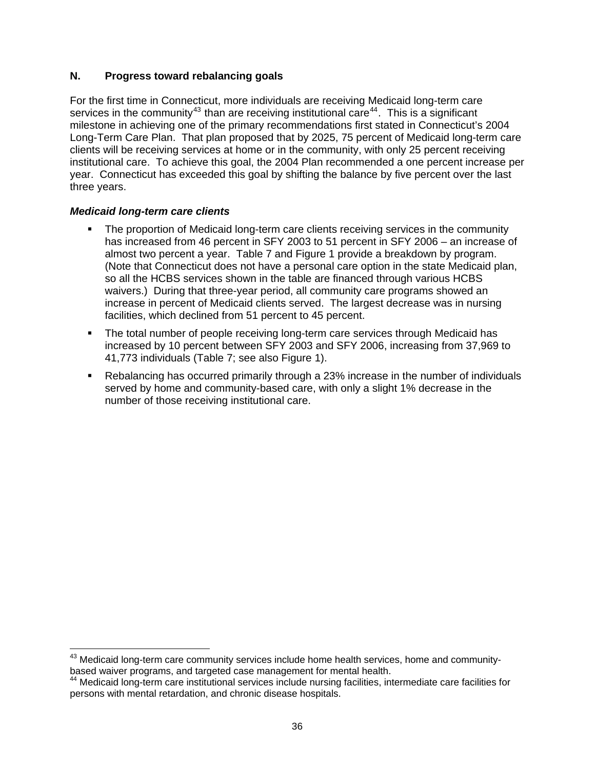# **N. Progress toward rebalancing goals**

For the first time in Connecticut, more individuals are receiving Medicaid long-term care services in the community<sup>[43](#page-41-0)</sup> than are receiving institutional care<sup>[44](#page-41-1)</sup>. This is a significant milestone in achieving one of the primary recommendations first stated in Connecticut's 2004 Long-Term Care Plan. That plan proposed that by 2025, 75 percent of Medicaid long-term care clients will be receiving services at home or in the community, with only 25 percent receiving institutional care. To achieve this goal, the 2004 Plan recommended a one percent increase per year. Connecticut has exceeded this goal by shifting the balance by five percent over the last three years.

# *Medicaid long-term care clients*

 $\overline{a}$ 

- The proportion of Medicaid long-term care clients receiving services in the community has increased from 46 percent in SFY 2003 to 51 percent in SFY 2006 – an increase of almost two percent a year. Table 7 and Figure 1 provide a breakdown by program. (Note that Connecticut does not have a personal care option in the state Medicaid plan, so all the HCBS services shown in the table are financed through various HCBS waivers.) During that three-year period, all community care programs showed an increase in percent of Medicaid clients served. The largest decrease was in nursing facilities, which declined from 51 percent to 45 percent.
- The total number of people receiving long-term care services through Medicaid has increased by 10 percent between SFY 2003 and SFY 2006, increasing from 37,969 to 41,773 individuals (Table 7; see also Figure 1).
- Rebalancing has occurred primarily through a 23% increase in the number of individuals served by home and community-based care, with only a slight 1% decrease in the number of those receiving institutional care.

<span id="page-41-0"></span> $^{43}$  Medicaid long-term care community services include home health services, home and communitybased waiver programs, and targeted case management for mental health.

<span id="page-41-1"></span><sup>44</sup> Medicaid long-term care institutional services include nursing facilities, intermediate care facilities for persons with mental retardation, and chronic disease hospitals.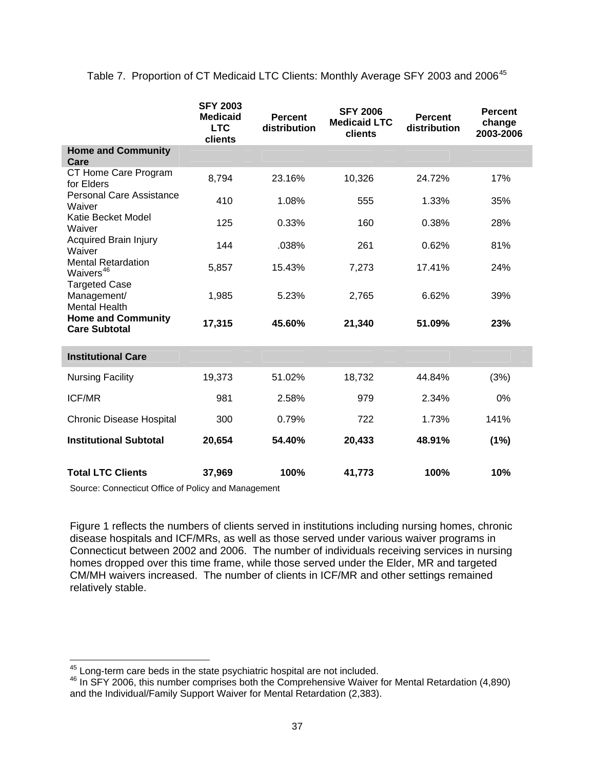Table 7. Proportion of CT Medicaid LTC Clients: Monthly Average SFY 2003 and 2006<sup>[45](#page-42-0)</sup>

|                                                             | <b>SFY 2003</b><br><b>Medicaid</b><br><b>LTC</b><br>clients | <b>Percent</b><br>distribution | <b>SFY 2006</b><br><b>Medicaid LTC</b><br>clients | <b>Percent</b><br>distribution | <b>Percent</b><br>change<br>2003-2006 |
|-------------------------------------------------------------|-------------------------------------------------------------|--------------------------------|---------------------------------------------------|--------------------------------|---------------------------------------|
| <b>Home and Community</b><br>Care                           |                                                             |                                |                                                   |                                |                                       |
| CT Home Care Program<br>for Elders                          | 8,794                                                       | 23.16%                         | 10,326                                            | 24.72%                         | 17%                                   |
| <b>Personal Care Assistance</b><br>Waiver                   | 410                                                         | 1.08%                          | 555                                               | 1.33%                          | 35%                                   |
| Katie Becket Model<br>Waiver                                | 125                                                         | 0.33%                          | 160                                               | 0.38%                          | 28%                                   |
| <b>Acquired Brain Injury</b><br>Waiver                      | 144                                                         | .038%                          | 261                                               | 0.62%                          | 81%                                   |
| <b>Mental Retardation</b><br>Waivers <sup>46</sup>          | 5,857                                                       | 15.43%                         | 7,273                                             | 17.41%                         | 24%                                   |
| <b>Targeted Case</b><br>Management/<br><b>Mental Health</b> | 1,985                                                       | 5.23%                          | 2,765                                             | 6.62%                          | 39%                                   |
| <b>Home and Community</b><br><b>Care Subtotal</b>           | 17,315                                                      | 45.60%                         | 21,340                                            | 51.09%                         | 23%                                   |
| <b>Institutional Care</b>                                   |                                                             |                                |                                                   |                                |                                       |
| <b>Nursing Facility</b>                                     | 19,373                                                      | 51.02%                         | 18,732                                            | 44.84%                         | (3%)                                  |
| <b>ICF/MR</b>                                               | 981                                                         | 2.58%                          | 979                                               | 2.34%                          | 0%                                    |
| <b>Chronic Disease Hospital</b>                             | 300                                                         | 0.79%                          | 722                                               | 1.73%                          | 141%                                  |
| <b>Institutional Subtotal</b>                               | 20,654                                                      | 54.40%                         | 20,433                                            | 48.91%                         | (1%)                                  |
| <b>Total LTC Clients</b>                                    | 37,969                                                      | 100%                           | 41,773                                            | 100%                           | 10%                                   |

Source: Connecticut Office of Policy and Management

Figure 1 reflects the numbers of clients served in institutions including nursing homes, chronic disease hospitals and ICF/MRs, as well as those served under various waiver programs in Connecticut between 2002 and 2006. The number of individuals receiving services in nursing homes dropped over this time frame, while those served under the Elder, MR and targeted CM/MH waivers increased. The number of clients in ICF/MR and other settings remained relatively stable.

 $\overline{a}$ 

<span id="page-42-1"></span><span id="page-42-0"></span><sup>&</sup>lt;sup>45</sup> Long-term care beds in the state psychiatric hospital are not included.<br><sup>46</sup> In SFY 2006, this number comprises both the Comprehensive Waiver for Mental Retardation (4,890) and the Individual/Family Support Waiver for Mental Retardation (2,383).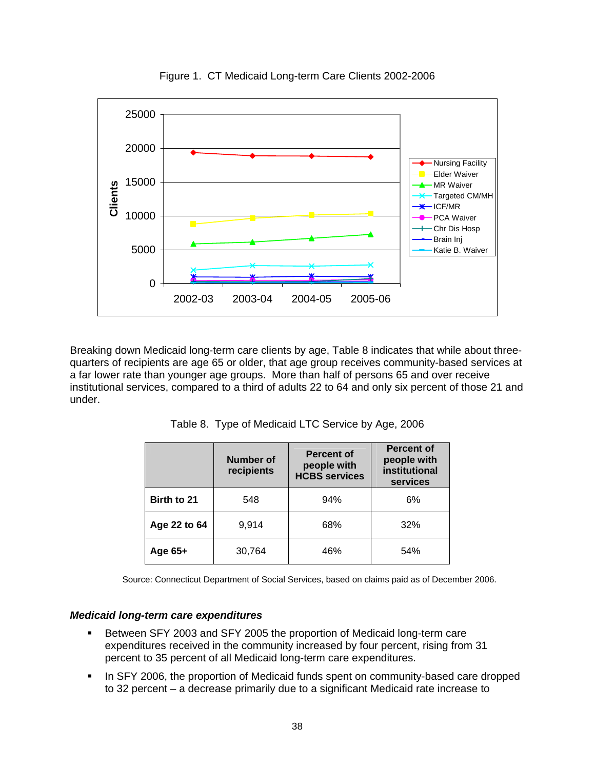

Figure 1. CT Medicaid Long-term Care Clients 2002-2006

Breaking down Medicaid long-term care clients by age, Table 8 indicates that while about threequarters of recipients are age 65 or older, that age group receives community-based services at a far lower rate than younger age groups. More than half of persons 65 and over receive institutional services, compared to a third of adults 22 to 64 and only six percent of those 21 and under.

|              | Number of<br>recipients | <b>Percent of</b><br>people with<br><b>HCBS services</b> | <b>Percent of</b><br>people with<br>institutional<br>services |
|--------------|-------------------------|----------------------------------------------------------|---------------------------------------------------------------|
| Birth to 21  | 548                     | 94%                                                      | 6%                                                            |
| Age 22 to 64 | 9,914                   | 68%                                                      | 32%                                                           |
| Age $65+$    | 30,764                  | 46%                                                      | 54%                                                           |

Table 8. Type of Medicaid LTC Service by Age, 2006

Source: Connecticut Department of Social Services, based on claims paid as of December 2006.

#### *Medicaid long-term care expenditures*

- **Between SFY 2003 and SFY 2005 the proportion of Medicaid long-term care** expenditures received in the community increased by four percent, rising from 31 percent to 35 percent of all Medicaid long-term care expenditures.
- In SFY 2006, the proportion of Medicaid funds spent on community-based care dropped to 32 percent – a decrease primarily due to a significant Medicaid rate increase to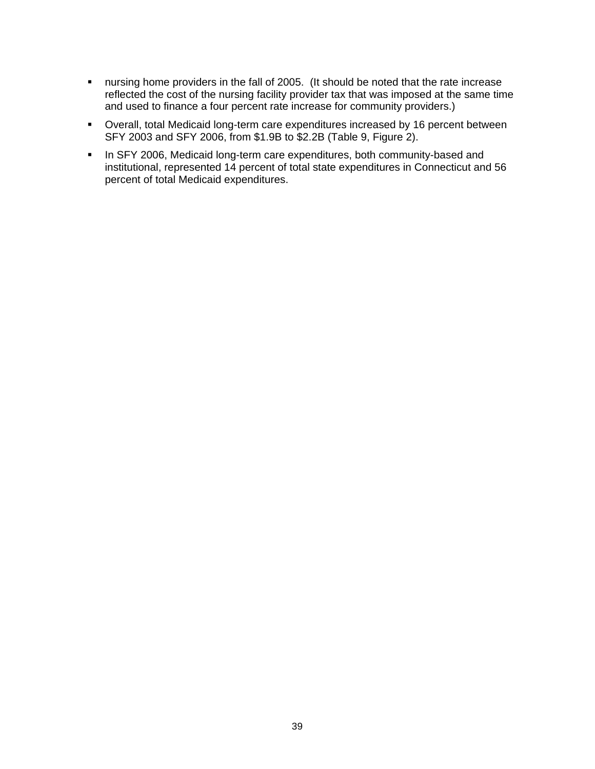- nursing home providers in the fall of 2005. (It should be noted that the rate increase reflected the cost of the nursing facility provider tax that was imposed at the same time and used to finance a four percent rate increase for community providers.)
- Overall, total Medicaid long-term care expenditures increased by 16 percent between SFY 2003 and SFY 2006, from \$1.9B to \$2.2B (Table 9, Figure 2).
- In SFY 2006, Medicaid long-term care expenditures, both community-based and institutional, represented 14 percent of total state expenditures in Connecticut and 56 percent of total Medicaid expenditures.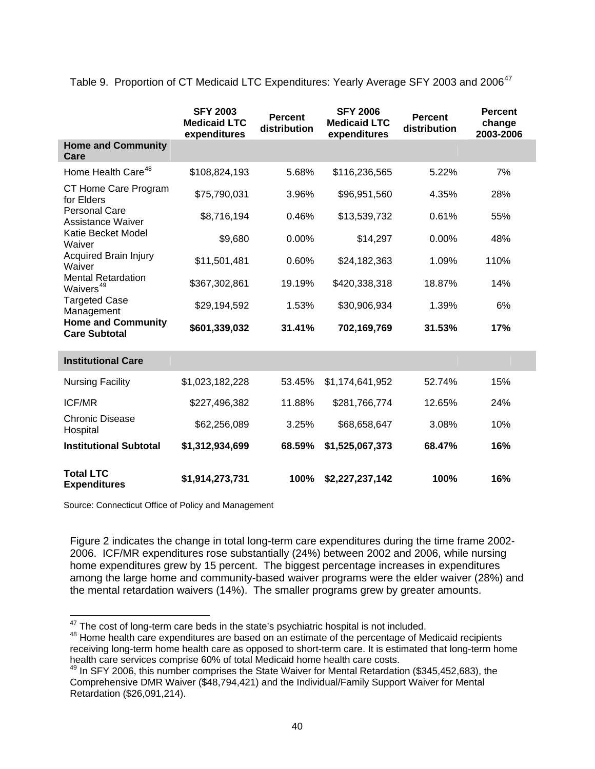Table 9. Proportion of CT Medicaid LTC Expenditures: Yearly Average SFY 2003 and 2006<sup>[47](#page-45-0)</sup>

|                                                    | <b>SFY 2003</b><br><b>Medicaid LTC</b><br>expenditures | <b>Percent</b><br>distribution | <b>SFY 2006</b><br><b>Medicaid LTC</b><br>expenditures | <b>Percent</b><br>distribution | <b>Percent</b><br>change<br>2003-2006 |
|----------------------------------------------------|--------------------------------------------------------|--------------------------------|--------------------------------------------------------|--------------------------------|---------------------------------------|
| <b>Home and Community</b><br>Care                  |                                                        |                                |                                                        |                                |                                       |
| Home Health Care <sup>48</sup>                     | \$108,824,193                                          | 5.68%                          | \$116,236,565                                          | 5.22%                          | 7%                                    |
| CT Home Care Program<br>for Elders                 | \$75,790,031                                           | 3.96%                          | \$96,951,560                                           | 4.35%                          | 28%                                   |
| <b>Personal Care</b><br>Assistance Waiver          | \$8,716,194                                            | 0.46%                          | \$13,539,732                                           | 0.61%                          | 55%                                   |
| Katie Becket Model<br>Waiver                       | \$9,680                                                | 0.00%                          | \$14,297                                               | 0.00%                          | 48%                                   |
| <b>Acquired Brain Injury</b><br>Waiver             | \$11,501,481                                           | 0.60%                          | \$24,182,363                                           | 1.09%                          | 110%                                  |
| <b>Mental Retardation</b><br>Waivers <sup>49</sup> | \$367,302,861                                          | 19.19%                         | \$420,338,318                                          | 18.87%                         | 14%                                   |
| <b>Targeted Case</b><br>Management                 | \$29,194,592                                           | 1.53%                          | \$30,906,934                                           | 1.39%                          | 6%                                    |
| <b>Home and Community</b><br><b>Care Subtotal</b>  | \$601,339,032                                          | 31.41%                         | 702,169,769                                            | 31.53%                         | 17%                                   |
| <b>Institutional Care</b>                          |                                                        |                                |                                                        |                                |                                       |
| <b>Nursing Facility</b>                            | \$1,023,182,228                                        | 53.45%                         | \$1,174,641,952                                        | 52.74%                         | 15%                                   |
| <b>ICF/MR</b>                                      | \$227,496,382                                          | 11.88%                         | \$281,766,774                                          | 12.65%                         | 24%                                   |
| <b>Chronic Disease</b><br>Hospital                 | \$62,256,089                                           | 3.25%                          | \$68,658,647                                           | 3.08%                          | 10%                                   |
| <b>Institutional Subtotal</b>                      | \$1,312,934,699                                        | 68.59%                         | \$1,525,067,373                                        | 68.47%                         | 16%                                   |
| <b>Total LTC</b><br><b>Expenditures</b>            | \$1,914,273,731                                        | 100%                           | \$2,227,237,142                                        | 100%                           | 16%                                   |

Source: Connecticut Office of Policy and Management

Figure 2 indicates the change in total long-term care expenditures during the time frame 2002- 2006. ICF/MR expenditures rose substantially (24%) between 2002 and 2006, while nursing home expenditures grew by 15 percent. The biggest percentage increases in expenditures among the large home and community-based waiver programs were the elder waiver (28%) and the mental retardation waivers (14%). The smaller programs grew by greater amounts.

<span id="page-45-0"></span><sup>&</sup>lt;sup>47</sup> The cost of long-term care beds in the state's psychiatric hospital is not included.

<span id="page-45-1"></span><sup>&</sup>lt;sup>48</sup> Home health care expenditures are based on an estimate of the percentage of Medicaid recipients receiving long-term home health care as opposed to short-term care. It is estimated that long-term home health care services comprise 60% of total Medicaid home health care costs.

<span id="page-45-2"></span> $49$  In SFY 2006, this number comprises the State Waiver for Mental Retardation (\$345,452,683), the Comprehensive DMR Waiver (\$48,794,421) and the Individual/Family Support Waiver for Mental Retardation (\$26,091,214).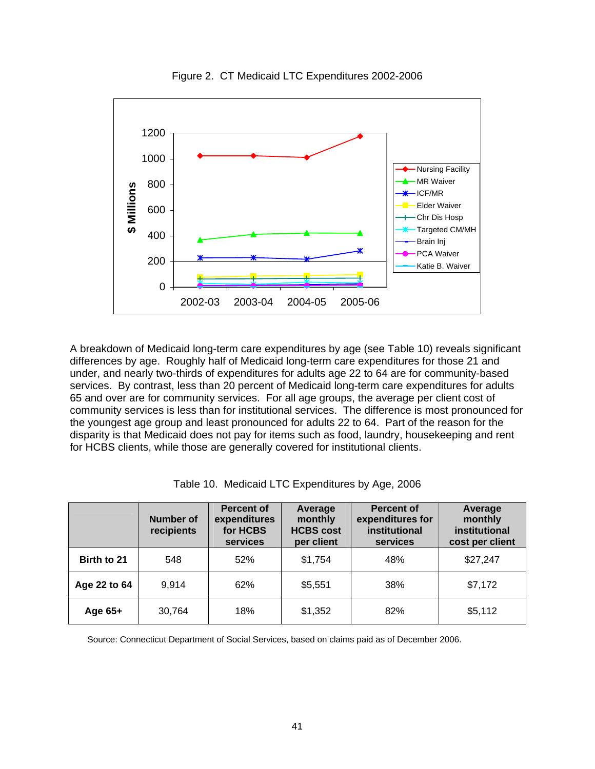

Figure 2. CT Medicaid LTC Expenditures 2002-2006

A breakdown of Medicaid long-term care expenditures by age (see Table 10) reveals significant differences by age. Roughly half of Medicaid long-term care expenditures for those 21 and under, and nearly two-thirds of expenditures for adults age 22 to 64 are for community-based services. By contrast, less than 20 percent of Medicaid long-term care expenditures for adults 65 and over are for community services. For all age groups, the average per client cost of community services is less than for institutional services. The difference is most pronounced for the youngest age group and least pronounced for adults 22 to 64. Part of the reason for the disparity is that Medicaid does not pay for items such as food, laundry, housekeeping and rent for HCBS clients, while those are generally covered for institutional clients.

|  |  | Table 10. Medicaid LTC Expenditures by Age, 2006 |  |  |  |
|--|--|--------------------------------------------------|--|--|--|
|--|--|--------------------------------------------------|--|--|--|

|              | <b>Number of</b><br>recipients | <b>Percent of</b><br>expenditures<br>for HCBS<br>services | Average<br>monthly<br><b>HCBS cost</b><br>per client | <b>Percent of</b><br>expenditures for<br>institutional<br>services | Average<br>monthly<br>institutional<br>cost per client |
|--------------|--------------------------------|-----------------------------------------------------------|------------------------------------------------------|--------------------------------------------------------------------|--------------------------------------------------------|
| Birth to 21  | 548                            | 52%                                                       | \$1,754                                              | 48%                                                                | \$27,247                                               |
| Age 22 to 64 | 9,914                          | 62%                                                       | \$5,551                                              | 38%                                                                | \$7,172                                                |
| Age $65+$    | 30,764                         | 18%                                                       | \$1,352                                              | 82%                                                                | \$5,112                                                |

Source: Connecticut Department of Social Services, based on claims paid as of December 2006.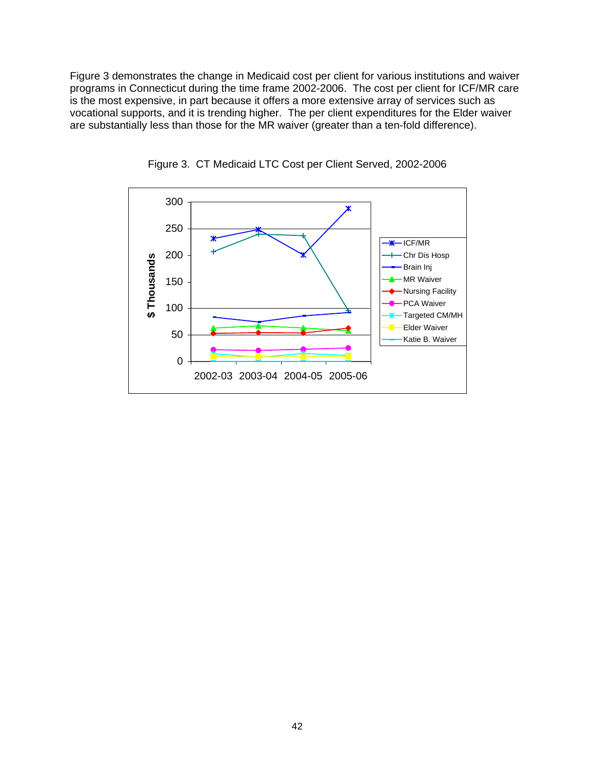Figure 3 demonstrates the change in Medicaid cost per client for various institutions and waiver programs in Connecticut during the time frame 2002-2006. The cost per client for ICF/MR care is the most expensive, in part because it offers a more extensive array of services such as vocational supports, and it is trending higher. The per client expenditures for the Elder waiver are substantially less than those for the MR waiver (greater than a ten-fold difference).



Figure 3. CT Medicaid LTC Cost per Client Served, 2002-2006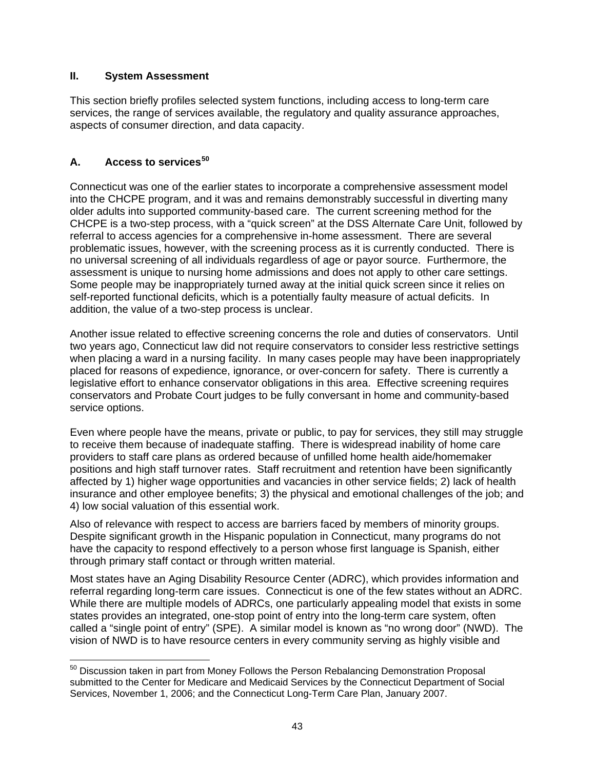### **II. System Assessment**

This section briefly profiles selected system functions, including access to long-term care services, the range of services available, the regulatory and quality assurance approaches, aspects of consumer direction, and data capacity.

# **A. Access to services[50](#page-48-0)**

Connecticut was one of the earlier states to incorporate a comprehensive assessment model into the CHCPE program, and it was and remains demonstrably successful in diverting many older adults into supported community-based care. The current screening method for the CHCPE is a two-step process, with a "quick screen" at the DSS Alternate Care Unit, followed by referral to access agencies for a comprehensive in-home assessment. There are several problematic issues, however, with the screening process as it is currently conducted. There is no universal screening of all individuals regardless of age or payor source. Furthermore, the assessment is unique to nursing home admissions and does not apply to other care settings. Some people may be inappropriately turned away at the initial quick screen since it relies on self-reported functional deficits, which is a potentially faulty measure of actual deficits. In addition, the value of a two-step process is unclear.

Another issue related to effective screening concerns the role and duties of conservators. Until two years ago, Connecticut law did not require conservators to consider less restrictive settings when placing a ward in a nursing facility. In many cases people may have been inappropriately placed for reasons of expedience, ignorance, or over-concern for safety. There is currently a legislative effort to enhance conservator obligations in this area. Effective screening requires conservators and Probate Court judges to be fully conversant in home and community-based service options.

Even where people have the means, private or public, to pay for services, they still may struggle to receive them because of inadequate staffing. There is widespread inability of home care providers to staff care plans as ordered because of unfilled home health aide/homemaker positions and high staff turnover rates. Staff recruitment and retention have been significantly affected by 1) higher wage opportunities and vacancies in other service fields; 2) lack of health insurance and other employee benefits; 3) the physical and emotional challenges of the job; and 4) low social valuation of this essential work.

Also of relevance with respect to access are barriers faced by members of minority groups. Despite significant growth in the Hispanic population in Connecticut, many programs do not have the capacity to respond effectively to a person whose first language is Spanish, either through primary staff contact or through written material.

Most states have an Aging Disability Resource Center (ADRC), which provides information and referral regarding long-term care issues. Connecticut is one of the few states without an ADRC. While there are multiple models of ADRCs, one particularly appealing model that exists in some states provides an integrated, one-stop point of entry into the long-term care system, often called a "single point of entry" (SPE). A similar model is known as "no wrong door" (NWD). The vision of NWD is to have resource centers in every community serving as highly visible and

<span id="page-48-0"></span> $\overline{a}$  $50$  Discussion taken in part from Money Follows the Person Rebalancing Demonstration Proposal submitted to the Center for Medicare and Medicaid Services by the Connecticut Department of Social Services, November 1, 2006; and the Connecticut Long-Term Care Plan, January 2007.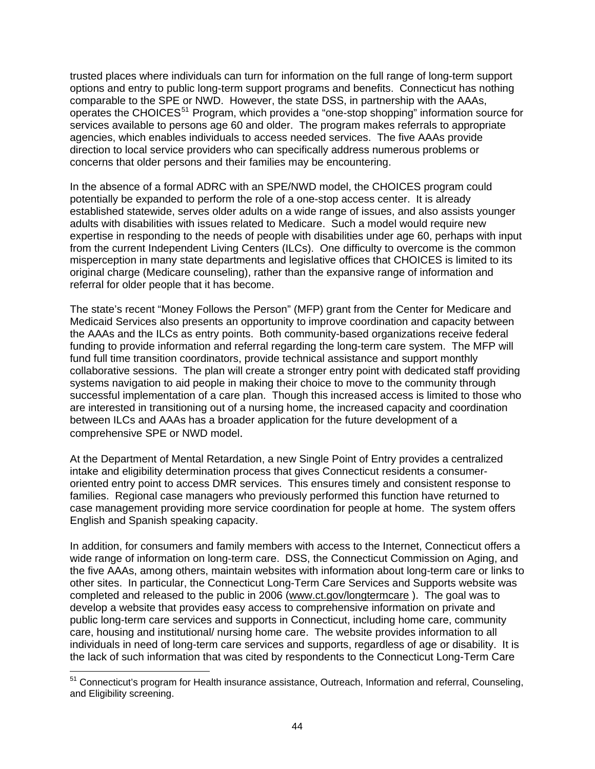trusted places where individuals can turn for information on the full range of long-term support options and entry to public long-term support programs and benefits. Connecticut has nothing comparable to the SPE or NWD. However, the state DSS, in partnership with the AAAs, operates the CHOICES<sup>[51](#page-49-0)</sup> Program, which provides a "one-stop shopping" information source for services available to persons age 60 and older. The program makes referrals to appropriate agencies, which enables individuals to access needed services. The five AAAs provide direction to local service providers who can specifically address numerous problems or concerns that older persons and their families may be encountering.

In the absence of a formal ADRC with an SPE/NWD model, the CHOICES program could potentially be expanded to perform the role of a one-stop access center. It is already established statewide, serves older adults on a wide range of issues, and also assists younger adults with disabilities with issues related to Medicare. Such a model would require new expertise in responding to the needs of people with disabilities under age 60, perhaps with input from the current Independent Living Centers (ILCs). One difficulty to overcome is the common misperception in many state departments and legislative offices that CHOICES is limited to its original charge (Medicare counseling), rather than the expansive range of information and referral for older people that it has become.

The state's recent "Money Follows the Person" (MFP) grant from the Center for Medicare and Medicaid Services also presents an opportunity to improve coordination and capacity between the AAAs and the ILCs as entry points. Both community-based organizations receive federal funding to provide information and referral regarding the long-term care system. The MFP will fund full time transition coordinators, provide technical assistance and support monthly collaborative sessions. The plan will create a stronger entry point with dedicated staff providing systems navigation to aid people in making their choice to move to the community through successful implementation of a care plan. Though this increased access is limited to those who are interested in transitioning out of a nursing home, the increased capacity and coordination between ILCs and AAAs has a broader application for the future development of a comprehensive SPE or NWD model.

At the Department of Mental Retardation, a new Single Point of Entry provides a centralized intake and eligibility determination process that gives Connecticut residents a consumeroriented entry point to access DMR services. This ensures timely and consistent response to families. Regional case managers who previously performed this function have returned to case management providing more service coordination for people at home. The system offers English and Spanish speaking capacity.

In addition, for consumers and family members with access to the Internet, Connecticut offers a wide range of information on long-term care. DSS, the Connecticut Commission on Aging, and the five AAAs, among others, maintain websites with information about long-term care or links to other sites. In particular, the Connecticut Long-Term Care Services and Supports website was completed and released to the public in 2006 ([www.ct.gov/longtermcare](http://www.ct.gov/longtermcare) ). The goal was to develop a website that provides easy access to comprehensive information on private and public long-term care services and supports in Connecticut, including home care, community care, housing and institutional/ nursing home care. The website provides information to all individuals in need of long-term care services and supports, regardless of age or disability. It is the lack of such information that was cited by respondents to the Connecticut Long-Term Care

 $\overline{a}$ 

<span id="page-49-0"></span><sup>&</sup>lt;sup>51</sup> Connecticut's program for Health insurance assistance, Outreach, Information and referral, Counseling, and Eligibility screening.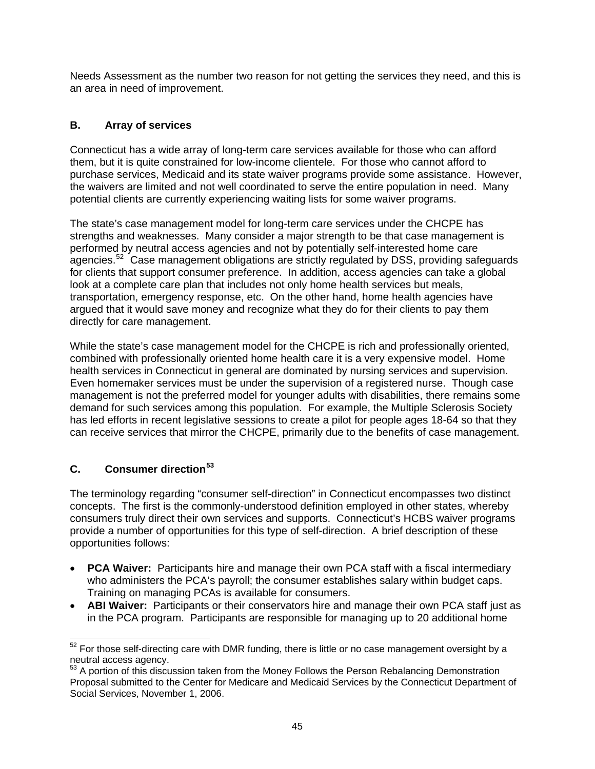Needs Assessment as the number two reason for not getting the services they need, and this is an area in need of improvement.

# **B. Array of services**

Connecticut has a wide array of long-term care services available for those who can afford them, but it is quite constrained for low-income clientele. For those who cannot afford to purchase services, Medicaid and its state waiver programs provide some assistance. However, the waivers are limited and not well coordinated to serve the entire population in need. Many potential clients are currently experiencing waiting lists for some waiver programs.

The state's case management model for long-term care services under the CHCPE has strengths and weaknesses. Many consider a major strength to be that case management is performed by neutral access agencies and not by potentially self-interested home care agencies.<sup>[52](#page-50-0)</sup> Case management obligations are strictly regulated by DSS, providing safeguards for clients that support consumer preference. In addition, access agencies can take a global look at a complete care plan that includes not only home health services but meals, transportation, emergency response, etc. On the other hand, home health agencies have argued that it would save money and recognize what they do for their clients to pay them directly for care management.

While the state's case management model for the CHCPE is rich and professionally oriented, combined with professionally oriented home health care it is a very expensive model. Home health services in Connecticut in general are dominated by nursing services and supervision. Even homemaker services must be under the supervision of a registered nurse. Though case management is not the preferred model for younger adults with disabilities, there remains some demand for such services among this population. For example, the Multiple Sclerosis Society has led efforts in recent legislative sessions to create a pilot for people ages 18-64 so that they can receive services that mirror the CHCPE, primarily due to the benefits of case management.

# **C. Consumer direction[53](#page-50-1)**

The terminology regarding "consumer self-direction" in Connecticut encompasses two distinct concepts. The first is the commonly-understood definition employed in other states, whereby consumers truly direct their own services and supports. Connecticut's HCBS waiver programs provide a number of opportunities for this type of self-direction. A brief description of these opportunities follows:

- **PCA Waiver:** Participants hire and manage their own PCA staff with a fiscal intermediary who administers the PCA's payroll; the consumer establishes salary within budget caps. Training on managing PCAs is available for consumers.
- **ABI Waiver:** Participants or their conservators hire and manage their own PCA staff just as in the PCA program. Participants are responsible for managing up to 20 additional home

<span id="page-50-0"></span> $\overline{a}$  $52$  For those self-directing care with DMR funding, there is little or no case management oversight by a neutral access agency.

<span id="page-50-1"></span><sup>&</sup>lt;sup>53</sup> A portion of this discussion taken from the Money Follows the Person Rebalancing Demonstration Proposal submitted to the Center for Medicare and Medicaid Services by the Connecticut Department of Social Services, November 1, 2006.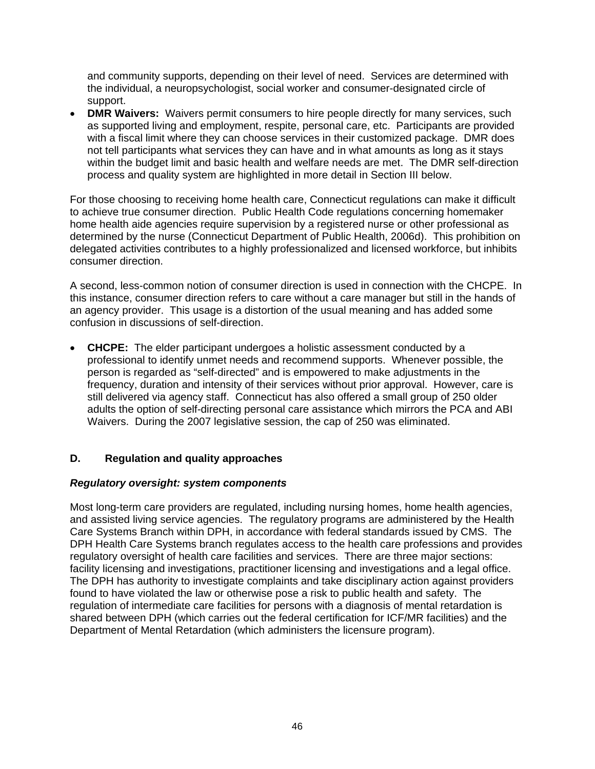and community supports, depending on their level of need. Services are determined with the individual, a neuropsychologist, social worker and consumer-designated circle of support.

• **DMR Waivers:** Waivers permit consumers to hire people directly for many services, such as supported living and employment, respite, personal care, etc. Participants are provided with a fiscal limit where they can choose services in their customized package. DMR does not tell participants what services they can have and in what amounts as long as it stays within the budget limit and basic health and welfare needs are met. The DMR self-direction process and quality system are highlighted in more detail in Section III below.

For those choosing to receiving home health care, Connecticut regulations can make it difficult to achieve true consumer direction. Public Health Code regulations concerning homemaker home health aide agencies require supervision by a registered nurse or other professional as determined by the nurse (Connecticut Department of Public Health, 2006d). This prohibition on delegated activities contributes to a highly professionalized and licensed workforce, but inhibits consumer direction.

A second, less-common notion of consumer direction is used in connection with the CHCPE. In this instance, consumer direction refers to care without a care manager but still in the hands of an agency provider. This usage is a distortion of the usual meaning and has added some confusion in discussions of self-direction.

• **CHCPE:** The elder participant undergoes a holistic assessment conducted by a professional to identify unmet needs and recommend supports. Whenever possible, the person is regarded as "self-directed" and is empowered to make adjustments in the frequency, duration and intensity of their services without prior approval. However, care is still delivered via agency staff. Connecticut has also offered a small group of 250 older adults the option of self-directing personal care assistance which mirrors the PCA and ABI Waivers. During the 2007 legislative session, the cap of 250 was eliminated.

### **D. Regulation and quality approaches**

### *Regulatory oversight: system components*

Most long-term care providers are regulated, including nursing homes, home health agencies, and assisted living service agencies. The regulatory programs are administered by the Health Care Systems Branch within DPH, in accordance with federal standards issued by CMS. The DPH Health Care Systems branch regulates access to the health care professions and provides regulatory oversight of health care facilities and services. There are three major sections: facility licensing and investigations, practitioner licensing and investigations and a legal office. The DPH has authority to investigate complaints and take disciplinary action against providers found to have violated the law or otherwise pose a risk to public health and safety. The regulation of intermediate care facilities for persons with a diagnosis of mental retardation is shared between DPH (which carries out the federal certification for ICF/MR facilities) and the Department of Mental Retardation (which administers the licensure program).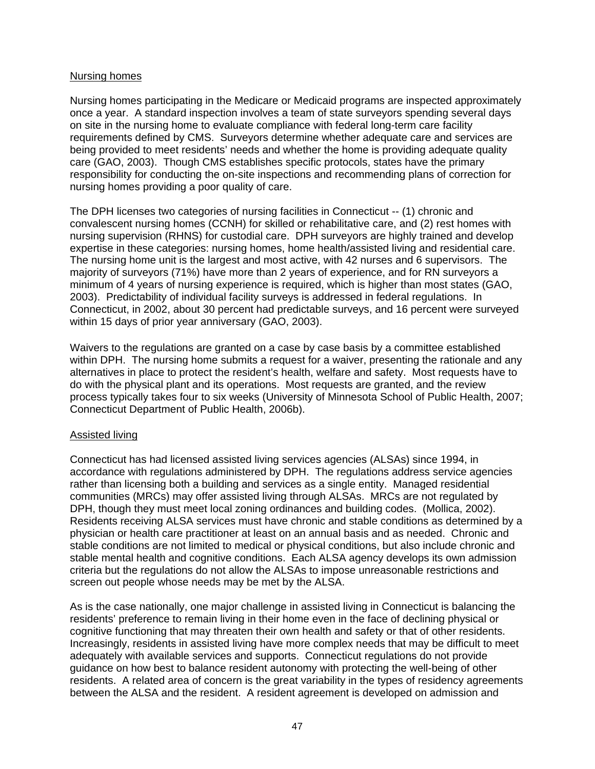### Nursing homes

Nursing homes participating in the Medicare or Medicaid programs are inspected approximately once a year. A standard inspection involves a team of state surveyors spending several days on site in the nursing home to evaluate compliance with federal long-term care facility requirements defined by CMS. Surveyors determine whether adequate care and services are being provided to meet residents' needs and whether the home is providing adequate quality care (GAO, 2003). Though CMS establishes specific protocols, states have the primary responsibility for conducting the on-site inspections and recommending plans of correction for nursing homes providing a poor quality of care.

The DPH licenses two categories of nursing facilities in Connecticut -- (1) chronic and convalescent nursing homes (CCNH) for skilled or rehabilitative care, and (2) rest homes with nursing supervision (RHNS) for custodial care. DPH surveyors are highly trained and develop expertise in these categories: nursing homes, home health/assisted living and residential care. The nursing home unit is the largest and most active, with 42 nurses and 6 supervisors. The majority of surveyors (71%) have more than 2 years of experience, and for RN surveyors a minimum of 4 years of nursing experience is required, which is higher than most states (GAO, 2003). Predictability of individual facility surveys is addressed in federal regulations. In Connecticut, in 2002, about 30 percent had predictable surveys, and 16 percent were surveyed within 15 days of prior year anniversary (GAO, 2003).

Waivers to the regulations are granted on a case by case basis by a committee established within DPH. The nursing home submits a request for a waiver, presenting the rationale and any alternatives in place to protect the resident's health, welfare and safety. Most requests have to do with the physical plant and its operations. Most requests are granted, and the review process typically takes four to six weeks (University of Minnesota School of Public Health, 2007; Connecticut Department of Public Health, 2006b).

#### Assisted living

Connecticut has had licensed assisted living services agencies (ALSAs) since 1994, in accordance with regulations administered by DPH. The regulations address service agencies rather than licensing both a building and services as a single entity. Managed residential communities (MRCs) may offer assisted living through ALSAs. MRCs are not regulated by DPH, though they must meet local zoning ordinances and building codes. (Mollica, 2002). Residents receiving ALSA services must have chronic and stable conditions as determined by a physician or health care practitioner at least on an annual basis and as needed. Chronic and stable conditions are not limited to medical or physical conditions, but also include chronic and stable mental health and cognitive conditions. Each ALSA agency develops its own admission criteria but the regulations do not allow the ALSAs to impose unreasonable restrictions and screen out people whose needs may be met by the ALSA.

As is the case nationally, one major challenge in assisted living in Connecticut is balancing the residents' preference to remain living in their home even in the face of declining physical or cognitive functioning that may threaten their own health and safety or that of other residents. Increasingly, residents in assisted living have more complex needs that may be difficult to meet adequately with available services and supports. Connecticut regulations do not provide guidance on how best to balance resident autonomy with protecting the well-being of other residents. A related area of concern is the great variability in the types of residency agreements between the ALSA and the resident. A resident agreement is developed on admission and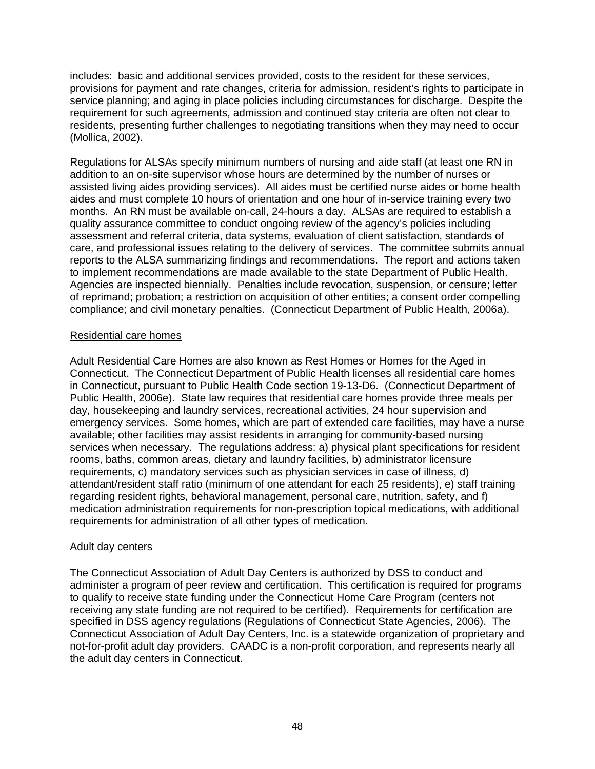includes: basic and additional services provided, costs to the resident for these services, provisions for payment and rate changes, criteria for admission, resident's rights to participate in service planning; and aging in place policies including circumstances for discharge. Despite the requirement for such agreements, admission and continued stay criteria are often not clear to residents, presenting further challenges to negotiating transitions when they may need to occur (Mollica, 2002).

Regulations for ALSAs specify minimum numbers of nursing and aide staff (at least one RN in addition to an on-site supervisor whose hours are determined by the number of nurses or assisted living aides providing services). All aides must be certified nurse aides or home health aides and must complete 10 hours of orientation and one hour of in-service training every two months. An RN must be available on-call, 24-hours a day. ALSAs are required to establish a quality assurance committee to conduct ongoing review of the agency's policies including assessment and referral criteria, data systems, evaluation of client satisfaction, standards of care, and professional issues relating to the delivery of services. The committee submits annual reports to the ALSA summarizing findings and recommendations. The report and actions taken to implement recommendations are made available to the state Department of Public Health. Agencies are inspected biennially. Penalties include revocation, suspension, or censure; letter of reprimand; probation; a restriction on acquisition of other entities; a consent order compelling compliance; and civil monetary penalties. (Connecticut Department of Public Health, 2006a).

### Residential care homes

Adult Residential Care Homes are also known as Rest Homes or Homes for the Aged in Connecticut. The Connecticut Department of Public Health licenses all residential care homes in Connecticut, pursuant to Public Health Code section 19-13-D6. (Connecticut Department of Public Health, 2006e). State law requires that residential care homes provide three meals per day, housekeeping and laundry services, recreational activities, 24 hour supervision and emergency services. Some homes, which are part of extended care facilities, may have a nurse available; other facilities may assist residents in arranging for community-based nursing services when necessary. The regulations address: a) physical plant specifications for resident rooms, baths, common areas, dietary and laundry facilities, b) administrator licensure requirements, c) mandatory services such as physician services in case of illness, d) attendant/resident staff ratio (minimum of one attendant for each 25 residents), e) staff training regarding resident rights, behavioral management, personal care, nutrition, safety, and f) medication administration requirements for non-prescription topical medications, with additional requirements for administration of all other types of medication.

### Adult day centers

The Connecticut Association of Adult Day Centers is authorized by DSS to conduct and administer a program of peer review and certification. This certification is required for programs to qualify to receive state funding under the Connecticut Home Care Program (centers not receiving any state funding are not required to be certified). Requirements for certification are specified in DSS agency regulations (Regulations of Connecticut State Agencies, 2006). The Connecticut Association of Adult Day Centers, Inc. is a statewide organization of proprietary and not-for-profit adult day providers. CAADC is a non-profit corporation, and represents nearly all the adult day centers in Connecticut.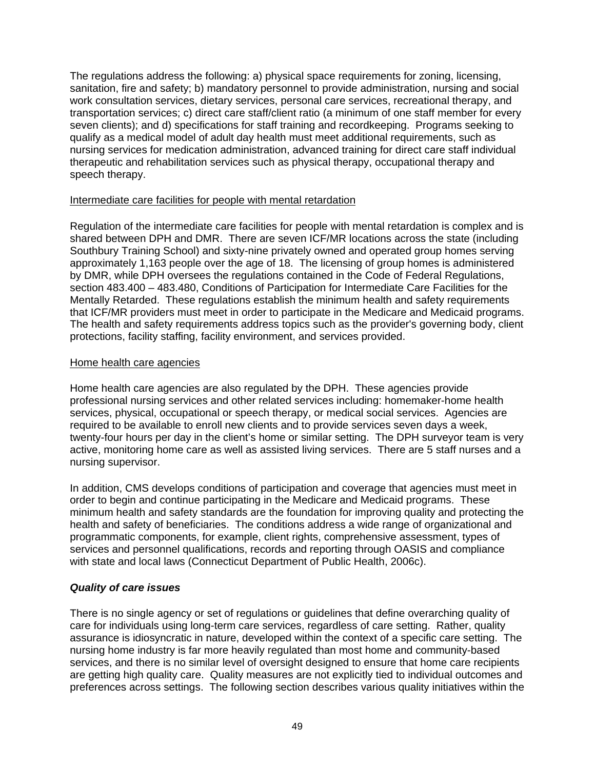The regulations address the following: a) physical space requirements for zoning, licensing, sanitation, fire and safety; b) mandatory personnel to provide administration, nursing and social work consultation services, dietary services, personal care services, recreational therapy, and transportation services; c) direct care staff/client ratio (a minimum of one staff member for every seven clients); and d) specifications for staff training and recordkeeping. Programs seeking to qualify as a medical model of adult day health must meet additional requirements, such as nursing services for medication administration, advanced training for direct care staff individual therapeutic and rehabilitation services such as physical therapy, occupational therapy and speech therapy.

#### Intermediate care facilities for people with mental retardation

Regulation of the intermediate care facilities for people with mental retardation is complex and is shared between DPH and DMR. There are seven ICF/MR locations across the state (including Southbury Training School) and sixty-nine privately owned and operated group homes serving approximately 1,163 people over the age of 18. The licensing of group homes is administered by DMR, while DPH oversees the regulations contained in the Code of Federal Regulations, section 483.400 – 483.480, Conditions of Participation for Intermediate Care Facilities for the Mentally Retarded. These regulations establish the minimum health and safety requirements that ICF/MR providers must meet in order to participate in the Medicare and Medicaid programs. The health and safety requirements address topics such as the provider's governing body, client protections, facility staffing, facility environment, and services provided.

#### Home health care agencies

Home health care agencies are also regulated by the DPH. These agencies provide professional nursing services and other related services including: homemaker-home health services, physical, occupational or speech therapy, or medical social services. Agencies are required to be available to enroll new clients and to provide services seven days a week, twenty-four hours per day in the client's home or similar setting. The DPH surveyor team is very active, monitoring home care as well as assisted living services. There are 5 staff nurses and a nursing supervisor.

In addition, CMS develops conditions of participation and coverage that agencies must meet in order to begin and continue participating in the Medicare and Medicaid programs. These minimum health and safety standards are the foundation for improving quality and protecting the health and safety of beneficiaries. The conditions address a wide range of organizational and programmatic components, for example, client rights, comprehensive assessment, types of services and personnel qualifications, records and reporting through OASIS and compliance with state and local laws (Connecticut Department of Public Health, 2006c).

### *Quality of care issues*

There is no single agency or set of regulations or guidelines that define overarching quality of care for individuals using long-term care services, regardless of care setting. Rather, quality assurance is idiosyncratic in nature, developed within the context of a specific care setting. The nursing home industry is far more heavily regulated than most home and community-based services, and there is no similar level of oversight designed to ensure that home care recipients are getting high quality care.Quality measures are not explicitly tied to individual outcomes and preferences across settings. The following section describes various quality initiatives within the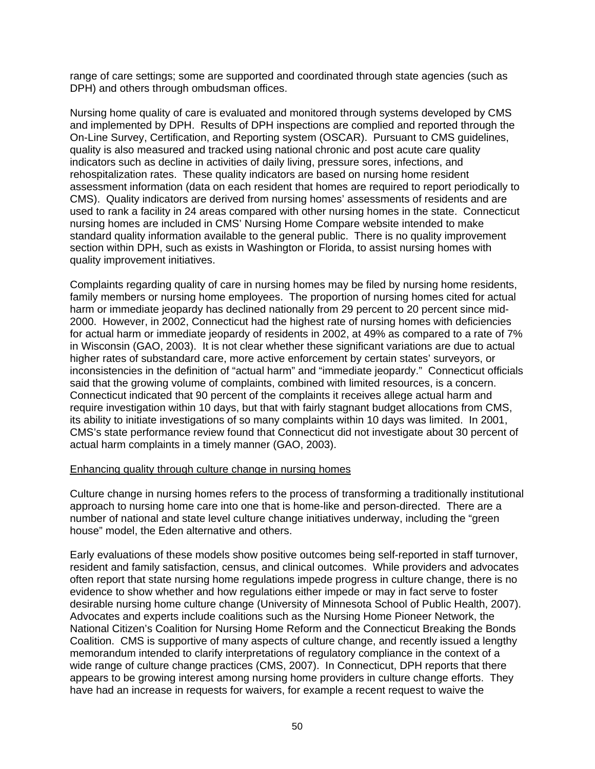range of care settings; some are supported and coordinated through state agencies (such as DPH) and others through ombudsman offices.

Nursing home quality of care is evaluated and monitored through systems developed by CMS and implemented by DPH. Results of DPH inspections are complied and reported through the On-Line Survey, Certification, and Reporting system (OSCAR). Pursuant to CMS guidelines, quality is also measured and tracked using national chronic and post acute care quality indicators such as decline in activities of daily living, pressure sores, infections, and rehospitalization rates. These quality indicators are based on nursing home resident assessment information (data on each resident that homes are required to report periodically to CMS). Quality indicators are derived from nursing homes' assessments of residents and are used to rank a facility in 24 areas compared with other nursing homes in the state. Connecticut nursing homes are included in CMS' Nursing Home Compare website intended to make standard quality information available to the general public. There is no quality improvement section within DPH, such as exists in Washington or Florida, to assist nursing homes with quality improvement initiatives.

Complaints regarding quality of care in nursing homes may be filed by nursing home residents, family members or nursing home employees. The proportion of nursing homes cited for actual harm or immediate jeopardy has declined nationally from 29 percent to 20 percent since mid-2000. However, in 2002, Connecticut had the highest rate of nursing homes with deficiencies for actual harm or immediate jeopardy of residents in 2002, at 49% as compared to a rate of 7% in Wisconsin (GAO, 2003). It is not clear whether these significant variations are due to actual higher rates of substandard care, more active enforcement by certain states' surveyors, or inconsistencies in the definition of "actual harm" and "immediate jeopardy." Connecticut officials said that the growing volume of complaints, combined with limited resources, is a concern. Connecticut indicated that 90 percent of the complaints it receives allege actual harm and require investigation within 10 days, but that with fairly stagnant budget allocations from CMS, its ability to initiate investigations of so many complaints within 10 days was limited. In 2001, CMS's state performance review found that Connecticut did not investigate about 30 percent of actual harm complaints in a timely manner (GAO, 2003).

#### Enhancing quality through culture change in nursing homes

Culture change in nursing homes refers to the process of transforming a traditionally institutional approach to nursing home care into one that is home-like and person-directed. There are a number of national and state level culture change initiatives underway, including the "green house" model, the Eden alternative and others.

Early evaluations of these models show positive outcomes being self-reported in staff turnover, resident and family satisfaction, census, and clinical outcomes. While providers and advocates often report that state nursing home regulations impede progress in culture change, there is no evidence to show whether and how regulations either impede or may in fact serve to foster desirable nursing home culture change (University of Minnesota School of Public Health, 2007). Advocates and experts include coalitions such as the Nursing Home Pioneer Network, the National Citizen's Coalition for Nursing Home Reform and the Connecticut Breaking the Bonds Coalition. CMS is supportive of many aspects of culture change, and recently issued a lengthy memorandum intended to clarify interpretations of regulatory compliance in the context of a wide range of culture change practices (CMS, 2007). In Connecticut, DPH reports that there appears to be growing interest among nursing home providers in culture change efforts. They have had an increase in requests for waivers, for example a recent request to waive the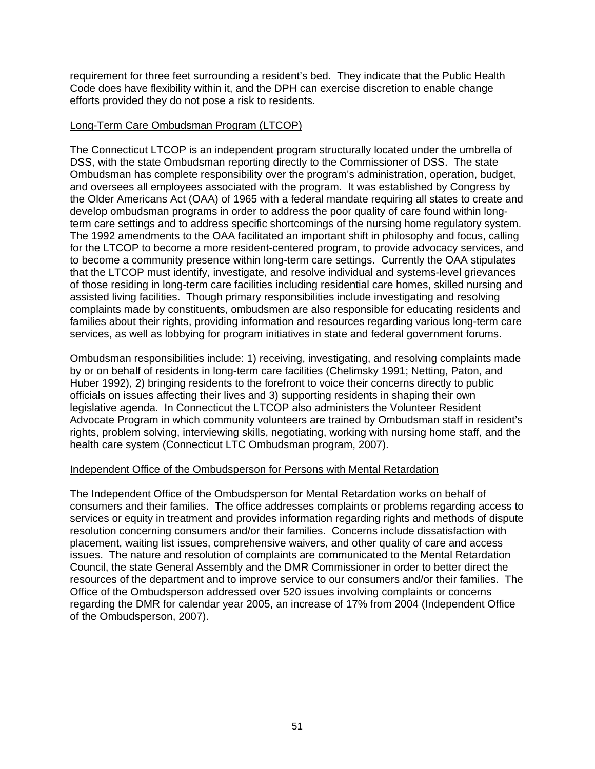requirement for three feet surrounding a resident's bed. They indicate that the Public Health Code does have flexibility within it, and the DPH can exercise discretion to enable change efforts provided they do not pose a risk to residents.

### Long-Term Care Ombudsman Program (LTCOP)

The Connecticut LTCOP is an independent program structurally located under the umbrella of DSS, with the state Ombudsman reporting directly to the Commissioner of DSS. The state Ombudsman has complete responsibility over the program's administration, operation, budget, and oversees all employees associated with the program. It was established by Congress by the Older Americans Act (OAA) of 1965 with a federal mandate requiring all states to create and develop ombudsman programs in order to address the poor quality of care found within longterm care settings and to address specific shortcomings of the nursing home regulatory system. The 1992 amendments to the OAA facilitated an important shift in philosophy and focus, calling for the LTCOP to become a more resident-centered program, to provide advocacy services, and to become a community presence within long-term care settings. Currently the OAA stipulates that the LTCOP must identify, investigate, and resolve individual and systems-level grievances of those residing in long-term care facilities including residential care homes, skilled nursing and assisted living facilities. Though primary responsibilities include investigating and resolving complaints made by constituents, ombudsmen are also responsible for educating residents and families about their rights, providing information and resources regarding various long-term care services, as well as lobbying for program initiatives in state and federal government forums.

Ombudsman responsibilities include: 1) receiving, investigating, and resolving complaints made by or on behalf of residents in long-term care facilities (Chelimsky 1991; Netting, Paton, and Huber 1992), 2) bringing residents to the forefront to voice their concerns directly to public officials on issues affecting their lives and 3) supporting residents in shaping their own legislative agenda. In Connecticut the LTCOP also administers the Volunteer Resident Advocate Program in which community volunteers are trained by Ombudsman staff in resident's rights, problem solving, interviewing skills, negotiating, working with nursing home staff, and the health care system (Connecticut LTC Ombudsman program, 2007).

#### Independent Office of the Ombudsperson for Persons with Mental Retardation

The Independent Office of the Ombudsperson for Mental Retardation works on behalf of consumers and their families. The office addresses complaints or problems regarding access to services or equity in treatment and provides information regarding rights and methods of dispute resolution concerning consumers and/or their families. Concerns include dissatisfaction with placement, waiting list issues, comprehensive waivers, and other quality of care and access issues. The nature and resolution of complaints are communicated to the Mental Retardation Council, the state General Assembly and the DMR Commissioner in order to better direct the resources of the department and to improve service to our consumers and/or their families. The Office of the Ombudsperson addressed over 520 issues involving complaints or concerns regarding the DMR for calendar year 2005, an increase of 17% from 2004 (Independent Office of the Ombudsperson, 2007).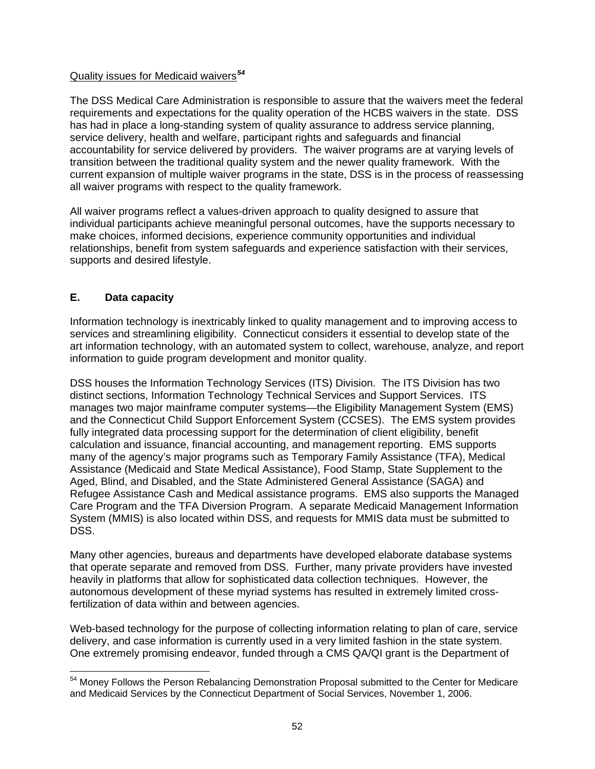## Quality issues for Medicaid waivers*[54](#page-57-0)*

The DSS Medical Care Administration is responsible to assure that the waivers meet the federal requirements and expectations for the quality operation of the HCBS waivers in the state. DSS has had in place a long-standing system of quality assurance to address service planning, service delivery, health and welfare, participant rights and safeguards and financial accountability for service delivered by providers. The waiver programs are at varying levels of transition between the traditional quality system and the newer quality framework. With the current expansion of multiple waiver programs in the state, DSS is in the process of reassessing all waiver programs with respect to the quality framework.

All waiver programs reflect a values-driven approach to quality designed to assure that individual participants achieve meaningful personal outcomes, have the supports necessary to make choices, informed decisions, experience community opportunities and individual relationships, benefit from system safeguards and experience satisfaction with their services, supports and desired lifestyle.

# **E. Data capacity**

Information technology is inextricably linked to quality management and to improving access to services and streamlining eligibility. Connecticut considers it essential to develop state of the art information technology, with an automated system to collect, warehouse, analyze, and report information to guide program development and monitor quality.

DSS houses the Information Technology Services (ITS) Division. The ITS Division has two distinct sections, Information Technology Technical Services and Support Services. ITS manages two major mainframe computer systems—the Eligibility Management System (EMS) and the Connecticut Child Support Enforcement System (CCSES). The EMS system provides fully integrated data processing support for the determination of client eligibility, benefit calculation and issuance, financial accounting, and management reporting. EMS supports many of the agency's major programs such as Temporary Family Assistance (TFA), Medical Assistance (Medicaid and State Medical Assistance), Food Stamp, State Supplement to the Aged, Blind, and Disabled, and the State Administered General Assistance (SAGA) and Refugee Assistance Cash and Medical assistance programs. EMS also supports the Managed Care Program and the TFA Diversion Program. A separate Medicaid Management Information System (MMIS) is also located within DSS, and requests for MMIS data must be submitted to DSS.

Many other agencies, bureaus and departments have developed elaborate database systems that operate separate and removed from DSS. Further, many private providers have invested heavily in platforms that allow for sophisticated data collection techniques. However, the autonomous development of these myriad systems has resulted in extremely limited crossfertilization of data within and between agencies.

Web-based technology for the purpose of collecting information relating to plan of care, service delivery, and case information is currently used in a very limited fashion in the state system. One extremely promising endeavor, funded through a CMS QA/QI grant is the Department of

<span id="page-57-0"></span> $\overline{a}$ <sup>54</sup> Money Follows the Person Rebalancing Demonstration Proposal submitted to the Center for Medicare and Medicaid Services by the Connecticut Department of Social Services, November 1, 2006.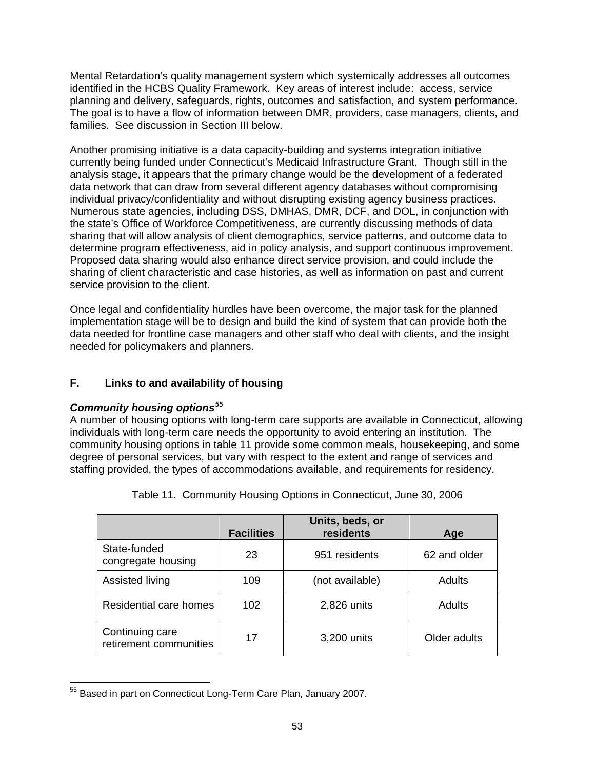Mental Retardation's quality management system which systemically addresses all outcomes identified in the HCBS Quality Framework. Key areas of interest include: access, service planning and delivery, safeguards, rights, outcomes and satisfaction, and system performance. The goal is to have a flow of information between DMR, providers, case managers, clients, and families. See discussion in Section III below.

Another promising initiative is a data capacity-building and systems integration initiative currently being funded under Connecticut's Medicaid Infrastructure Grant. Though still in the analysis stage, it appears that the primary change would be the development of a federated data network that can draw from several different agency databases without compromising individual privacy/confidentiality and without disrupting existing agency business practices. Numerous state agencies, including DSS, DMHAS, DMR, DCF, and DOL, in conjunction with the state's Office of Workforce Competitiveness, are currently discussing methods of data sharing that will allow analysis of client demographics, service patterns, and outcome data to determine program effectiveness, aid in policy analysis, and support continuous improvement. Proposed data sharing would also enhance direct service provision, and could include the sharing of client characteristic and case histories, as well as information on past and current service provision to the client.

Once legal and confidentiality hurdles have been overcome, the major task for the planned implementation stage will be to design and build the kind of system that can provide both the data needed for frontline case managers and other staff who deal with clients, and the insight needed for policymakers and planners.

# **F. Links to and availability of housing**

# *Community housing options[55](#page-58-0)*

A number of housing options with long-term care supports are available in Connecticut, allowing individuals with long-term care needs the opportunity to avoid entering an institution. The community housing options in table 11 provide some common meals, housekeeping, and some degree of personal services, but vary with respect to the extent and range of services and staffing provided, the types of accommodations available, and requirements for residency.

|                                           | <b>Facilities</b> | Units, beds, or<br>residents | Age          |
|-------------------------------------------|-------------------|------------------------------|--------------|
| State-funded<br>congregate housing        | 23                | 951 residents                | 62 and older |
| Assisted living                           | 109               | (not available)              | Adults       |
| Residential care homes                    | 102               | 2,826 units                  | Adults       |
| Continuing care<br>retirement communities | 17                | 3,200 units                  | Older adults |

Table 11. Community Housing Options in Connecticut, June 30, 2006

<span id="page-58-0"></span> $\overline{a}$ <sup>55</sup> Based in part on Connecticut Long-Term Care Plan, January 2007.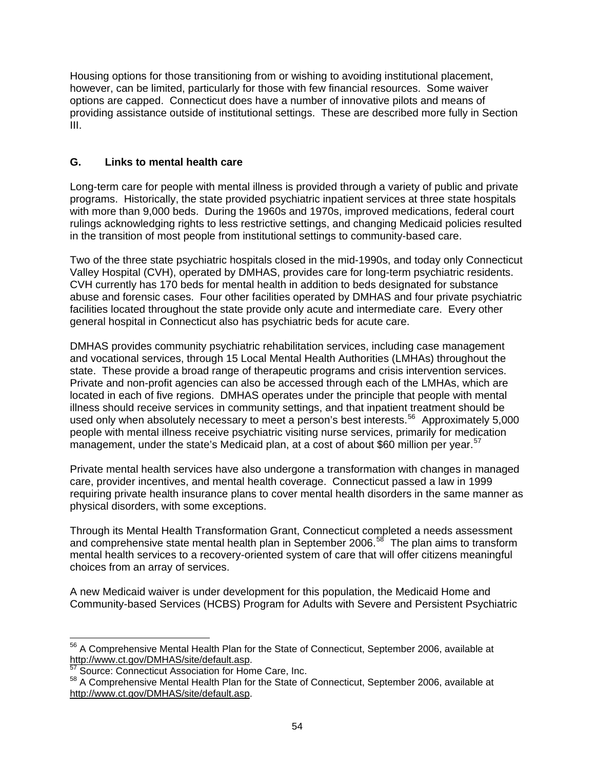Housing options for those transitioning from or wishing to avoiding institutional placement, however, can be limited, particularly for those with few financial resources. Some waiver options are capped. Connecticut does have a number of innovative pilots and means of providing assistance outside of institutional settings. These are described more fully in Section III.

# **G. Links to mental health care**

Long-term care for people with mental illness is provided through a variety of public and private programs. Historically, the state provided psychiatric inpatient services at three state hospitals with more than 9,000 beds. During the 1960s and 1970s, improved medications, federal court rulings acknowledging rights to less restrictive settings, and changing Medicaid policies resulted in the transition of most people from institutional settings to community-based care.

Two of the three state psychiatric hospitals closed in the mid-1990s, and today only Connecticut Valley Hospital (CVH), operated by DMHAS, provides care for long-term psychiatric residents. CVH currently has 170 beds for mental health in addition to beds designated for substance abuse and forensic cases. Four other facilities operated by DMHAS and four private psychiatric facilities located throughout the state provide only acute and intermediate care. Every other general hospital in Connecticut also has psychiatric beds for acute care.

DMHAS provides community psychiatric rehabilitation services, including case management and vocational services, through 15 Local Mental Health Authorities (LMHAs) throughout the state. These provide a broad range of therapeutic programs and crisis intervention services. Private and non-profit agencies can also be accessed through each of the LMHAs, which are located in each of five regions. DMHAS operates under the principle that people with mental illness should receive services in community settings, and that inpatient treatment should be used only when absolutely necessary to meet a person's best interests.<sup>[56](#page-59-0)</sup> Approximately 5,000 people with mental illness receive psychiatric visiting nurse services, primarily for medication management, under the state's Medicaid plan, at a cost of about \$60 million per year.<sup>[57](#page-59-1)</sup>

Private mental health services have also undergone a transformation with changes in managed care, provider incentives, and mental health coverage. Connecticut passed a law in 1999 requiring private health insurance plans to cover mental health disorders in the same manner as physical disorders, with some exceptions.

Through its Mental Health Transformation Grant, Connecticut completed a needs assessment and comprehensive state mental health plan in September 2006.<sup>[58](#page-59-2)</sup> The plan aims to transform mental health services to a recovery-oriented system of care that will offer citizens meaningful choices from an array of services.

A new Medicaid waiver is under development for this population, the Medicaid Home and Community-based Services (HCBS) Program for Adults with Severe and Persistent Psychiatric

<span id="page-59-0"></span> $\overline{a}$  $56$  A Comprehensive Mental Health Plan for the State of Connecticut, September 2006, available at <http://www.ct.gov/DMHAS/site/default.asp>.<br><sup>[57](http://www.ct.gov/DMHAS/site/default.asp)</sup> Source: Connecticut Association for Home Care, Inc.

<span id="page-59-2"></span><span id="page-59-1"></span><sup>58</sup> A Comprehensive Mental Health Plan for the State of Connecticut, September 2006, available at <http://www.ct.gov/DMHAS/site/default.asp>.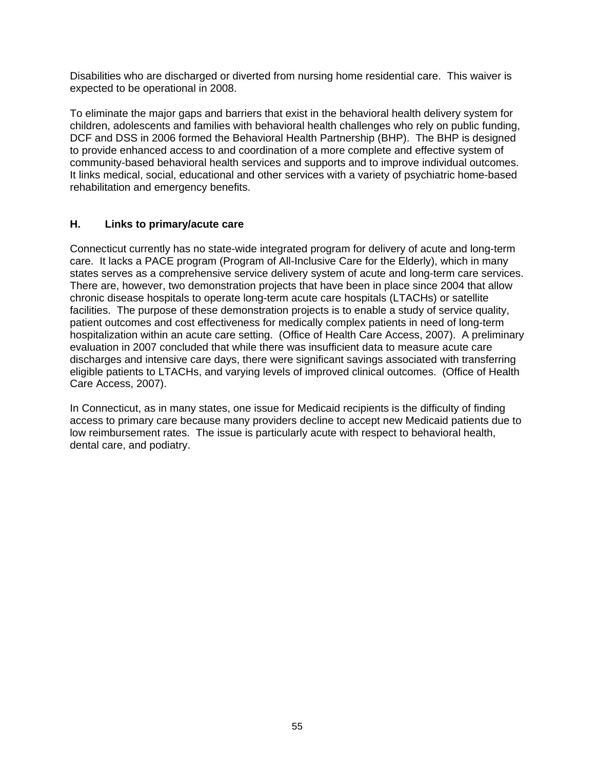Disabilities who are discharged or diverted from nursing home residential care. This waiver is expected to be operational in 2008.

To eliminate the major gaps and barriers that exist in the behavioral health delivery system for children, adolescents and families with behavioral health challenges who rely on public funding, DCF and DSS in 2006 formed the Behavioral Health Partnership (BHP). The BHP is designed to provide enhanced access to and coordination of a more complete and effective system of community-based behavioral health services and supports and to improve individual outcomes. It links medical, social, educational and other services with a variety of psychiatric home-based rehabilitation and emergency benefits.

# **H. Links to primary/acute care**

Connecticut currently has no state-wide integrated program for delivery of acute and long-term care. It lacks a PACE program (Program of All-Inclusive Care for the Elderly), which in many states serves as a comprehensive service delivery system of acute and long-term care services. There are, however, two demonstration projects that have been in place since 2004 that allow chronic disease hospitals to operate long-term acute care hospitals (LTACHs) or satellite facilities. The purpose of these demonstration projects is to enable a study of service quality, patient outcomes and cost effectiveness for medically complex patients in need of long-term hospitalization within an acute care setting. (Office of Health Care Access, 2007). A preliminary evaluation in 2007 concluded that while there was insufficient data to measure acute care discharges and intensive care days, there were significant savings associated with transferring eligible patients to LTACHs, and varying levels of improved clinical outcomes. (Office of Health Care Access, 2007).

In Connecticut, as in many states, one issue for Medicaid recipients is the difficulty of finding access to primary care because many providers decline to accept new Medicaid patients due to low reimbursement rates. The issue is particularly acute with respect to behavioral health, dental care, and podiatry.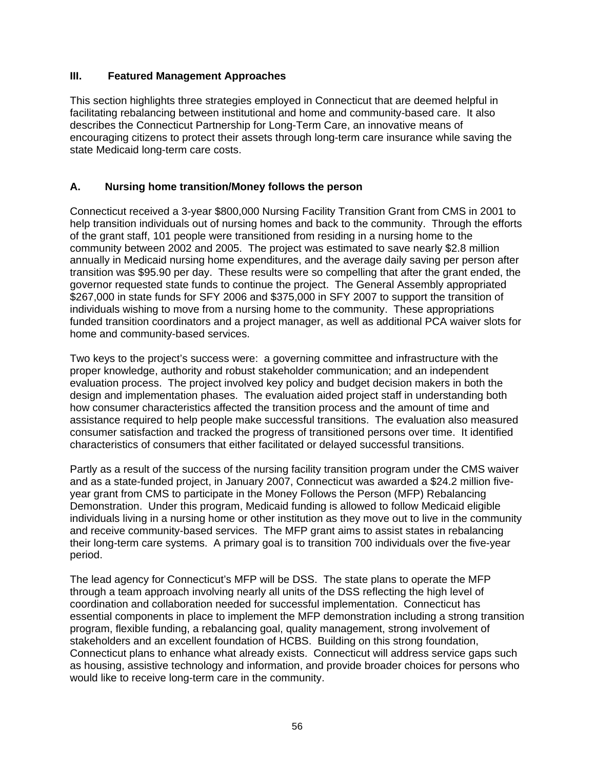### **III. Featured Management Approaches**

This section highlights three strategies employed in Connecticut that are deemed helpful in facilitating rebalancing between institutional and home and community-based care. It also describes the Connecticut Partnership for Long-Term Care, an innovative means of encouraging citizens to protect their assets through long-term care insurance while saving the state Medicaid long-term care costs.

# **A. Nursing home transition/Money follows the person**

Connecticut received a 3-year \$800,000 Nursing Facility Transition Grant from CMS in 2001 to help transition individuals out of nursing homes and back to the community. Through the efforts of the grant staff, 101 people were transitioned from residing in a nursing home to the community between 2002 and 2005. The project was estimated to save nearly \$2.8 million annually in Medicaid nursing home expenditures, and the average daily saving per person after transition was \$95.90 per day. These results were so compelling that after the grant ended, the governor requested state funds to continue the project. The General Assembly appropriated \$267,000 in state funds for SFY 2006 and \$375,000 in SFY 2007 to support the transition of individuals wishing to move from a nursing home to the community. These appropriations funded transition coordinators and a project manager, as well as additional PCA waiver slots for home and community-based services.

Two keys to the project's success were: a governing committee and infrastructure with the proper knowledge, authority and robust stakeholder communication; and an independent evaluation process. The project involved key policy and budget decision makers in both the design and implementation phases. The evaluation aided project staff in understanding both how consumer characteristics affected the transition process and the amount of time and assistance required to help people make successful transitions. The evaluation also measured consumer satisfaction and tracked the progress of transitioned persons over time. It identified characteristics of consumers that either facilitated or delayed successful transitions.

Partly as a result of the success of the nursing facility transition program under the CMS waiver and as a state-funded project, in January 2007, Connecticut was awarded a \$24.2 million fiveyear grant from CMS to participate in the Money Follows the Person (MFP) Rebalancing Demonstration. Under this program, Medicaid funding is allowed to follow Medicaid eligible individuals living in a nursing home or other institution as they move out to live in the community and receive community-based services. The MFP grant aims to assist states in rebalancing their long-term care systems. A primary goal is to transition 700 individuals over the five-year period.

The lead agency for Connecticut's MFP will be DSS. The state plans to operate the MFP through a team approach involving nearly all units of the DSS reflecting the high level of coordination and collaboration needed for successful implementation. Connecticut has essential components in place to implement the MFP demonstration including a strong transition program, flexible funding, a rebalancing goal, quality management, strong involvement of stakeholders and an excellent foundation of HCBS. Building on this strong foundation, Connecticut plans to enhance what already exists. Connecticut will address service gaps such as housing, assistive technology and information, and provide broader choices for persons who would like to receive long-term care in the community.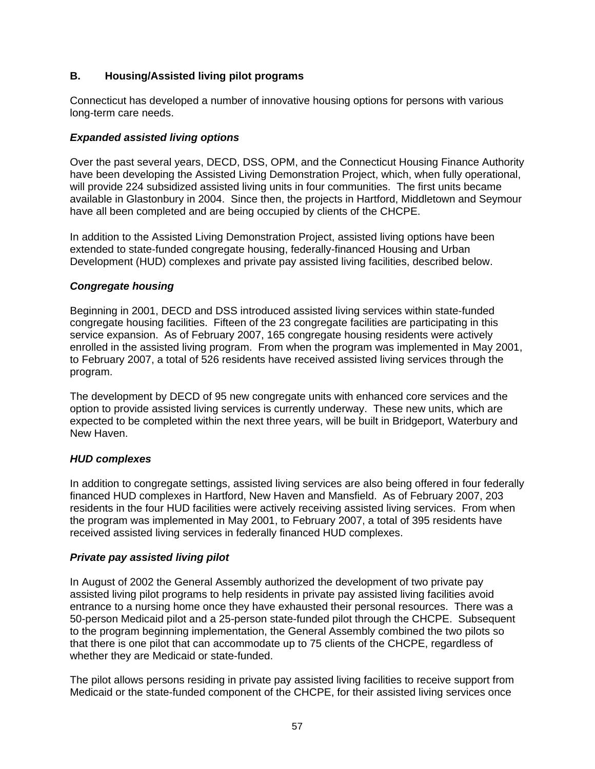# **B. Housing/Assisted living pilot programs**

Connecticut has developed a number of innovative housing options for persons with various long-term care needs.

### *Expanded assisted living options*

Over the past several years, DECD, DSS, OPM, and the Connecticut Housing Finance Authority have been developing the Assisted Living Demonstration Project, which, when fully operational, will provide 224 subsidized assisted living units in four communities. The first units became available in Glastonbury in 2004. Since then, the projects in Hartford, Middletown and Seymour have all been completed and are being occupied by clients of the CHCPE.

In addition to the Assisted Living Demonstration Project, assisted living options have been extended to state-funded congregate housing, federally-financed Housing and Urban Development (HUD) complexes and private pay assisted living facilities, described below.

# *Congregate housing*

Beginning in 2001, DECD and DSS introduced assisted living services within state-funded congregate housing facilities. Fifteen of the 23 congregate facilities are participating in this service expansion. As of February 2007, 165 congregate housing residents were actively enrolled in the assisted living program. From when the program was implemented in May 2001, to February 2007, a total of 526 residents have received assisted living services through the program.

The development by DECD of 95 new congregate units with enhanced core services and the option to provide assisted living services is currently underway. These new units, which are expected to be completed within the next three years, will be built in Bridgeport, Waterbury and New Haven.

### *HUD complexes*

In addition to congregate settings, assisted living services are also being offered in four federally financed HUD complexes in Hartford, New Haven and Mansfield. As of February 2007, 203 residents in the four HUD facilities were actively receiving assisted living services. From when the program was implemented in May 2001, to February 2007, a total of 395 residents have received assisted living services in federally financed HUD complexes.

### *Private pay assisted living pilot*

In August of 2002 the General Assembly authorized the development of two private pay assisted living pilot programs to help residents in private pay assisted living facilities avoid entrance to a nursing home once they have exhausted their personal resources. There was a 50-person Medicaid pilot and a 25-person state-funded pilot through the CHCPE. Subsequent to the program beginning implementation, the General Assembly combined the two pilots so that there is one pilot that can accommodate up to 75 clients of the CHCPE, regardless of whether they are Medicaid or state-funded.

The pilot allows persons residing in private pay assisted living facilities to receive support from Medicaid or the state-funded component of the CHCPE, for their assisted living services once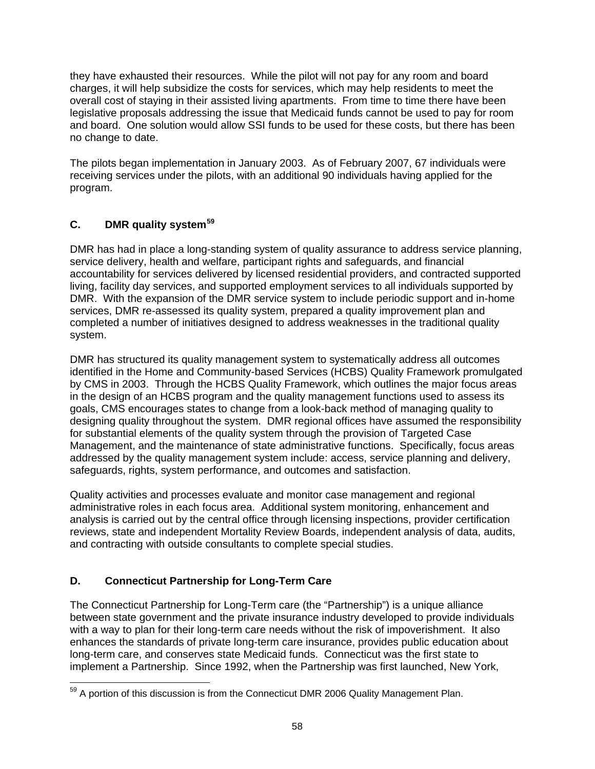they have exhausted their resources. While the pilot will not pay for any room and board charges, it will help subsidize the costs for services, which may help residents to meet the overall cost of staying in their assisted living apartments. From time to time there have been legislative proposals addressing the issue that Medicaid funds cannot be used to pay for room and board. One solution would allow SSI funds to be used for these costs, but there has been no change to date.

The pilots began implementation in January 2003. As of February 2007, 67 individuals were receiving services under the pilots, with an additional 90 individuals having applied for the program.

# **C. DMR quality system[59](#page-63-0)**

DMR has had in place a long-standing system of quality assurance to address service planning, service delivery, health and welfare, participant rights and safeguards, and financial accountability for services delivered by licensed residential providers, and contracted supported living, facility day services, and supported employment services to all individuals supported by DMR. With the expansion of the DMR service system to include periodic support and in-home services, DMR re-assessed its quality system, prepared a quality improvement plan and completed a number of initiatives designed to address weaknesses in the traditional quality system.

DMR has structured its quality management system to systematically address all outcomes identified in the Home and Community-based Services (HCBS) Quality Framework promulgated by CMS in 2003. Through the HCBS Quality Framework, which outlines the major focus areas in the design of an HCBS program and the quality management functions used to assess its goals, CMS encourages states to change from a look-back method of managing quality to designing quality throughout the system. DMR regional offices have assumed the responsibility for substantial elements of the quality system through the provision of Targeted Case Management, and the maintenance of state administrative functions. Specifically, focus areas addressed by the quality management system include: access, service planning and delivery, safeguards, rights, system performance, and outcomes and satisfaction.

Quality activities and processes evaluate and monitor case management and regional administrative roles in each focus area. Additional system monitoring, enhancement and analysis is carried out by the central office through licensing inspections, provider certification reviews, state and independent Mortality Review Boards, independent analysis of data, audits, and contracting with outside consultants to complete special studies.

# **D. Connecticut Partnership for Long-Term Care**

The Connecticut Partnership for Long-Term care (the "Partnership") is a unique alliance between state government and the private insurance industry developed to provide individuals with a way to plan for their long-term care needs without the risk of impoverishment. It also enhances the standards of private long-term care insurance, provides public education about long-term care, and conserves state Medicaid funds. Connecticut was the first state to implement a Partnership. Since 1992, when the Partnership was first launched, New York,

<span id="page-63-0"></span> $\overline{a}$  $59$  A portion of this discussion is from the Connecticut DMR 2006 Quality Management Plan.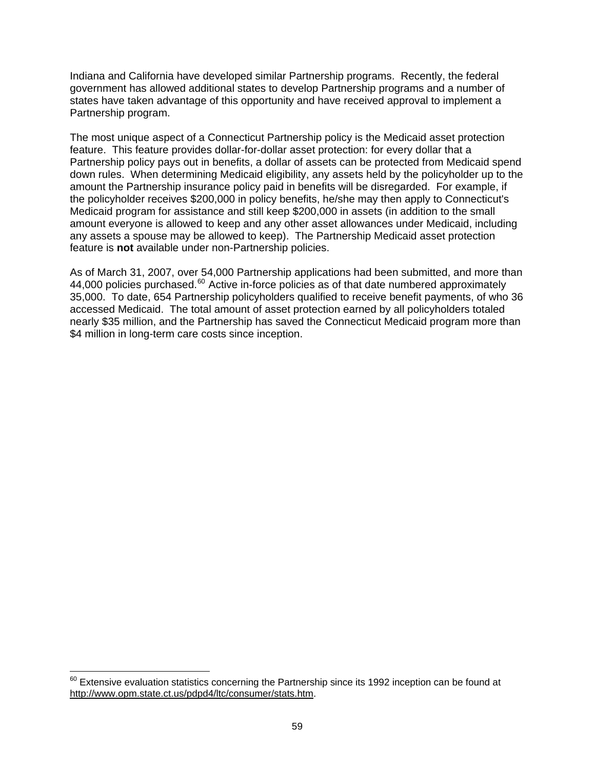Indiana and California have developed similar Partnership programs. Recently, the federal government has allowed additional states to develop Partnership programs and a number of states have taken advantage of this opportunity and have received approval to implement a Partnership program.

The most unique aspect of a Connecticut Partnership policy is the Medicaid asset protection feature. This feature provides dollar-for-dollar asset protection: for every dollar that a Partnership policy pays out in benefits, a dollar of assets can be protected from Medicaid spend down rules. When determining Medicaid eligibility, any assets held by the policyholder up to the amount the Partnership insurance policy paid in benefits will be disregarded. For example, if the policyholder receives \$200,000 in policy benefits, he/she may then apply to Connecticut's Medicaid program for assistance and still keep \$200,000 in assets (in addition to the small amount everyone is allowed to keep and any other asset allowances under Medicaid, including any assets a spouse may be allowed to keep). The Partnership Medicaid asset protection feature is **not** available under non-Partnership policies.

As of March 31, 2007, over 54,000 Partnership applications had been submitted, and more than 44,000 policies purchased. $^{60}$  $^{60}$  $^{60}$  Active in-force policies as of that date numbered approximately 35,000. To date, 654 Partnership policyholders qualified to receive benefit payments, of who 36 accessed Medicaid. The total amount of asset protection earned by all policyholders totaled nearly \$35 million, and the Partnership has saved the Connecticut Medicaid program more than \$4 million in long-term care costs since inception.

 $\overline{a}$ 

<span id="page-64-0"></span> $^{60}$  Extensive evaluation statistics concerning the Partnership since its 1992 inception can be found at [http://www.opm.state.ct.us/pdpd4/ltc/consumer/stats.htm.](http://www.opm.state.ct.us/pdpd4/ltc/consumer/stats.htm)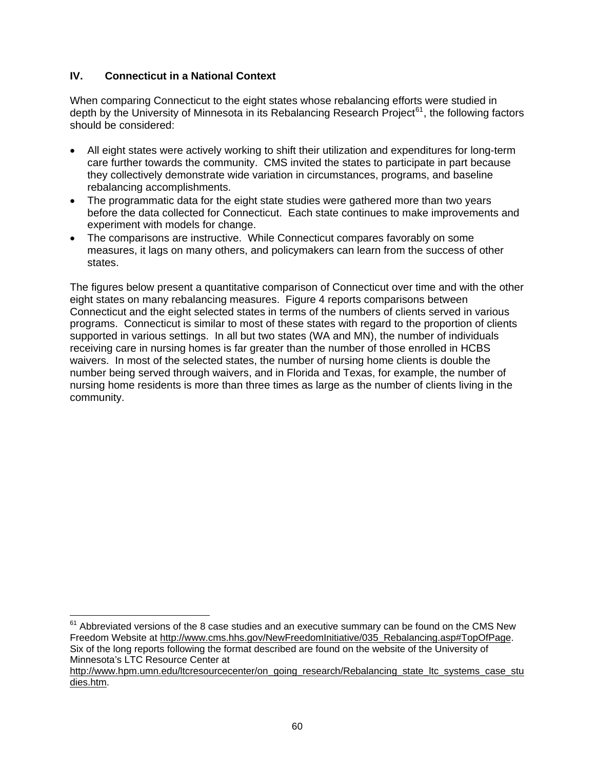# **IV. Connecticut in a National Context**

 $\overline{a}$ 

When comparing Connecticut to the eight states whose rebalancing efforts were studied in depth by the University of Minnesota in its Rebalancing Research Project<sup>[61](#page-65-0)</sup>, the following factors should be considered:

- All eight states were actively working to shift their utilization and expenditures for long-term care further towards the community. CMS invited the states to participate in part because they collectively demonstrate wide variation in circumstances, programs, and baseline rebalancing accomplishments.
- The programmatic data for the eight state studies were gathered more than two years before the data collected for Connecticut. Each state continues to make improvements and experiment with models for change.
- The comparisons are instructive. While Connecticut compares favorably on some measures, it lags on many others, and policymakers can learn from the success of other states.

The figures below present a quantitative comparison of Connecticut over time and with the other eight states on many rebalancing measures. Figure 4 reports comparisons between Connecticut and the eight selected states in terms of the numbers of clients served in various programs. Connecticut is similar to most of these states with regard to the proportion of clients supported in various settings. In all but two states (WA and MN), the number of individuals receiving care in nursing homes is far greater than the number of those enrolled in HCBS waivers. In most of the selected states, the number of nursing home clients is double the number being served through waivers, and in Florida and Texas, for example, the number of nursing home residents is more than three times as large as the number of clients living in the community.

<span id="page-65-0"></span> $61$  Abbreviated versions of the 8 case studies and an executive summary can be found on the CMS New Freedom Website at [http://www.cms.hhs.gov/NewFreedomInitiative/035\\_Rebalancing.asp#TopOfPage](http://www.cms.hhs.gov/NewFreedomInitiative/035_Rebalancing.asp#TopOfPage). Six of the long reports following the format described are found on the website of the University of Minnesota's LTC Resource Center at

[http://www.hpm.umn.edu/ltcresourcecenter/on\\_going\\_research/Rebalancing\\_state\\_ltc\\_systems\\_case\\_stu](http://www.hpm.umn.edu/ltcresourcecenter/on_going_research/Rebalancing_state_ltc_systems_case_studies.htm) [dies.htm.](http://www.hpm.umn.edu/ltcresourcecenter/on_going_research/Rebalancing_state_ltc_systems_case_studies.htm)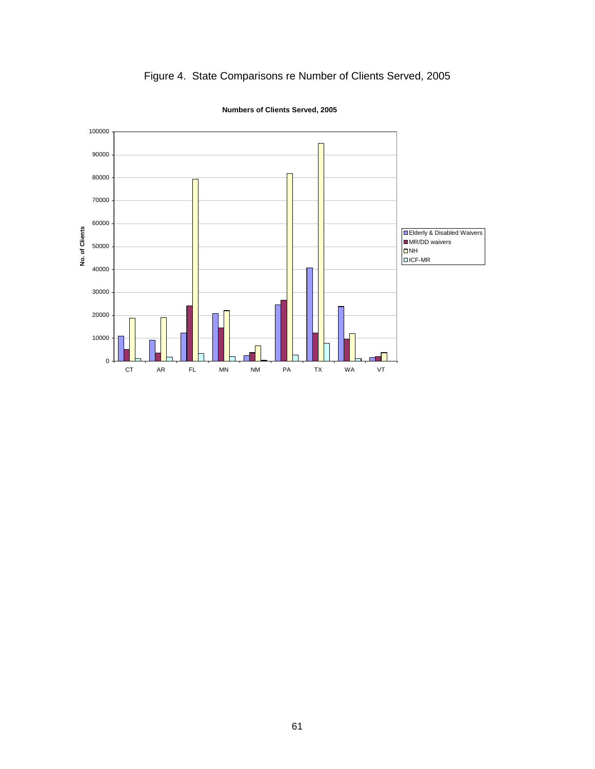

# Figure 4. State Comparisons re Number of Clients Served, 2005

**Numbers of Clients Served, 2005**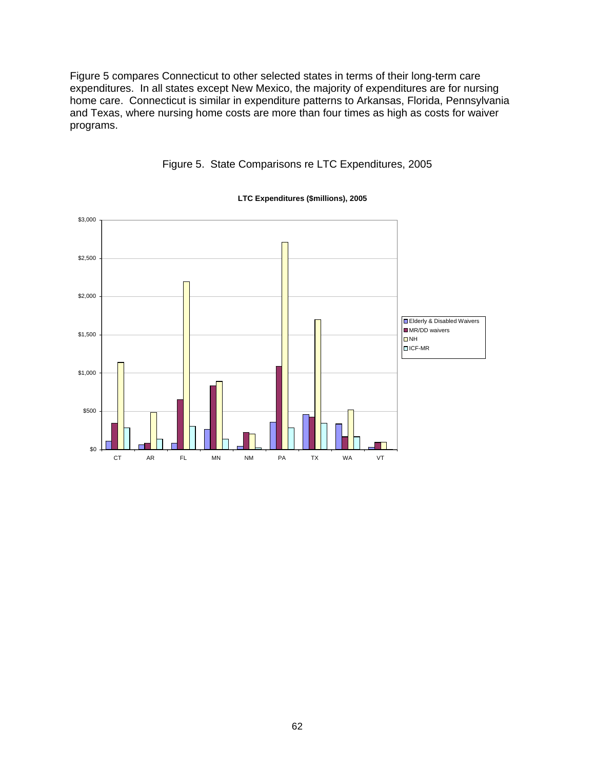Figure 5 compares Connecticut to other selected states in terms of their long-term care expenditures. In all states except New Mexico, the majority of expenditures are for nursing home care. Connecticut is similar in expenditure patterns to Arkansas, Florida, Pennsylvania and Texas, where nursing home costs are more than four times as high as costs for waiver programs.



# Figure 5. State Comparisons re LTC Expenditures, 2005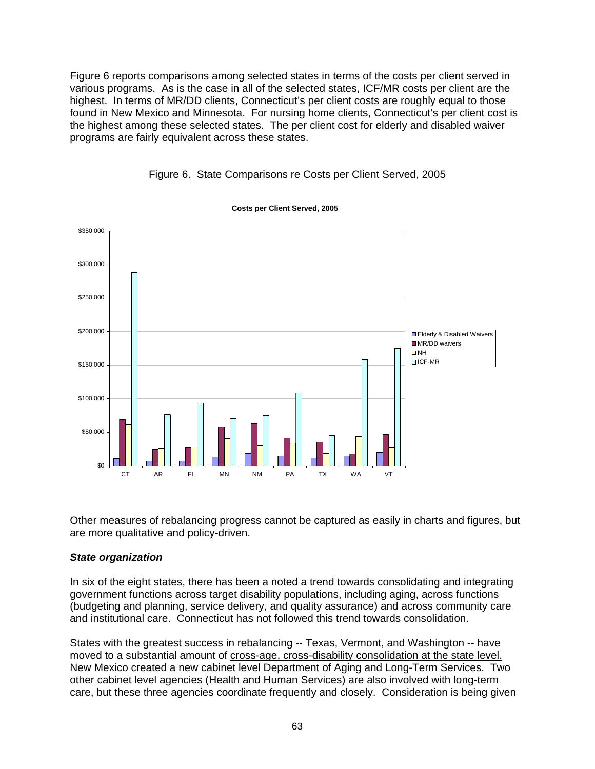Figure 6 reports comparisons among selected states in terms of the costs per client served in various programs. As is the case in all of the selected states, ICF/MR costs per client are the highest. In terms of MR/DD clients, Connecticut's per client costs are roughly equal to those found in New Mexico and Minnesota. For nursing home clients, Connecticut's per client cost is the highest among these selected states. The per client cost for elderly and disabled waiver programs are fairly equivalent across these states.



#### Figure 6. State Comparisons re Costs per Client Served, 2005

Other measures of rebalancing progress cannot be captured as easily in charts and figures, but are more qualitative and policy-driven.

#### *State organization*

In six of the eight states, there has been a noted a trend towards consolidating and integrating government functions across target disability populations, including aging, across functions (budgeting and planning, service delivery, and quality assurance) and across community care and institutional care. Connecticut has not followed this trend towards consolidation.

States with the greatest success in rebalancing -- Texas, Vermont, and Washington -- have moved to a substantial amount of cross-age, cross-disability consolidation at the state level. New Mexico created a new cabinet level Department of Aging and Long-Term Services. Two other cabinet level agencies (Health and Human Services) are also involved with long-term care, but these three agencies coordinate frequently and closely. Consideration is being given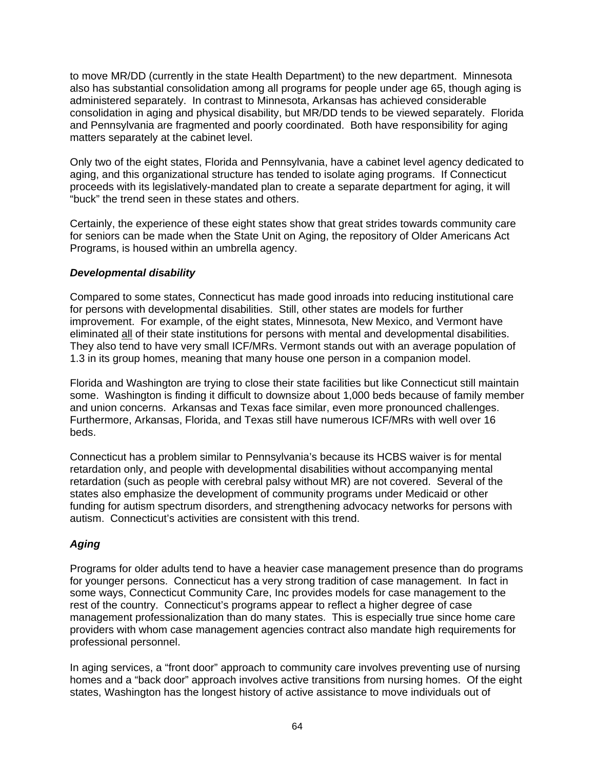to move MR/DD (currently in the state Health Department) to the new department. Minnesota also has substantial consolidation among all programs for people under age 65, though aging is administered separately. In contrast to Minnesota, Arkansas has achieved considerable consolidation in aging and physical disability, but MR/DD tends to be viewed separately. Florida and Pennsylvania are fragmented and poorly coordinated. Both have responsibility for aging matters separately at the cabinet level.

Only two of the eight states, Florida and Pennsylvania, have a cabinet level agency dedicated to aging, and this organizational structure has tended to isolate aging programs. If Connecticut proceeds with its legislatively-mandated plan to create a separate department for aging, it will "buck" the trend seen in these states and others.

Certainly, the experience of these eight states show that great strides towards community care for seniors can be made when the State Unit on Aging, the repository of Older Americans Act Programs, is housed within an umbrella agency.

# *Developmental disability*

Compared to some states, Connecticut has made good inroads into reducing institutional care for persons with developmental disabilities. Still, other states are models for further improvement. For example, of the eight states, Minnesota, New Mexico, and Vermont have eliminated all of their state institutions for persons with mental and developmental disabilities. They also tend to have very small ICF/MRs. Vermont stands out with an average population of 1.3 in its group homes, meaning that many house one person in a companion model.

Florida and Washington are trying to close their state facilities but like Connecticut still maintain some. Washington is finding it difficult to downsize about 1,000 beds because of family member and union concerns. Arkansas and Texas face similar, even more pronounced challenges. Furthermore, Arkansas, Florida, and Texas still have numerous ICF/MRs with well over 16 beds.

Connecticut has a problem similar to Pennsylvania's because its HCBS waiver is for mental retardation only, and people with developmental disabilities without accompanying mental retardation (such as people with cerebral palsy without MR) are not covered. Several of the states also emphasize the development of community programs under Medicaid or other funding for autism spectrum disorders, and strengthening advocacy networks for persons with autism. Connecticut's activities are consistent with this trend.

# *Aging*

Programs for older adults tend to have a heavier case management presence than do programs for younger persons. Connecticut has a very strong tradition of case management. In fact in some ways, Connecticut Community Care, Inc provides models for case management to the rest of the country. Connecticut's programs appear to reflect a higher degree of case management professionalization than do many states. This is especially true since home care providers with whom case management agencies contract also mandate high requirements for professional personnel.

In aging services, a "front door" approach to community care involves preventing use of nursing homes and a "back door" approach involves active transitions from nursing homes. Of the eight states, Washington has the longest history of active assistance to move individuals out of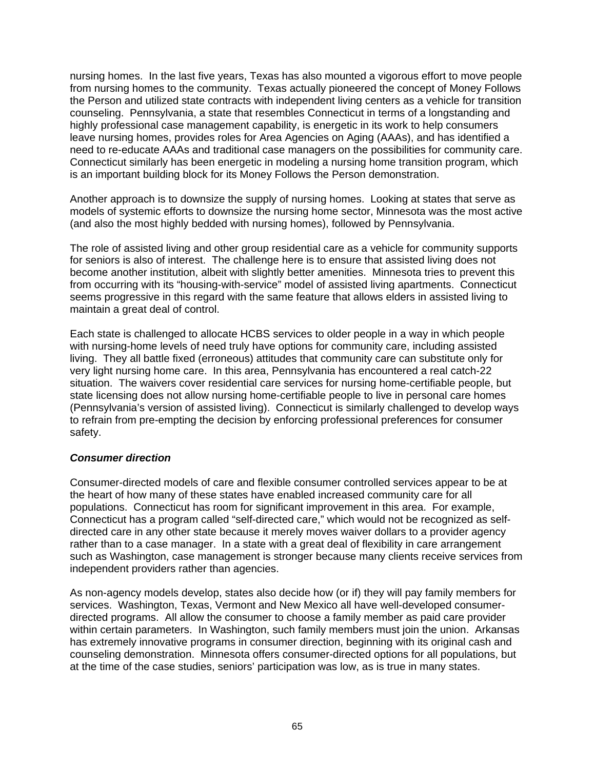nursing homes. In the last five years, Texas has also mounted a vigorous effort to move people from nursing homes to the community. Texas actually pioneered the concept of Money Follows the Person and utilized state contracts with independent living centers as a vehicle for transition counseling. Pennsylvania, a state that resembles Connecticut in terms of a longstanding and highly professional case management capability, is energetic in its work to help consumers leave nursing homes, provides roles for Area Agencies on Aging (AAAs), and has identified a need to re-educate AAAs and traditional case managers on the possibilities for community care. Connecticut similarly has been energetic in modeling a nursing home transition program, which is an important building block for its Money Follows the Person demonstration.

Another approach is to downsize the supply of nursing homes. Looking at states that serve as models of systemic efforts to downsize the nursing home sector, Minnesota was the most active (and also the most highly bedded with nursing homes), followed by Pennsylvania.

The role of assisted living and other group residential care as a vehicle for community supports for seniors is also of interest. The challenge here is to ensure that assisted living does not become another institution, albeit with slightly better amenities. Minnesota tries to prevent this from occurring with its "housing-with-service" model of assisted living apartments. Connecticut seems progressive in this regard with the same feature that allows elders in assisted living to maintain a great deal of control.

Each state is challenged to allocate HCBS services to older people in a way in which people with nursing-home levels of need truly have options for community care, including assisted living. They all battle fixed (erroneous) attitudes that community care can substitute only for very light nursing home care. In this area, Pennsylvania has encountered a real catch-22 situation. The waivers cover residential care services for nursing home-certifiable people, but state licensing does not allow nursing home-certifiable people to live in personal care homes (Pennsylvania's version of assisted living). Connecticut is similarly challenged to develop ways to refrain from pre-empting the decision by enforcing professional preferences for consumer safety.

#### *Consumer direction*

Consumer-directed models of care and flexible consumer controlled services appear to be at the heart of how many of these states have enabled increased community care for all populations. Connecticut has room for significant improvement in this area. For example, Connecticut has a program called "self-directed care," which would not be recognized as selfdirected care in any other state because it merely moves waiver dollars to a provider agency rather than to a case manager. In a state with a great deal of flexibility in care arrangement such as Washington, case management is stronger because many clients receive services from independent providers rather than agencies.

As non-agency models develop, states also decide how (or if) they will pay family members for services. Washington, Texas, Vermont and New Mexico all have well-developed consumerdirected programs. All allow the consumer to choose a family member as paid care provider within certain parameters. In Washington, such family members must join the union. Arkansas has extremely innovative programs in consumer direction, beginning with its original cash and counseling demonstration. Minnesota offers consumer-directed options for all populations, but at the time of the case studies, seniors' participation was low, as is true in many states.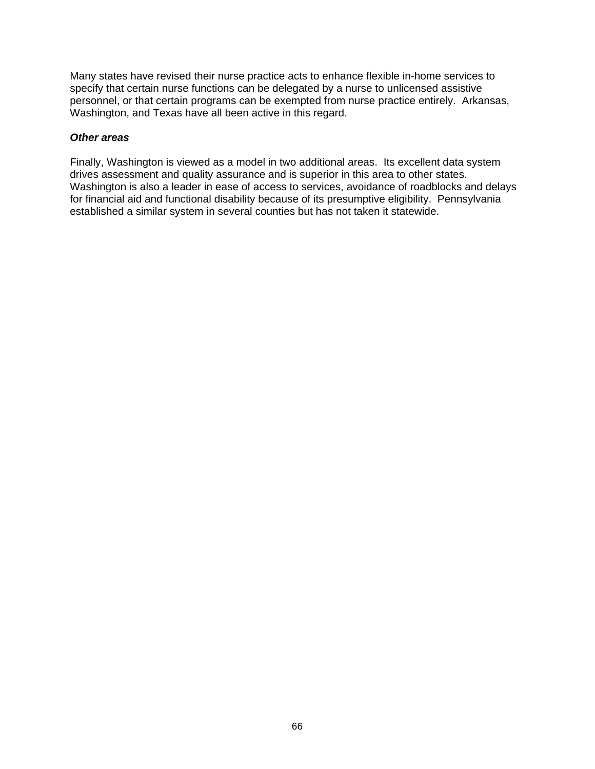Many states have revised their nurse practice acts to enhance flexible in-home services to specify that certain nurse functions can be delegated by a nurse to unlicensed assistive personnel, or that certain programs can be exempted from nurse practice entirely. Arkansas, Washington, and Texas have all been active in this regard.

#### *Other areas*

Finally, Washington is viewed as a model in two additional areas. Its excellent data system drives assessment and quality assurance and is superior in this area to other states. Washington is also a leader in ease of access to services, avoidance of roadblocks and delays for financial aid and functional disability because of its presumptive eligibility. Pennsylvania established a similar system in several counties but has not taken it statewide.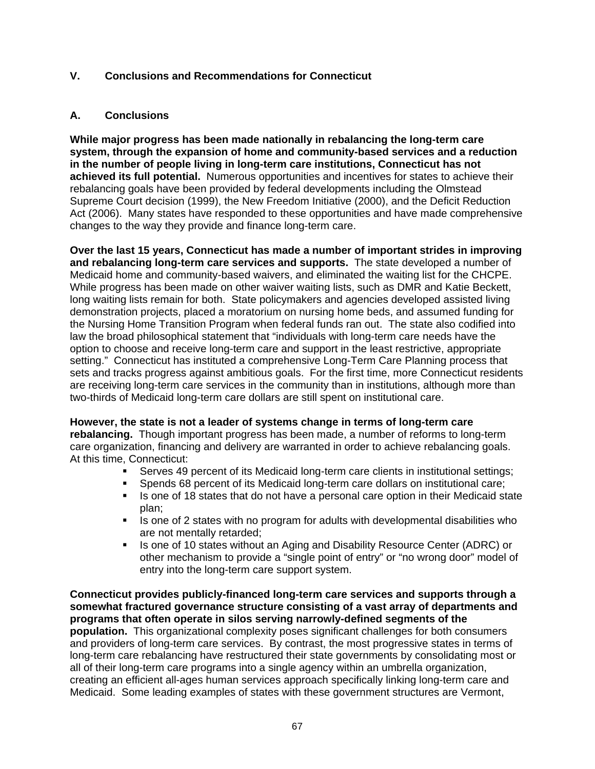### **V. Conclusions and Recommendations for Connecticut**

## **A. Conclusions**

**While major progress has been made nationally in rebalancing the long-term care system, through the expansion of home and community-based services and a reduction in the number of people living in long-term care institutions, Connecticut has not achieved its full potential.** Numerous opportunities and incentives for states to achieve their rebalancing goals have been provided by federal developments including the Olmstead Supreme Court decision (1999), the New Freedom Initiative (2000), and the Deficit Reduction Act (2006). Many states have responded to these opportunities and have made comprehensive changes to the way they provide and finance long-term care.

**Over the last 15 years, Connecticut has made a number of important strides in improving and rebalancing long-term care services and supports.** The state developed a number of Medicaid home and community-based waivers, and eliminated the waiting list for the CHCPE. While progress has been made on other waiver waiting lists, such as DMR and Katie Beckett, long waiting lists remain for both. State policymakers and agencies developed assisted living demonstration projects, placed a moratorium on nursing home beds, and assumed funding for the Nursing Home Transition Program when federal funds ran out. The state also codified into law the broad philosophical statement that "individuals with long-term care needs have the option to choose and receive long-term care and support in the least restrictive, appropriate setting." Connecticut has instituted a comprehensive Long-Term Care Planning process that sets and tracks progress against ambitious goals. For the first time, more Connecticut residents are receiving long-term care services in the community than in institutions, although more than two-thirds of Medicaid long-term care dollars are still spent on institutional care.

**However, the state is not a leader of systems change in terms of long-term care rebalancing.** Though important progress has been made, a number of reforms to long-term care organization, financing and delivery are warranted in order to achieve rebalancing goals. At this time, Connecticut:

- Serves 49 percent of its Medicaid long-term care clients in institutional settings;
- Spends 68 percent of its Medicaid long-term care dollars on institutional care;
- Is one of 18 states that do not have a personal care option in their Medicaid state plan;
- Is one of 2 states with no program for adults with developmental disabilities who are not mentally retarded;
- Is one of 10 states without an Aging and Disability Resource Center (ADRC) or other mechanism to provide a "single point of entry" or "no wrong door" model of entry into the long-term care support system.

**Connecticut provides publicly-financed long-term care services and supports through a somewhat fractured governance structure consisting of a vast array of departments and programs that often operate in silos serving narrowly-defined segments of the population.** This organizational complexity poses significant challenges for both consumers and providers of long-term care services. By contrast, the most progressive states in terms of long-term care rebalancing have restructured their state governments by consolidating most or all of their long-term care programs into a single agency within an umbrella organization, creating an efficient all-ages human services approach specifically linking long-term care and Medicaid. Some leading examples of states with these government structures are Vermont,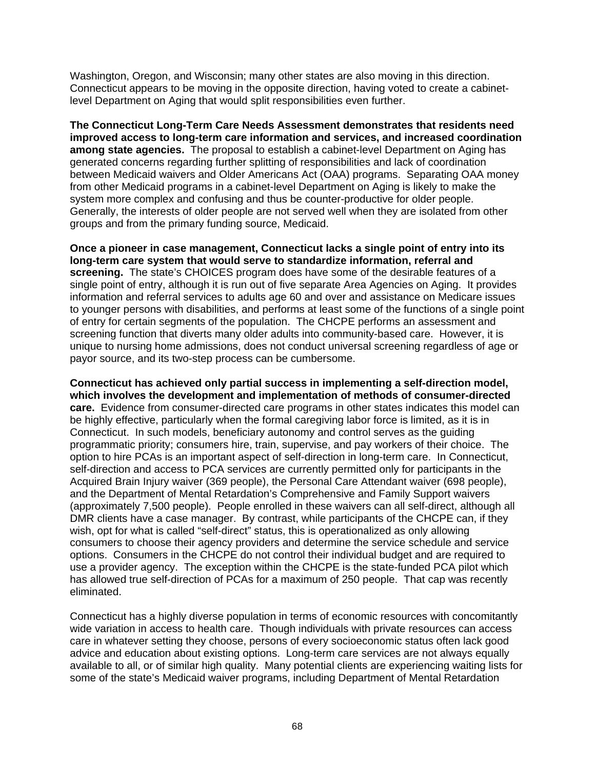Washington, Oregon, and Wisconsin; many other states are also moving in this direction. Connecticut appears to be moving in the opposite direction, having voted to create a cabinetlevel Department on Aging that would split responsibilities even further.

**The Connecticut Long-Term Care Needs Assessment demonstrates that residents need improved access to long-term care information and services, and increased coordination among state agencies.** The proposal to establish a cabinet-level Department on Aging has generated concerns regarding further splitting of responsibilities and lack of coordination between Medicaid waivers and Older Americans Act (OAA) programs. Separating OAA money from other Medicaid programs in a cabinet-level Department on Aging is likely to make the system more complex and confusing and thus be counter-productive for older people. Generally, the interests of older people are not served well when they are isolated from other groups and from the primary funding source, Medicaid.

**Once a pioneer in case management, Connecticut lacks a single point of entry into its long-term care system that would serve to standardize information, referral and screening.** The state's CHOICES program does have some of the desirable features of a single point of entry, although it is run out of five separate Area Agencies on Aging. It provides information and referral services to adults age 60 and over and assistance on Medicare issues to younger persons with disabilities, and performs at least some of the functions of a single point of entry for certain segments of the population. The CHCPE performs an assessment and screening function that diverts many older adults into community-based care. However, it is unique to nursing home admissions, does not conduct universal screening regardless of age or payor source, and its two-step process can be cumbersome.

**Connecticut has achieved only partial success in implementing a self-direction model, which involves the development and implementation of methods of consumer-directed care.** Evidence from consumer-directed care programs in other states indicates this model can be highly effective, particularly when the formal caregiving labor force is limited, as it is in Connecticut. In such models, beneficiary autonomy and control serves as the guiding programmatic priority; consumers hire, train, supervise, and pay workers of their choice. The option to hire PCAs is an important aspect of self-direction in long-term care. In Connecticut, self-direction and access to PCA services are currently permitted only for participants in the Acquired Brain Injury waiver (369 people), the Personal Care Attendant waiver (698 people), and the Department of Mental Retardation's Comprehensive and Family Support waivers (approximately 7,500 people). People enrolled in these waivers can all self-direct, although all DMR clients have a case manager. By contrast, while participants of the CHCPE can, if they wish, opt for what is called "self-direct" status, this is operationalized as only allowing consumers to choose their agency providers and determine the service schedule and service options. Consumers in the CHCPE do not control their individual budget and are required to use a provider agency. The exception within the CHCPE is the state-funded PCA pilot which has allowed true self-direction of PCAs for a maximum of 250 people. That cap was recently eliminated.

Connecticut has a highly diverse population in terms of economic resources with concomitantly wide variation in access to health care. Though individuals with private resources can access care in whatever setting they choose, persons of every socioeconomic status often lack good advice and education about existing options. Long-term care services are not always equally available to all, or of similar high quality. Many potential clients are experiencing waiting lists for some of the state's Medicaid waiver programs, including Department of Mental Retardation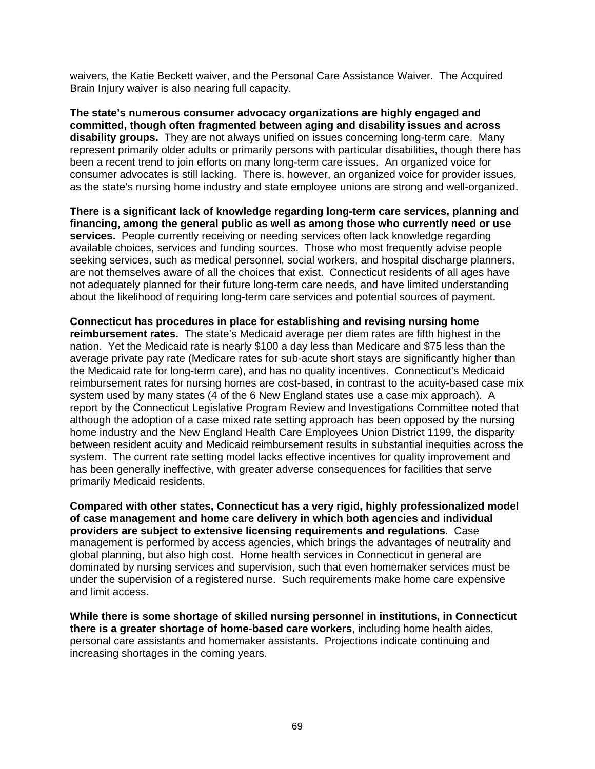waivers, the Katie Beckett waiver, and the Personal Care Assistance Waiver. The Acquired Brain Injury waiver is also nearing full capacity.

**The state's numerous consumer advocacy organizations are highly engaged and committed, though often fragmented between aging and disability issues and across disability groups.** They are not always unified on issues concerning long-term care. Many represent primarily older adults or primarily persons with particular disabilities, though there has been a recent trend to join efforts on many long-term care issues. An organized voice for consumer advocates is still lacking. There is, however, an organized voice for provider issues, as the state's nursing home industry and state employee unions are strong and well-organized.

**There is a significant lack of knowledge regarding long-term care services, planning and financing, among the general public as well as among those who currently need or use services.** People currently receiving or needing services often lack knowledge regarding available choices, services and funding sources. Those who most frequently advise people seeking services, such as medical personnel, social workers, and hospital discharge planners, are not themselves aware of all the choices that exist. Connecticut residents of all ages have not adequately planned for their future long-term care needs, and have limited understanding about the likelihood of requiring long-term care services and potential sources of payment.

**Connecticut has procedures in place for establishing and revising nursing home reimbursement rates.** The state's Medicaid average per diem rates are fifth highest in the nation. Yet the Medicaid rate is nearly \$100 a day less than Medicare and \$75 less than the average private pay rate (Medicare rates for sub-acute short stays are significantly higher than the Medicaid rate for long-term care), and has no quality incentives. Connecticut's Medicaid reimbursement rates for nursing homes are cost-based, in contrast to the acuity-based case mix system used by many states (4 of the 6 New England states use a case mix approach). A report by the Connecticut Legislative Program Review and Investigations Committee noted that although the adoption of a case mixed rate setting approach has been opposed by the nursing home industry and the New England Health Care Employees Union District 1199, the disparity between resident acuity and Medicaid reimbursement results in substantial inequities across the system. The current rate setting model lacks effective incentives for quality improvement and has been generally ineffective, with greater adverse consequences for facilities that serve primarily Medicaid residents.

**Compared with other states, Connecticut has a very rigid, highly professionalized model of case management and home care delivery in which both agencies and individual providers are subject to extensive licensing requirements and regulations**. Case management is performed by access agencies, which brings the advantages of neutrality and global planning, but also high cost. Home health services in Connecticut in general are dominated by nursing services and supervision, such that even homemaker services must be under the supervision of a registered nurse. Such requirements make home care expensive and limit access.

**While there is some shortage of skilled nursing personnel in institutions, in Connecticut there is a greater shortage of home-based care workers**, including home health aides, personal care assistants and homemaker assistants. Projections indicate continuing and increasing shortages in the coming years.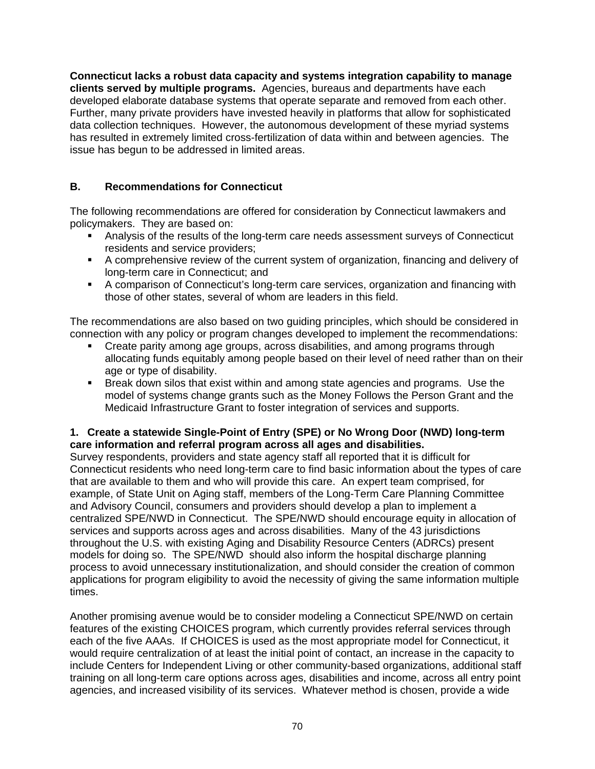**Connecticut lacks a robust data capacity and systems integration capability to manage clients served by multiple programs.** Agencies, bureaus and departments have each developed elaborate database systems that operate separate and removed from each other. Further, many private providers have invested heavily in platforms that allow for sophisticated data collection techniques. However, the autonomous development of these myriad systems has resulted in extremely limited cross-fertilization of data within and between agencies. The issue has begun to be addressed in limited areas.

# **B. Recommendations for Connecticut**

The following recommendations are offered for consideration by Connecticut lawmakers and policymakers. They are based on:

- Analysis of the results of the long-term care needs assessment surveys of Connecticut residents and service providers;
- A comprehensive review of the current system of organization, financing and delivery of long-term care in Connecticut; and
- A comparison of Connecticut's long-term care services, organization and financing with those of other states, several of whom are leaders in this field.

The recommendations are also based on two guiding principles, which should be considered in connection with any policy or program changes developed to implement the recommendations:

- Create parity among age groups, across disabilities, and among programs through allocating funds equitably among people based on their level of need rather than on their age or type of disability.
- Break down silos that exist within and among state agencies and programs. Use the model of systems change grants such as the Money Follows the Person Grant and the Medicaid Infrastructure Grant to foster integration of services and supports.

## **1. Create a statewide Single-Point of Entry (SPE) or No Wrong Door (NWD) long-term care information and referral program across all ages and disabilities.**

Survey respondents, providers and state agency staff all reported that it is difficult for Connecticut residents who need long-term care to find basic information about the types of care that are available to them and who will provide this care. An expert team comprised, for example, of State Unit on Aging staff, members of the Long-Term Care Planning Committee and Advisory Council, consumers and providers should develop a plan to implement a centralized SPE/NWD in Connecticut. The SPE/NWD should encourage equity in allocation of services and supports across ages and across disabilities. Many of the 43 jurisdictions throughout the U.S. with existing Aging and Disability Resource Centers (ADRCs) present models for doing so. The SPE/NWD should also inform the hospital discharge planning process to avoid unnecessary institutionalization, and should consider the creation of common applications for program eligibility to avoid the necessity of giving the same information multiple times.

Another promising avenue would be to consider modeling a Connecticut SPE/NWD on certain features of the existing CHOICES program, which currently provides referral services through each of the five AAAs. If CHOICES is used as the most appropriate model for Connecticut, it would require centralization of at least the initial point of contact, an increase in the capacity to include Centers for Independent Living or other community-based organizations, additional staff training on all long-term care options across ages, disabilities and income, across all entry point agencies, and increased visibility of its services. Whatever method is chosen, provide a wide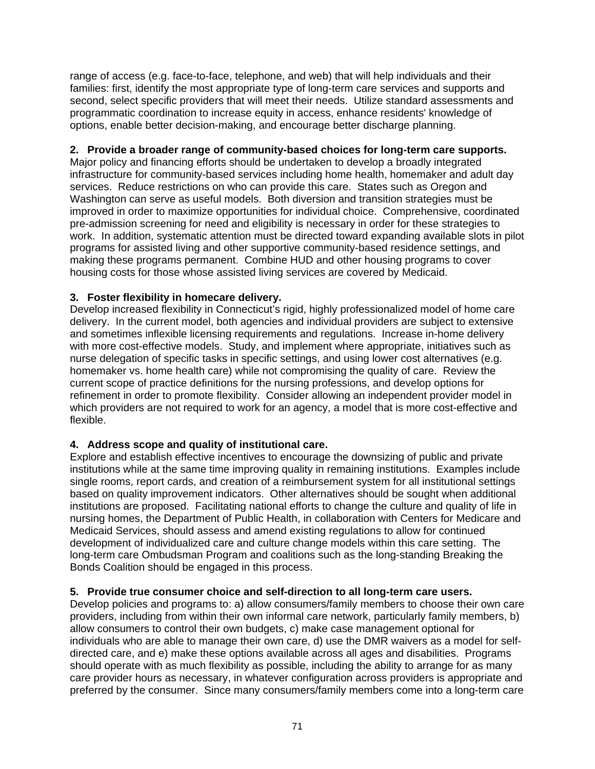range of access (e.g. face-to-face, telephone, and web) that will help individuals and their families: first, identify the most appropriate type of long-term care services and supports and second, select specific providers that will meet their needs. Utilize standard assessments and programmatic coordination to increase equity in access, enhance residents' knowledge of options, enable better decision-making, and encourage better discharge planning.

## **2. Provide a broader range of community-based choices for long-term care supports.**

Major policy and financing efforts should be undertaken to develop a broadly integrated infrastructure for community-based services including home health, homemaker and adult day services. Reduce restrictions on who can provide this care. States such as Oregon and Washington can serve as useful models. Both diversion and transition strategies must be improved in order to maximize opportunities for individual choice. Comprehensive, coordinated pre-admission screening for need and eligibility is necessary in order for these strategies to work. In addition, systematic attention must be directed toward expanding available slots in pilot programs for assisted living and other supportive community-based residence settings, and making these programs permanent. Combine HUD and other housing programs to cover housing costs for those whose assisted living services are covered by Medicaid.

## **3. Foster flexibility in homecare delivery.**

Develop increased flexibility in Connecticut's rigid, highly professionalized model of home care delivery. In the current model, both agencies and individual providers are subject to extensive and sometimes inflexible licensing requirements and regulations. Increase in-home delivery with more cost-effective models. Study, and implement where appropriate, initiatives such as nurse delegation of specific tasks in specific settings, and using lower cost alternatives (e.g. homemaker vs. home health care) while not compromising the quality of care. Review the current scope of practice definitions for the nursing professions, and develop options for refinement in order to promote flexibility. Consider allowing an independent provider model in which providers are not required to work for an agency, a model that is more cost-effective and flexible.

# **4. Address scope and quality of institutional care.**

Explore and establish effective incentives to encourage the downsizing of public and private institutions while at the same time improving quality in remaining institutions. Examples include single rooms, report cards, and creation of a reimbursement system for all institutional settings based on quality improvement indicators. Other alternatives should be sought when additional institutions are proposed. Facilitating national efforts to change the culture and quality of life in nursing homes, the Department of Public Health, in collaboration with Centers for Medicare and Medicaid Services, should assess and amend existing regulations to allow for continued development of individualized care and culture change models within this care setting. The long-term care Ombudsman Program and coalitions such as the long-standing Breaking the Bonds Coalition should be engaged in this process.

### **5. Provide true consumer choice and self-direction to all long-term care users.**

Develop policies and programs to: a) allow consumers/family members to choose their own care providers, including from within their own informal care network, particularly family members, b) allow consumers to control their own budgets, c) make case management optional for individuals who are able to manage their own care, d) use the DMR waivers as a model for selfdirected care, and e) make these options available across all ages and disabilities. Programs should operate with as much flexibility as possible, including the ability to arrange for as many care provider hours as necessary, in whatever configuration across providers is appropriate and preferred by the consumer. Since many consumers/family members come into a long-term care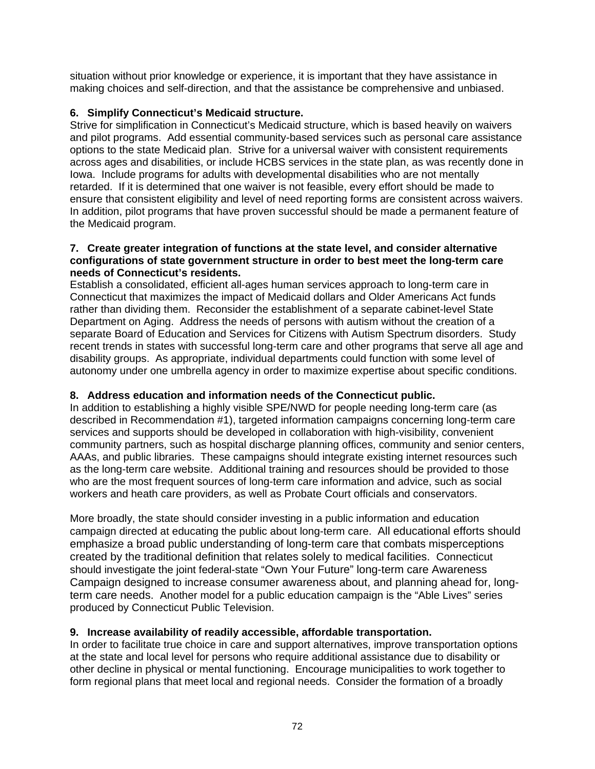situation without prior knowledge or experience, it is important that they have assistance in making choices and self-direction, and that the assistance be comprehensive and unbiased.

## **6. Simplify Connecticut's Medicaid structure.**

Strive for simplification in Connecticut's Medicaid structure, which is based heavily on waivers and pilot programs. Add essential community-based services such as personal care assistance options to the state Medicaid plan. Strive for a universal waiver with consistent requirements across ages and disabilities, or include HCBS services in the state plan, as was recently done in Iowa. Include programs for adults with developmental disabilities who are not mentally retarded. If it is determined that one waiver is not feasible, every effort should be made to ensure that consistent eligibility and level of need reporting forms are consistent across waivers. In addition, pilot programs that have proven successful should be made a permanent feature of the Medicaid program.

#### **7. Create greater integration of functions at the state level, and consider alternative configurations of state government structure in order to best meet the long-term care needs of Connecticut's residents.**

Establish a consolidated, efficient all-ages human services approach to long-term care in Connecticut that maximizes the impact of Medicaid dollars and Older Americans Act funds rather than dividing them. Reconsider the establishment of a separate cabinet-level State Department on Aging. Address the needs of persons with autism without the creation of a separate Board of Education and Services for Citizens with Autism Spectrum disorders. Study recent trends in states with successful long-term care and other programs that serve all age and disability groups. As appropriate, individual departments could function with some level of autonomy under one umbrella agency in order to maximize expertise about specific conditions.

# **8. Address education and information needs of the Connecticut public.**

In addition to establishing a highly visible SPE/NWD for people needing long-term care (as described in Recommendation #1), targeted information campaigns concerning long-term care services and supports should be developed in collaboration with high-visibility, convenient community partners, such as hospital discharge planning offices, community and senior centers, AAAs, and public libraries. These campaigns should integrate existing internet resources such as the long-term care website. Additional training and resources should be provided to those who are the most frequent sources of long-term care information and advice, such as social workers and heath care providers, as well as Probate Court officials and conservators.

More broadly, the state should consider investing in a public information and education campaign directed at educating the public about long-term care. All educational efforts should emphasize a broad public understanding of long-term care that combats misperceptions created by the traditional definition that relates solely to medical facilities. Connecticut should investigate the joint federal-state "Own Your Future" long-term care Awareness Campaign designed to increase consumer awareness about, and planning ahead for, longterm care needs. Another model for a public education campaign is the "Able Lives" series produced by Connecticut Public Television.

# **9. Increase availability of readily accessible, affordable transportation.**

In order to facilitate true choice in care and support alternatives, improve transportation options at the state and local level for persons who require additional assistance due to disability or other decline in physical or mental functioning. Encourage municipalities to work together to form regional plans that meet local and regional needs. Consider the formation of a broadly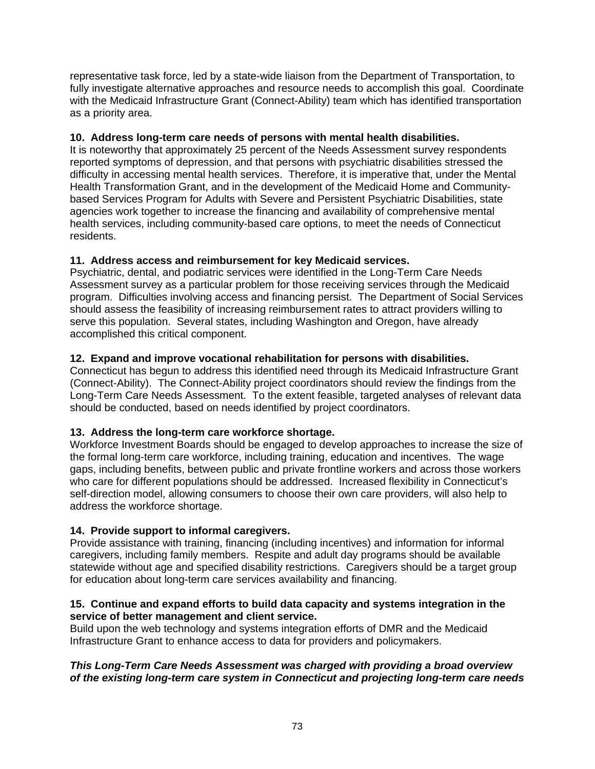representative task force, led by a state-wide liaison from the Department of Transportation, to fully investigate alternative approaches and resource needs to accomplish this goal. Coordinate with the Medicaid Infrastructure Grant (Connect-Ability) team which has identified transportation as a priority area.

### **10. Address long-term care needs of persons with mental health disabilities.**

It is noteworthy that approximately 25 percent of the Needs Assessment survey respondents reported symptoms of depression, and that persons with psychiatric disabilities stressed the difficulty in accessing mental health services. Therefore, it is imperative that, under the Mental Health Transformation Grant, and in the development of the Medicaid Home and Communitybased Services Program for Adults with Severe and Persistent Psychiatric Disabilities, state agencies work together to increase the financing and availability of comprehensive mental health services, including community-based care options, to meet the needs of Connecticut residents.

## **11. Address access and reimbursement for key Medicaid services.**

Psychiatric, dental, and podiatric services were identified in the Long-Term Care Needs Assessment survey as a particular problem for those receiving services through the Medicaid program. Difficulties involving access and financing persist. The Department of Social Services should assess the feasibility of increasing reimbursement rates to attract providers willing to serve this population. Several states, including Washington and Oregon, have already accomplished this critical component.

## **12. Expand and improve vocational rehabilitation for persons with disabilities.**

Connecticut has begun to address this identified need through its Medicaid Infrastructure Grant (Connect-Ability). The Connect-Ability project coordinators should review the findings from the Long-Term Care Needs Assessment. To the extent feasible, targeted analyses of relevant data should be conducted, based on needs identified by project coordinators.

### **13. Address the long-term care workforce shortage.**

Workforce Investment Boards should be engaged to develop approaches to increase the size of the formal long-term care workforce, including training, education and incentives. The wage gaps, including benefits, between public and private frontline workers and across those workers who care for different populations should be addressed. Increased flexibility in Connecticut's self-direction model, allowing consumers to choose their own care providers, will also help to address the workforce shortage.

# **14. Provide support to informal caregivers.**

Provide assistance with training, financing (including incentives) and information for informal caregivers, including family members. Respite and adult day programs should be available statewide without age and specified disability restrictions. Caregivers should be a target group for education about long-term care services availability and financing.

### **15. Continue and expand efforts to build data capacity and systems integration in the service of better management and client service.**

Build upon the web technology and systems integration efforts of DMR and the Medicaid Infrastructure Grant to enhance access to data for providers and policymakers.

### *This Long-Term Care Needs Assessment was charged with providing a broad overview of the existing long-term care system in Connecticut and projecting long-term care needs*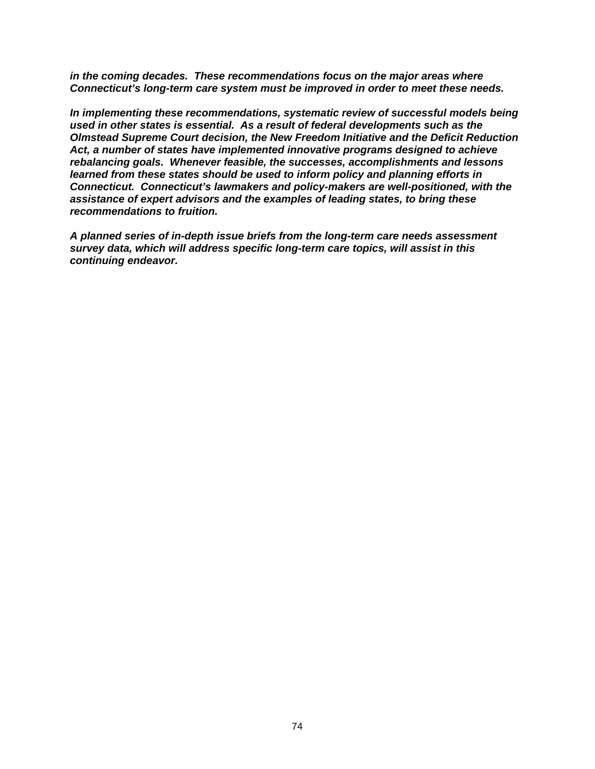*in the coming decades. These recommendations focus on the major areas where Connecticut's long-term care system must be improved in order to meet these needs.* 

*In implementing these recommendations, systematic review of successful models being used in other states is essential. As a result of federal developments such as the Olmstead Supreme Court decision, the New Freedom Initiative and the Deficit Reduction Act, a number of states have implemented innovative programs designed to achieve rebalancing goals. Whenever feasible, the successes, accomplishments and lessons learned from these states should be used to inform policy and planning efforts in Connecticut. Connecticut's lawmakers and policy-makers are well-positioned, with the assistance of expert advisors and the examples of leading states, to bring these recommendations to fruition.* 

*A planned series of in-depth issue briefs from the long-term care needs assessment survey data, which will address specific long-term care topics, will assist in this continuing endeavor.*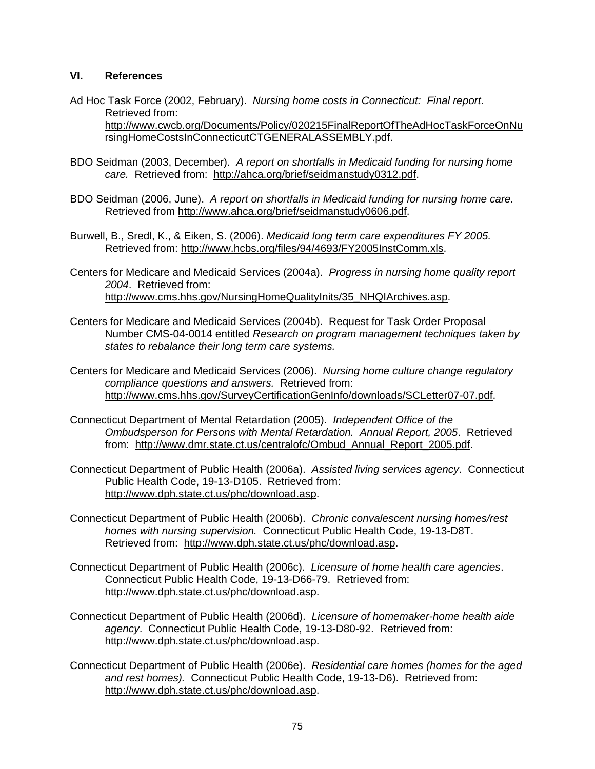### **VI. References**

- Ad Hoc Task Force (2002, February). *Nursing home costs in Connecticut: Final report*. Retrieved from: [http://www.cwcb.org/Documents/Policy/020215FinalReportOfTheAdHocTaskForceOnNu](http://www.cwcb.org/Documents/Policy/020215FinalReportOfTheAdHocTaskForceOnNursingHomeCostsInConnecticutCTGENERALASSEMBLY.pdf) [rsingHomeCostsInConnecticutCTGENERALASSEMBLY.pdf](http://www.cwcb.org/Documents/Policy/020215FinalReportOfTheAdHocTaskForceOnNursingHomeCostsInConnecticutCTGENERALASSEMBLY.pdf).
- BDO Seidman (2003, December). *A report on shortfalls in Medicaid funding for nursing home care.* Retrieved from: <http://ahca.org/brief/seidmanstudy0312.pdf>.
- BDO Seidman (2006, June). *A report on shortfalls in Medicaid funding for nursing home care.*  Retrieved from [http://www.ahca.org/brief/seidmanstudy0606.pdf.](http://www.ahca.org/brief/seidmanstudy0606.pdf)
- Burwell, B., Sredl, K., & Eiken, S. (2006). *Medicaid long term care expenditures FY 2005.*  Retrieved from:<http://www.hcbs.org/files/94/4693/FY2005InstComm.xls>.
- Centers for Medicare and Medicaid Services (2004a). *Progress in nursing home quality report 2004*. Retrieved from: [http://www.cms.hhs.gov/NursingHomeQualityInits/35\\_NHQIArchives.asp.](http://www.cms.hhs.gov/NursingHomeQualityInits/35_NHQIArchives.asp)
- Centers for Medicare and Medicaid Services (2004b). Request for Task Order Proposal Number CMS-04-0014 entitled *Research on program management techniques taken by states to rebalance their long term care systems.*
- Centers for Medicare and Medicaid Services (2006). *Nursing home culture change regulatory compliance questions and answers.* Retrieved from: <http://www.cms.hhs.gov/SurveyCertificationGenInfo/downloads/SCLetter07-07.pdf>.
- Connecticut Department of Mental Retardation (2005). *Independent Office of the Ombudsperson for Persons with Mental Retardation. Annual Report, 2005*. Retrieved from: [http://www.dmr.state.ct.us/centralofc/Ombud\\_Annual\\_Report\\_2005.pdf.](http://www.dmr.state.ct.us/centralofc/Ombud_Annual_Report_2005.pdf)
- Connecticut Department of Public Health (2006a). *Assisted living services agency*. Connecticut Public Health Code, 19-13-D105. Retrieved from: [http://www.dph.state.ct.us/phc/download.asp.](http://www.dph.state.ct.us/phc/download.asp)
- Connecticut Department of Public Health (2006b). *Chronic convalescent nursing homes/rest homes with nursing supervision.* Connecticut Public Health Code, 19-13-D8T. Retrieved from: [http://www.dph.state.ct.us/phc/download.asp.](http://www.dph.state.ct.us/phc/download.asp)
- Connecticut Department of Public Health (2006c). *Licensure of home health care agencies*. Connecticut Public Health Code, 19-13-D66-79. Retrieved from: [http://www.dph.state.ct.us/phc/download.asp.](http://www.dph.state.ct.us/phc/download.asp)
- Connecticut Department of Public Health (2006d). *Licensure of homemaker-home health aide agency*. Connecticut Public Health Code, 19-13-D80-92. Retrieved from: [http://www.dph.state.ct.us/phc/download.asp.](http://www.dph.state.ct.us/phc/download.asp)
- Connecticut Department of Public Health (2006e). *Residential care homes (homes for the aged and rest homes).* Connecticut Public Health Code, 19-13-D6). Retrieved from: [http://www.dph.state.ct.us/phc/download.asp.](http://www.dph.state.ct.us/phc/download.asp)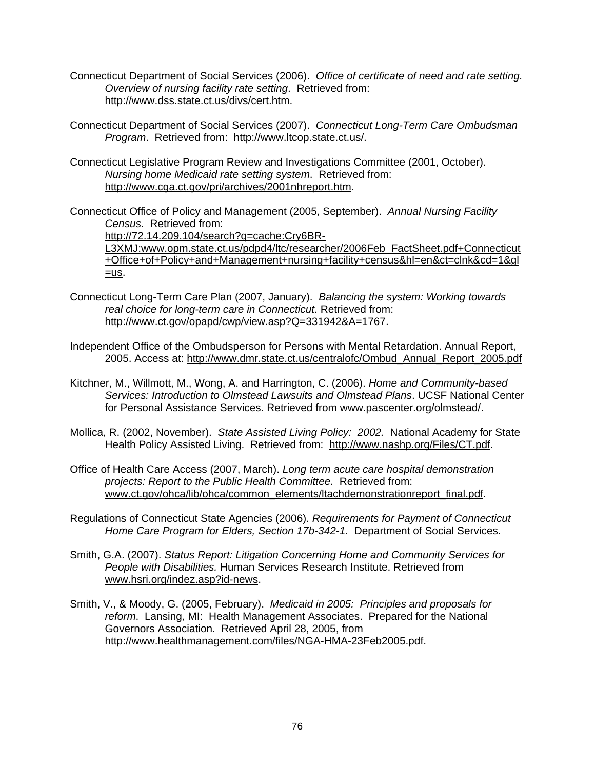- Connecticut Department of Social Services (2006). *Office of certificate of need and rate setting. Overview of nursing facility rate setting*. Retrieved from: <http://www.dss.state.ct.us/divs/cert.htm>.
- Connecticut Department of Social Services (2007). *Connecticut Long-Term Care Ombudsman Program*. Retrieved from: [http://www.ltcop.state.ct.us/.](http://www.ltcop.state.ct.us/)
- Connecticut Legislative Program Review and Investigations Committee (2001, October). *Nursing home Medicaid rate setting system*. Retrieved from: [http://www.cga.ct.gov/pri/archives/2001nhreport.htm.](http://www.cga.ct.gov/pri/archives/2001nhreport.htm)
- Connecticut Office of Policy and Management (2005, September). *Annual Nursing Facility Census*. Retrieved from:

[http://72.14.209.104/search?q=cache:Cry6BR-](http://72.14.209.104/search?q=cache:Cry6BR-L3XMJ:www.opm.state.ct.us/pdpd4/ltc/researcher/2006Feb_FactSheet.pdf+Connecticut+Office+of+Policy+and+Management+nursing+facility+census&hl=en&ct=clnk&cd=1&gl=us)[L3XMJ:www.opm.state.ct.us/pdpd4/ltc/researcher/2006Feb\\_FactSheet.pdf+Connecticut](http://72.14.209.104/search?q=cache:Cry6BR-L3XMJ:www.opm.state.ct.us/pdpd4/ltc/researcher/2006Feb_FactSheet.pdf+Connecticut+Office+of+Policy+and+Management+nursing+facility+census&hl=en&ct=clnk&cd=1&gl=us) [+Office+of+Policy+and+Management+nursing+facility+census&hl=en&ct=clnk&cd=1&gl](http://72.14.209.104/search?q=cache:Cry6BR-L3XMJ:www.opm.state.ct.us/pdpd4/ltc/researcher/2006Feb_FactSheet.pdf+Connecticut+Office+of+Policy+and+Management+nursing+facility+census&hl=en&ct=clnk&cd=1&gl=us)  $=$ us.

- Connecticut Long-Term Care Plan (2007, January). *Balancing the system: Working towards real choice for long-term care in Connecticut.* Retrieved from: <http://www.ct.gov/opapd/cwp/view.asp?Q=331942&A=1767>.
- Independent Office of the Ombudsperson for Persons with Mental Retardation. Annual Report, 2005. Access at: [http://www.dmr.state.ct.us/centralofc/Ombud\\_Annual\\_Report\\_2005.pdf](http://www.dmr.state.ct.us/centralofc/Ombud_Annual_Report_2005.pdf)
- Kitchner, M., Willmott, M., Wong, A. and Harrington, C. (2006). *Home and Community-based Services: Introduction to Olmstead Lawsuits and Olmstead Plans*. UCSF National Center for Personal Assistance Services. Retrieved from [www.pascenter.org/olmstead/.](http://www.pascenter.org/olmstead/)
- Mollica, R. (2002, November). *State Assisted Living Policy: 2002.* National Academy for State Health Policy Assisted Living. Retrieved from: [http://www.nashp.org/Files/CT.pdf.](http://www.nashp.org/Files/CT.pdf)
- Office of Health Care Access (2007, March). *Long term acute care hospital demonstration projects: Report to the Public Health Committee.* Retrieved from: [www.ct.gov/ohca/lib/ohca/common\\_elements/ltachdemonstrationreport\\_final.pdf](http://www.ct.gov/ohca/lib/ohca/common_elements/ltachdemonstrationreport_final.pdf).
- Regulations of Connecticut State Agencies (2006). *Requirements for Payment of Connecticut Home Care Program for Elders, Section 17b-342-1.* Department of Social Services.
- Smith, G.A. (2007). *Status Report: Litigation Concerning Home and Community Services for People with Disabilities.* Human Services Research Institute. Retrieved from [www.hsri.org/indez.asp?id-news.](http://www.hsri.org/indez.asp?id-news)
- Smith, V., & Moody, G. (2005, February). *Medicaid in 2005: Principles and proposals for reform*. Lansing, MI: Health Management Associates. Prepared for the National Governors Association. Retrieved April 28, 2005, from [http://www.healthmanagement.com/files/NGA-HMA-23Feb2005.pdf.](http://www.healthmanagement.com/files/NGA-HMA-23Feb2005.pdf)